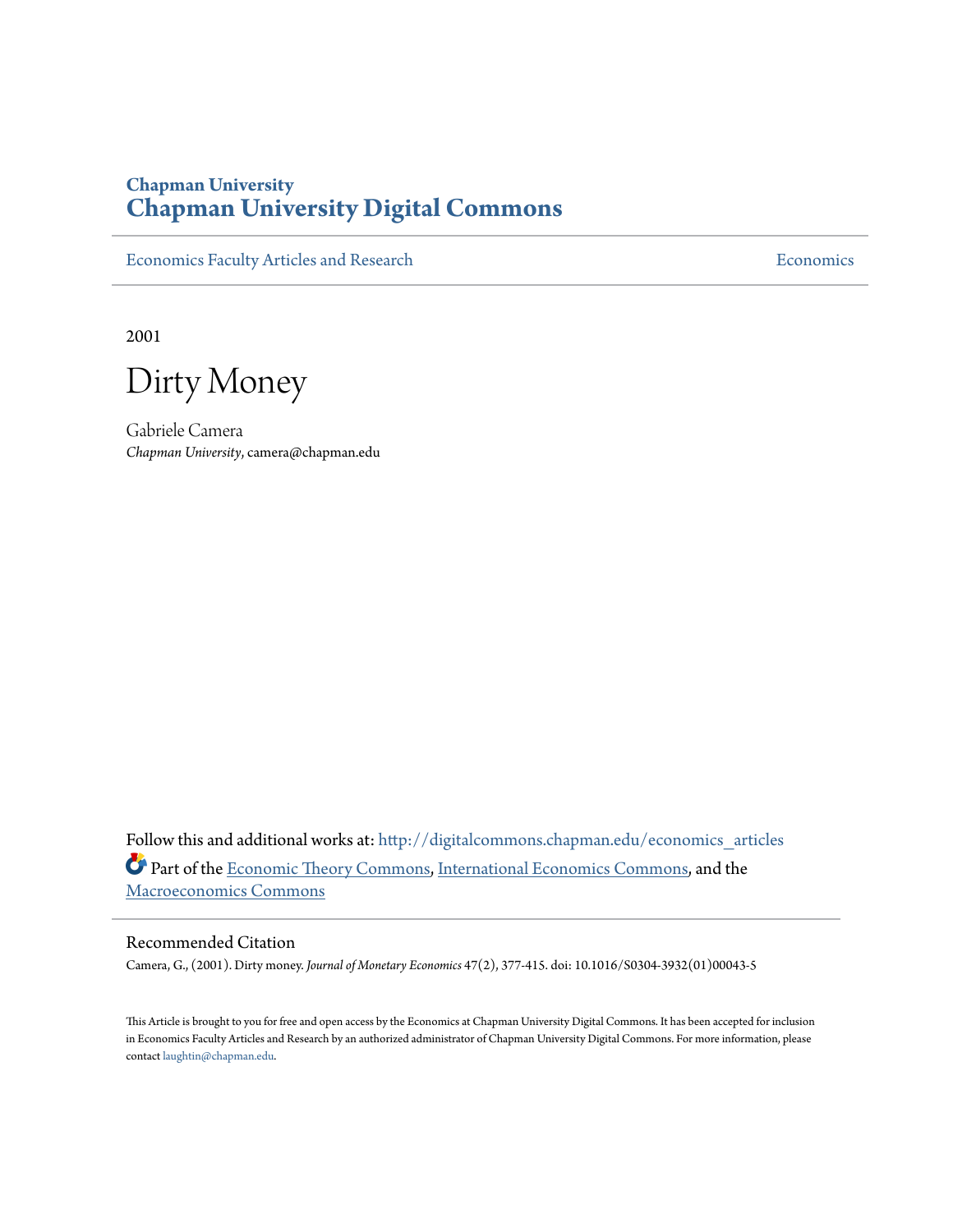# **Chapman University [Chapman University Digital Commons](http://digitalcommons.chapman.edu?utm_source=digitalcommons.chapman.edu%2Feconomics_articles%2F71&utm_medium=PDF&utm_campaign=PDFCoverPages)**

[Economics Faculty Articles and Research](http://digitalcommons.chapman.edu/economics_articles?utm_source=digitalcommons.chapman.edu%2Feconomics_articles%2F71&utm_medium=PDF&utm_campaign=PDFCoverPages) **[Economics](http://digitalcommons.chapman.edu/economics?utm_source=digitalcommons.chapman.edu%2Feconomics_articles%2F71&utm_medium=PDF&utm_campaign=PDFCoverPages)** Economics

2001

Dirty Money

Gabriele Camera *Chapman University*, camera@chapman.edu

Follow this and additional works at: [http://digitalcommons.chapman.edu/economics\\_articles](http://digitalcommons.chapman.edu/economics_articles?utm_source=digitalcommons.chapman.edu%2Feconomics_articles%2F71&utm_medium=PDF&utm_campaign=PDFCoverPages) Part of the [Economic Theory Commons,](http://network.bepress.com/hgg/discipline/344?utm_source=digitalcommons.chapman.edu%2Feconomics_articles%2F71&utm_medium=PDF&utm_campaign=PDFCoverPages) [International Economics Commons](http://network.bepress.com/hgg/discipline/348?utm_source=digitalcommons.chapman.edu%2Feconomics_articles%2F71&utm_medium=PDF&utm_campaign=PDFCoverPages), and the [Macroeconomics Commons](http://network.bepress.com/hgg/discipline/350?utm_source=digitalcommons.chapman.edu%2Feconomics_articles%2F71&utm_medium=PDF&utm_campaign=PDFCoverPages)

# Recommended Citation

Camera, G., (2001). Dirty money. *Journal of Monetary Economics* 47(2), 377-415. doi: 10.1016/S0304-3932(01)00043-5

This Article is brought to you for free and open access by the Economics at Chapman University Digital Commons. It has been accepted for inclusion in Economics Faculty Articles and Research by an authorized administrator of Chapman University Digital Commons. For more information, please contact [laughtin@chapman.edu](mailto:laughtin@chapman.edu).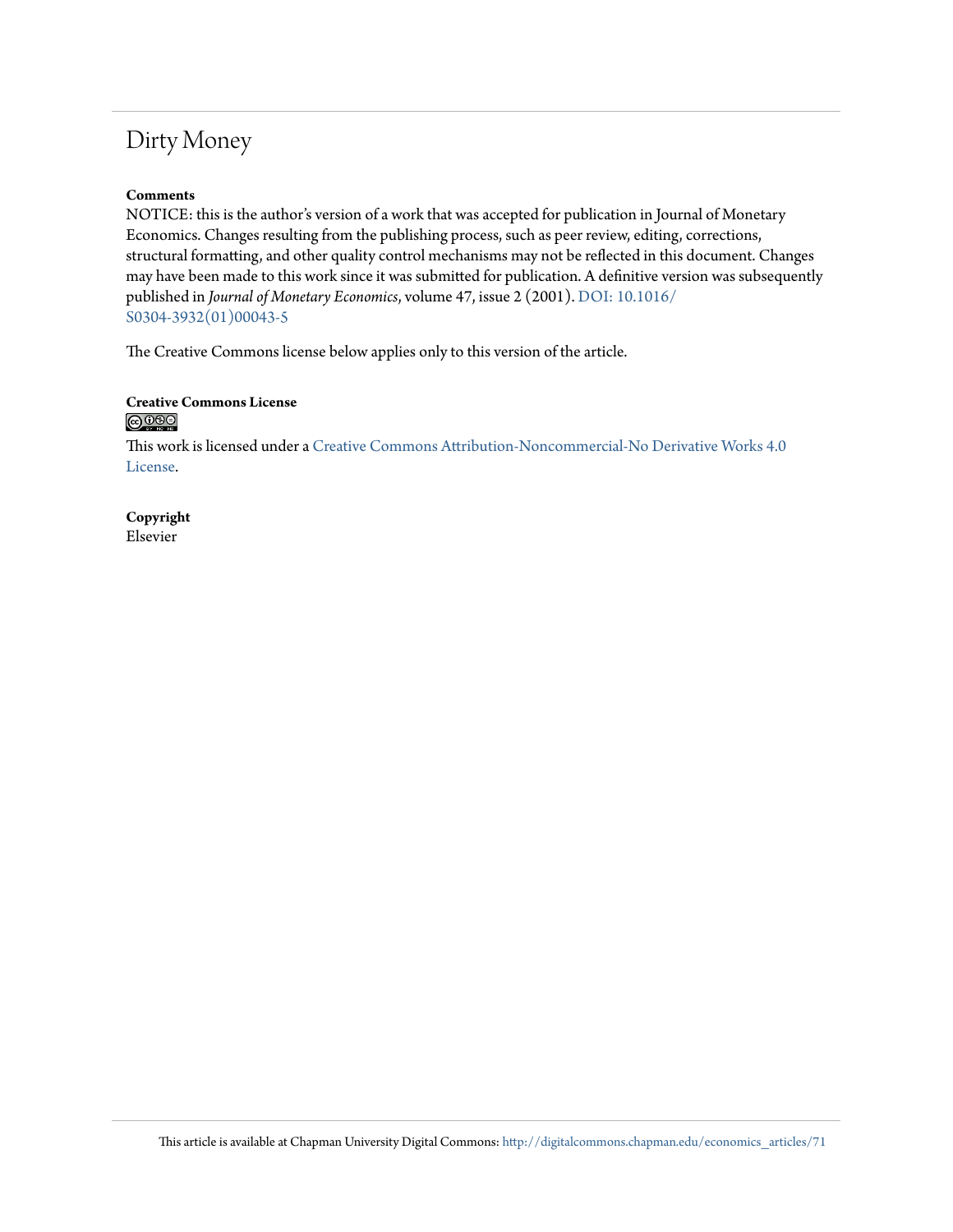# Dirty Money

# **Comments**

NOTICE: this is the author's version of a work that was accepted for publication in Journal of Monetary Economics. Changes resulting from the publishing process, such as peer review, editing, corrections, structural formatting, and other quality control mechanisms may not be reflected in this document. Changes may have been made to this work since it was submitted for publication. A definitive version was subsequently published in *Journal of Monetary Economics*, volume 47, issue 2 (2001). [DOI: 10.1016/](http://dx.doi.org/10.1016/S0304-3932(01)00043-5) [S0304-3932\(01\)00043-5](http://dx.doi.org/10.1016/S0304-3932(01)00043-5)

The Creative Commons license below applies only to this version of the article.

# **Creative Commons License**

This work is licensed under a [Creative Commons Attribution-Noncommercial-No Derivative Works 4.0](http://creativecommons.org/licenses/by-nc-nd/4.0/) [License.](http://creativecommons.org/licenses/by-nc-nd/4.0/)

**Copyright** Elsevier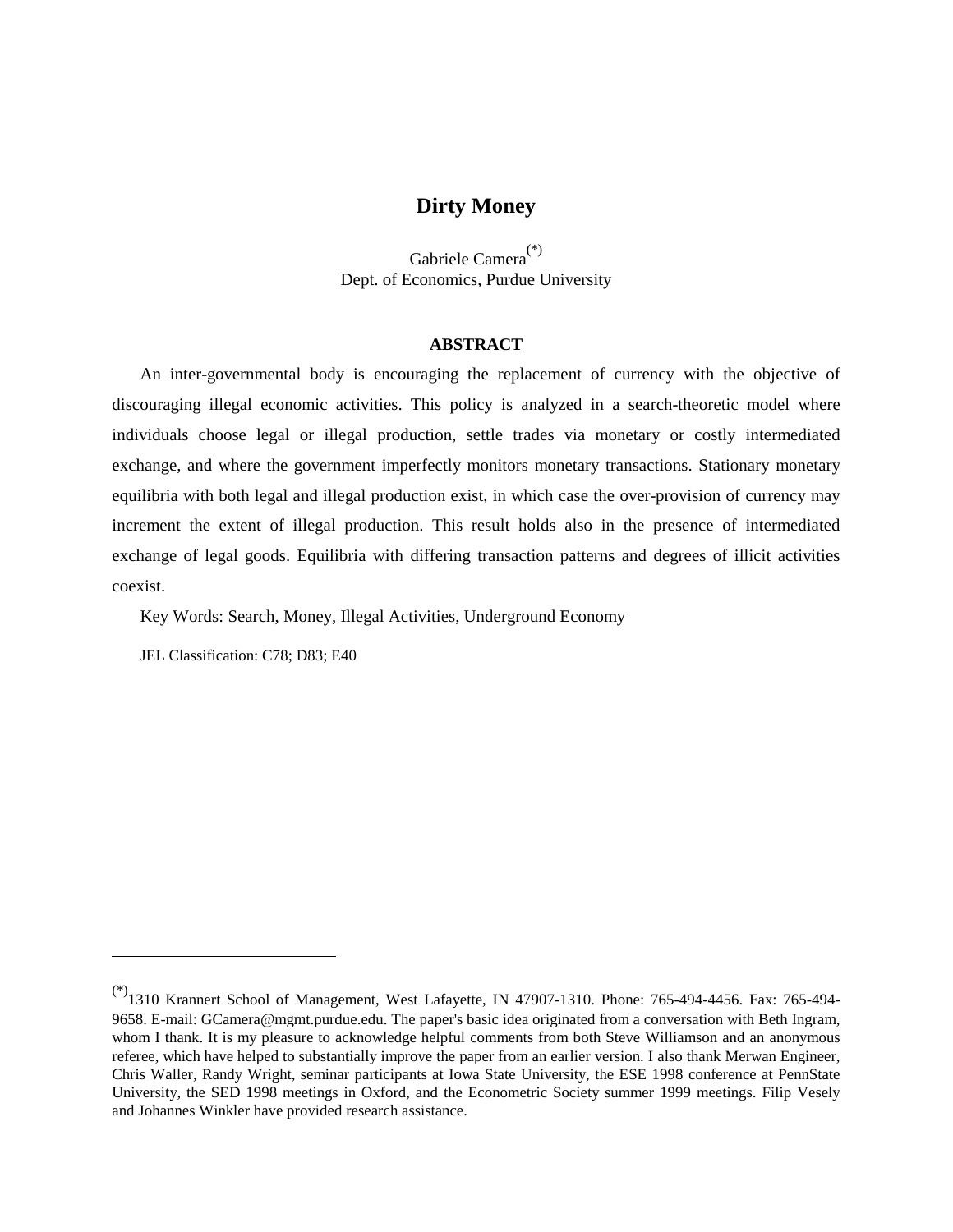# **Dirty Money**

Gabriele Camera(\*) Dept. of Economics, Purdue University

# **ABSTRACT**

An inter-governmental body is encouraging the replacement of currency with the objective of discouraging illegal economic activities. This policy is analyzed in a search-theoretic model where individuals choose legal or illegal production, settle trades via monetary or costly intermediated exchange, and where the government imperfectly monitors monetary transactions. Stationary monetary equilibria with both legal and illegal production exist, in which case the over-provision of currency may increment the extent of illegal production. This result holds also in the presence of intermediated exchange of legal goods. Equilibria with differing transaction patterns and degrees of illicit activities coexist.

Key Words: Search, Money, Illegal Activities, Underground Economy

JEL Classification: C78; D83; E40

<sup>(\*)1310</sup> Krannert School of Management, West Lafayette, IN 47907-1310. Phone: 765-494-4456. Fax: 765-494- 9658. E-mail: GCamera@mgmt.purdue.edu. The paper's basic idea originated from a conversation with Beth Ingram, whom I thank. It is my pleasure to acknowledge helpful comments from both Steve Williamson and an anonymous referee, which have helped to substantially improve the paper from an earlier version. I also thank Merwan Engineer, Chris Waller, Randy Wright, seminar participants at Iowa State University, the ESE 1998 conference at PennState University, the SED 1998 meetings in Oxford, and the Econometric Society summer 1999 meetings. Filip Vesely and Johannes Winkler have provided research assistance.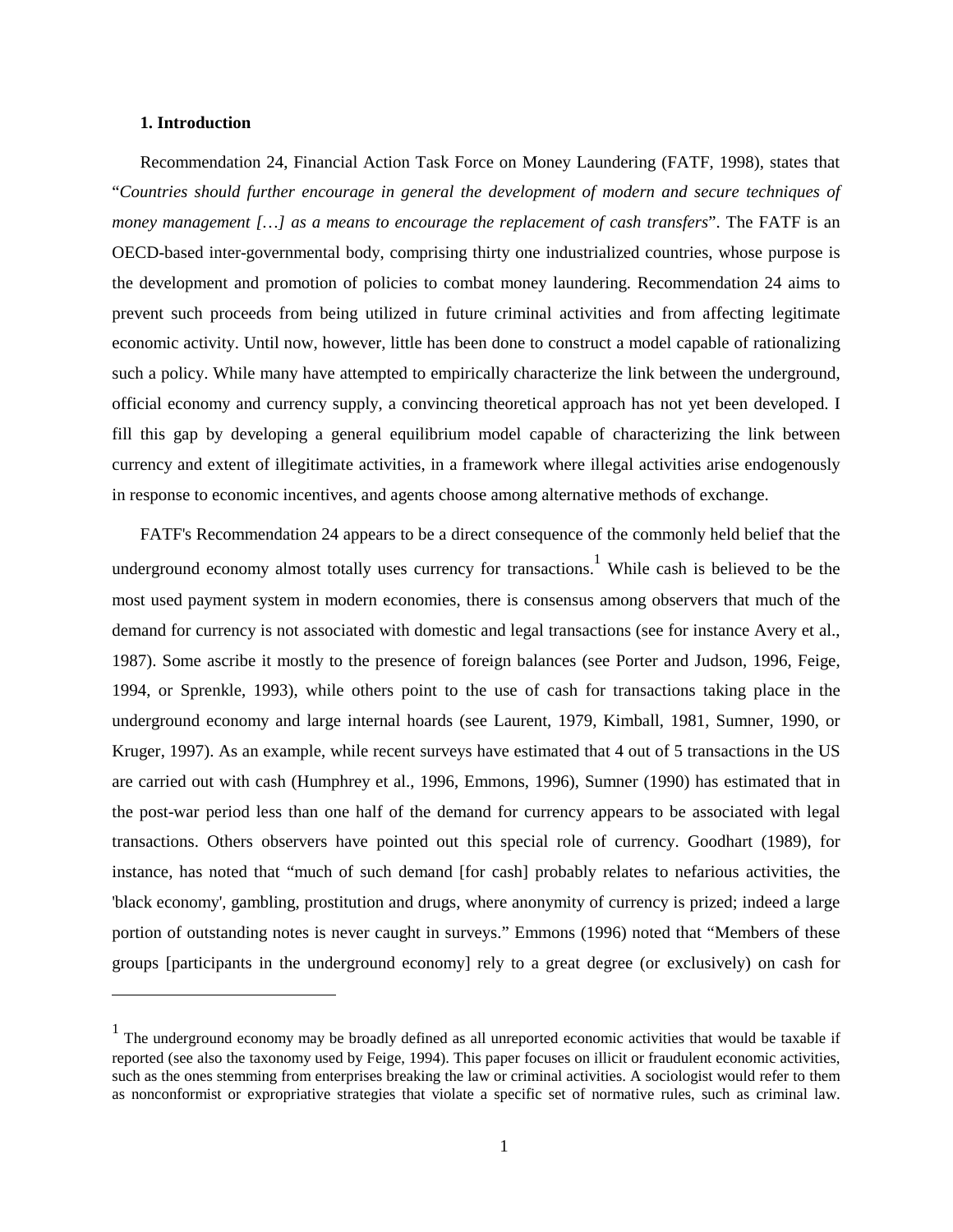#### **1. Introduction**

Recommendation 24, Financial Action Task Force on Money Laundering (FATF, 1998), states that "*Countries should further encourage in general the development of modern and secure techniques of money management […] as a means to encourage the replacement of cash transfers*". The FATF is an OECD-based inter-governmental body, comprising thirty one industrialized countries, whose purpose is the development and promotion of policies to combat money laundering. Recommendation 24 aims to prevent such proceeds from being utilized in future criminal activities and from affecting legitimate economic activity. Until now, however, little has been done to construct a model capable of rationalizing such a policy. While many have attempted to empirically characterize the link between the underground, official economy and currency supply, a convincing theoretical approach has not yet been developed. I fill this gap by developing a general equilibrium model capable of characterizing the link between currency and extent of illegitimate activities, in a framework where illegal activities arise endogenously in response to economic incentives, and agents choose among alternative methods of exchange.

FATF's Recommendation 24 appears to be a direct consequence of the commonly held belief that the underground economy almost totally uses currency for transactions.<sup>1</sup> While cash is believed to be the most used payment system in modern economies, there is consensus among observers that much of the demand for currency is not associated with domestic and legal transactions (see for instance Avery et al., 1987). Some ascribe it mostly to the presence of foreign balances (see Porter and Judson, 1996, Feige, 1994, or Sprenkle, 1993), while others point to the use of cash for transactions taking place in the underground economy and large internal hoards (see Laurent, 1979, Kimball, 1981, Sumner, 1990, or Kruger, 1997). As an example, while recent surveys have estimated that 4 out of 5 transactions in the US are carried out with cash (Humphrey et al., 1996, Emmons, 1996), Sumner (1990) has estimated that in the post-war period less than one half of the demand for currency appears to be associated with legal transactions. Others observers have pointed out this special role of currency. Goodhart (1989), for instance, has noted that "much of such demand [for cash] probably relates to nefarious activities, the 'black economy', gambling, prostitution and drugs, where anonymity of currency is prized; indeed a large portion of outstanding notes is never caught in surveys." Emmons (1996) noted that "Members of these groups [participants in the underground economy] rely to a great degree (or exclusively) on cash for

 $<sup>1</sup>$  The underground economy may be broadly defined as all unreported economic activities that would be taxable if</sup> reported (see also the taxonomy used by Feige, 1994). This paper focuses on illicit or fraudulent economic activities, such as the ones stemming from enterprises breaking the law or criminal activities. A sociologist would refer to them as nonconformist or expropriative strategies that violate a specific set of normative rules, such as criminal law.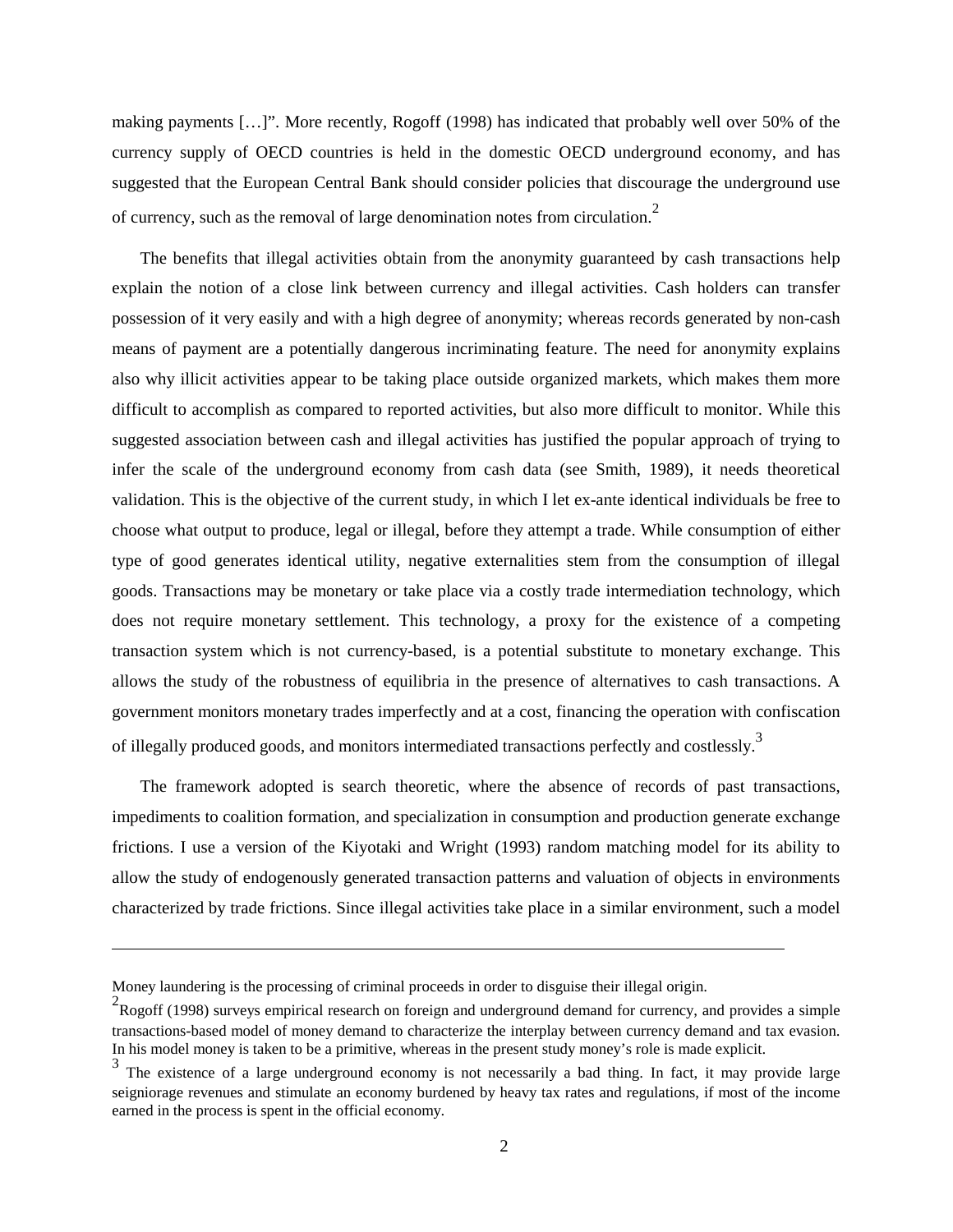making payments […]". More recently, Rogoff (1998) has indicated that probably well over 50% of the currency supply of OECD countries is held in the domestic OECD underground economy, and has suggested that the European Central Bank should consider policies that discourage the underground use of currency, such as the removal of large denomination notes from circulation.<sup>2</sup>

The benefits that illegal activities obtain from the anonymity guaranteed by cash transactions help explain the notion of a close link between currency and illegal activities. Cash holders can transfer possession of it very easily and with a high degree of anonymity; whereas records generated by non-cash means of payment are a potentially dangerous incriminating feature. The need for anonymity explains also why illicit activities appear to be taking place outside organized markets, which makes them more difficult to accomplish as compared to reported activities, but also more difficult to monitor. While this suggested association between cash and illegal activities has justified the popular approach of trying to infer the scale of the underground economy from cash data (see Smith, 1989), it needs theoretical validation. This is the objective of the current study, in which I let ex-ante identical individuals be free to choose what output to produce, legal or illegal, before they attempt a trade. While consumption of either type of good generates identical utility, negative externalities stem from the consumption of illegal goods. Transactions may be monetary or take place via a costly trade intermediation technology, which does not require monetary settlement. This technology, a proxy for the existence of a competing transaction system which is not currency-based, is a potential substitute to monetary exchange. This allows the study of the robustness of equilibria in the presence of alternatives to cash transactions. A government monitors monetary trades imperfectly and at a cost, financing the operation with confiscation of illegally produced goods, and monitors intermediated transactions perfectly and costlessly.<sup>3</sup>

The framework adopted is search theoretic, where the absence of records of past transactions, impediments to coalition formation, and specialization in consumption and production generate exchange frictions. I use a version of the Kiyotaki and Wright (1993) random matching model for its ability to allow the study of endogenously generated transaction patterns and valuation of objects in environments characterized by trade frictions. Since illegal activities take place in a similar environment, such a model

Money laundering is the processing of criminal proceeds in order to disguise their illegal origin.

<sup>&</sup>lt;sup>2</sup>Rogoff (1998) surveys empirical research on foreign and underground demand for currency, and provides a simple transactions-based model of money demand to characterize the interplay between currency demand and tax evasion. In his model money is taken to be a primitive, whereas in the present study money's role is made explicit.<br> $\frac{3}{2}$  The existence of a large underground escapeny is not presentative had thing. In fect, it move and

The existence of a large underground economy is not necessarily a bad thing. In fact, it may provide large seigniorage revenues and stimulate an economy burdened by heavy tax rates and regulations, if most of the income earned in the process is spent in the official economy.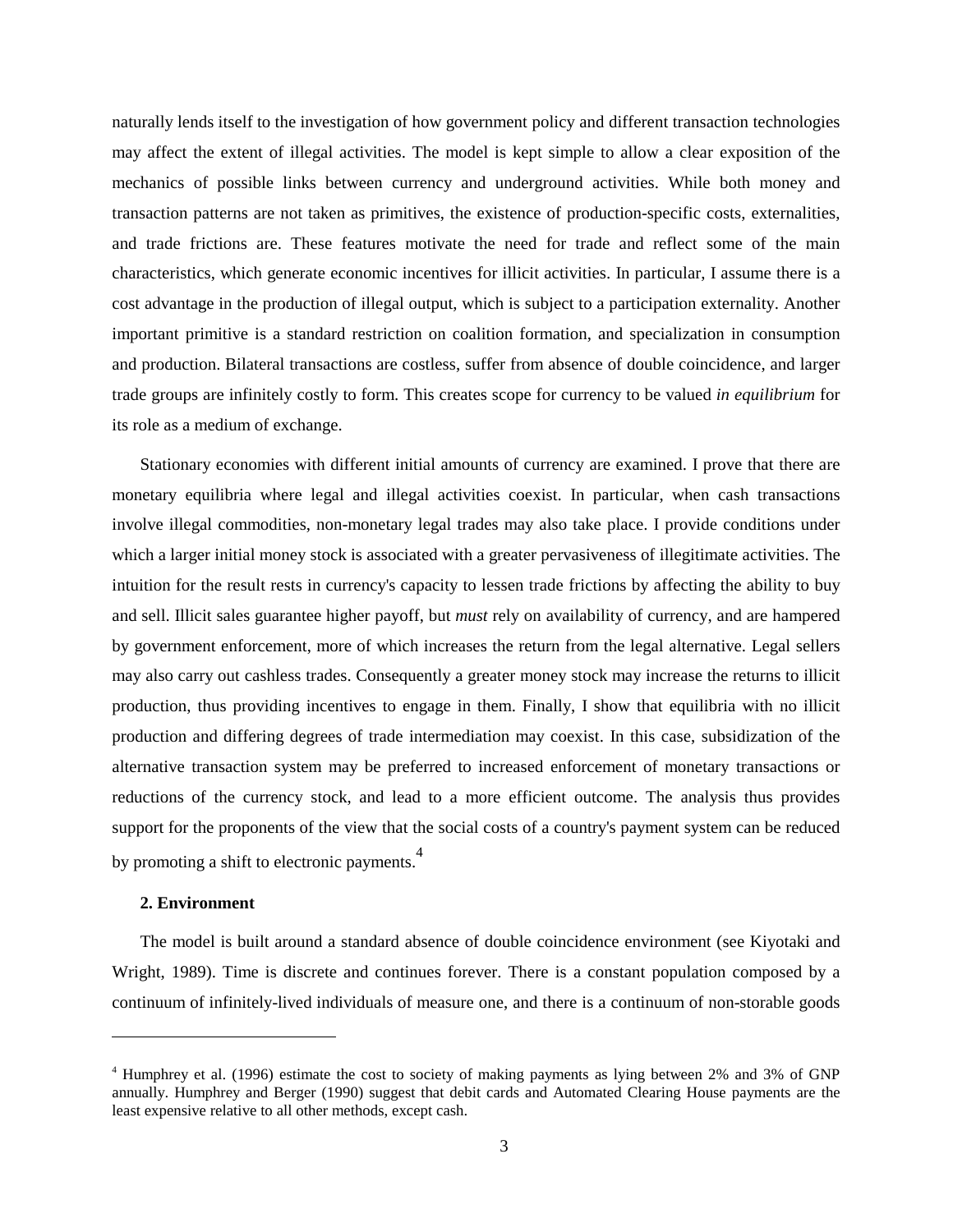naturally lends itself to the investigation of how government policy and different transaction technologies may affect the extent of illegal activities. The model is kept simple to allow a clear exposition of the mechanics of possible links between currency and underground activities. While both money and transaction patterns are not taken as primitives, the existence of production-specific costs, externalities, and trade frictions are. These features motivate the need for trade and reflect some of the main characteristics, which generate economic incentives for illicit activities. In particular, I assume there is a cost advantage in the production of illegal output, which is subject to a participation externality. Another important primitive is a standard restriction on coalition formation, and specialization in consumption and production. Bilateral transactions are costless, suffer from absence of double coincidence, and larger trade groups are infinitely costly to form. This creates scope for currency to be valued *in equilibrium* for its role as a medium of exchange.

Stationary economies with different initial amounts of currency are examined. I prove that there are monetary equilibria where legal and illegal activities coexist. In particular, when cash transactions involve illegal commodities, non-monetary legal trades may also take place. I provide conditions under which a larger initial money stock is associated with a greater pervasiveness of illegitimate activities. The intuition for the result rests in currency's capacity to lessen trade frictions by affecting the ability to buy and sell. Illicit sales guarantee higher payoff, but *must* rely on availability of currency, and are hampered by government enforcement, more of which increases the return from the legal alternative. Legal sellers may also carry out cashless trades. Consequently a greater money stock may increase the returns to illicit production, thus providing incentives to engage in them. Finally, I show that equilibria with no illicit production and differing degrees of trade intermediation may coexist. In this case, subsidization of the alternative transaction system may be preferred to increased enforcement of monetary transactions or reductions of the currency stock, and lead to a more efficient outcome. The analysis thus provides support for the proponents of the view that the social costs of a country's payment system can be reduced by promoting a shift to electronic payments.<sup>4</sup>

# **2. Environment**

The model is built around a standard absence of double coincidence environment (see Kiyotaki and Wright, 1989). Time is discrete and continues forever. There is a constant population composed by a continuum of infinitely-lived individuals of measure one, and there is a continuum of non-storable goods

<sup>4</sup> Humphrey et al. (1996) estimate the cost to society of making payments as lying between 2% and 3% of GNP annually. Humphrey and Berger (1990) suggest that debit cards and Automated Clearing House payments are the least expensive relative to all other methods, except cash.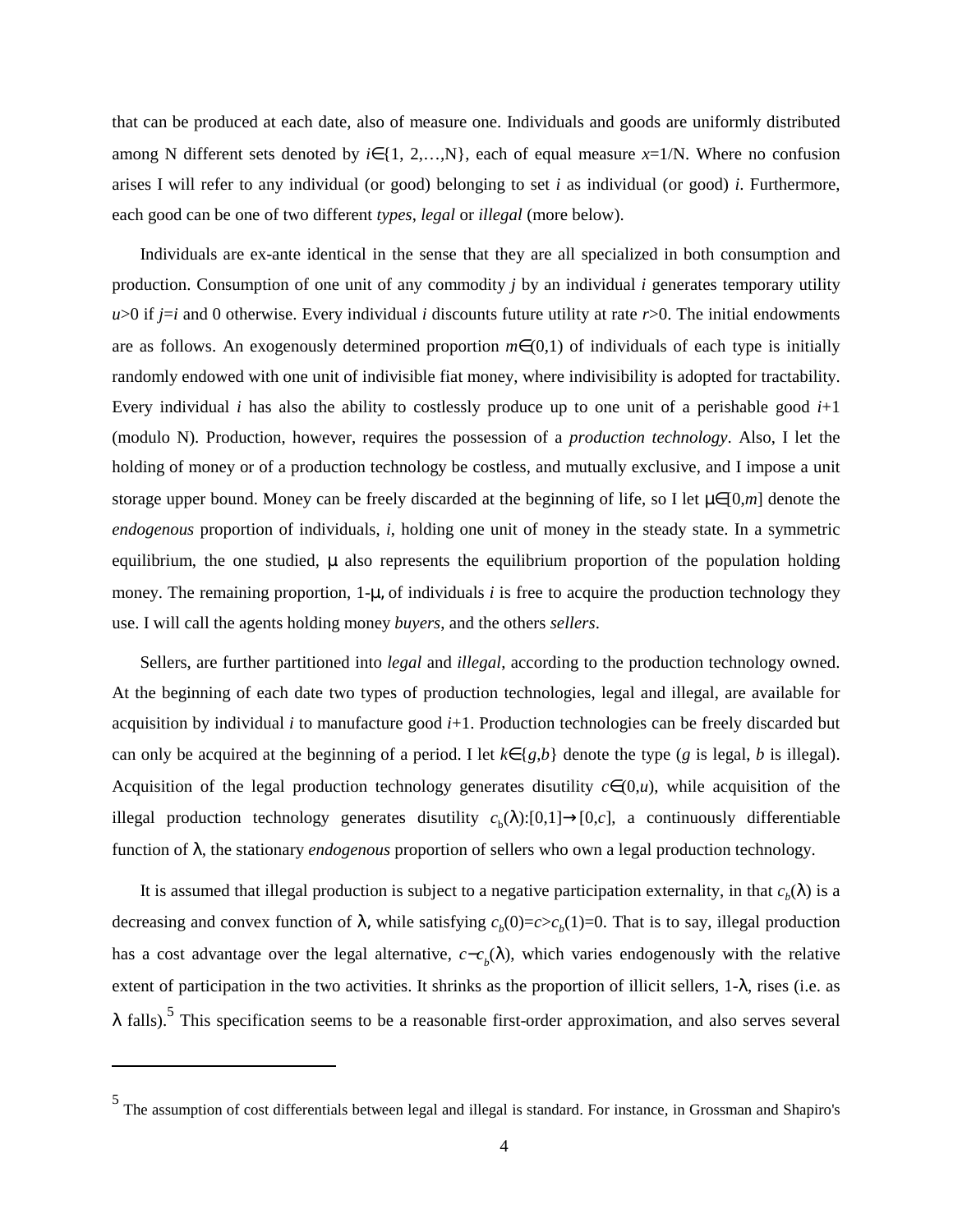that can be produced at each date, also of measure one. Individuals and goods are uniformly distributed among N different sets denoted by  $i \in \{1, 2,...,N\}$ , each of equal measure  $x=1/N$ . Where no confusion arises I will refer to any individual (or good) belonging to set *i* as individual (or good) *i*. Furthermore, each good can be one of two different *types*, *legal* or *illegal* (more below).

Individuals are ex-ante identical in the sense that they are all specialized in both consumption and production. Consumption of one unit of any commodity *j* by an individual *i* generates temporary utility  $u>0$  if  $j=i$  and 0 otherwise. Every individual *i* discounts future utility at rate  $r>0$ . The initial endowments are as follows. An exogenously determined proportion *m*∈(0,1) of individuals of each type is initially randomly endowed with one unit of indivisible fiat money, where indivisibility is adopted for tractability. Every individual *i* has also the ability to costlessly produce up to one unit of a perishable good *i*+1 (modulo N). Production, however, requires the possession of a *production technology*. Also, I let the holding of money or of a production technology be costless, and mutually exclusive, and I impose a unit storage upper bound. Money can be freely discarded at the beginning of life, so I let  $\mu \in [0,m]$  denote the *endogenous* proportion of individuals, *i*, holding one unit of money in the steady state. In a symmetric equilibrium, the one studied,  $\mu$  also represents the equilibrium proportion of the population holding money. The remaining proportion,  $1-\mu$ , of individuals *i* is free to acquire the production technology they use. I will call the agents holding money *buyers*, and the others *sellers*.

Sellers, are further partitioned into *legal* and *illegal*, according to the production technology owned. At the beginning of each date two types of production technologies, legal and illegal, are available for acquisition by individual *i* to manufacture good *i*+1. Production technologies can be freely discarded but can only be acquired at the beginning of a period. I let  $k \in \{g, b\}$  denote the type (*g* is legal, *b* is illegal). Acquisition of the legal production technology generates disutility  $c \in (0, u)$ , while acquisition of the illegal production technology generates disutility  $c<sub>b</sub>(\lambda):[0,1] \rightarrow [0,c]$ , a continuously differentiable function of λ, the stationary *endogenous* proportion of sellers who own a legal production technology.

It is assumed that illegal production is subject to a negative participation externality, in that  $c<sub>b</sub>(\lambda)$  is a decreasing and convex function of  $\lambda$ , while satisfying  $c_b(0)=c>c_b(1)=0$ . That is to say, illegal production has a cost advantage over the legal alternative,  $c - c<sub>b</sub>(\lambda)$ , which varies endogenously with the relative extent of participation in the two activities. It shrinks as the proportion of illicit sellers, 1-λ, rises (i.e. as  $\lambda$  falls).<sup>5</sup> This specification seems to be a reasonable first-order approximation, and also serves several

<sup>5</sup> The assumption of cost differentials between legal and illegal is standard. For instance, in Grossman and Shapiro's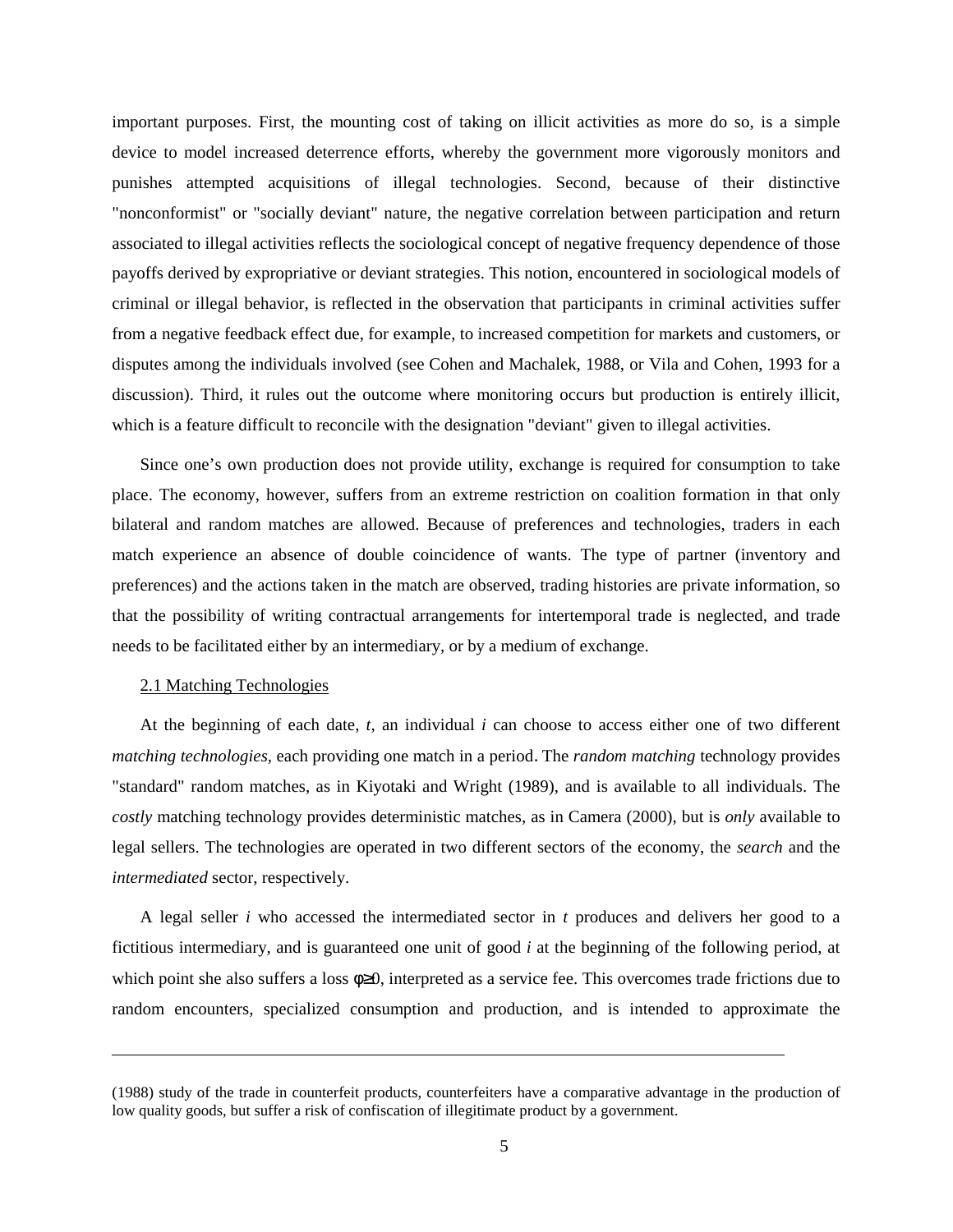important purposes. First, the mounting cost of taking on illicit activities as more do so, is a simple device to model increased deterrence efforts, whereby the government more vigorously monitors and punishes attempted acquisitions of illegal technologies. Second, because of their distinctive "nonconformist" or "socially deviant" nature, the negative correlation between participation and return associated to illegal activities reflects the sociological concept of negative frequency dependence of those payoffs derived by expropriative or deviant strategies. This notion, encountered in sociological models of criminal or illegal behavior, is reflected in the observation that participants in criminal activities suffer from a negative feedback effect due, for example, to increased competition for markets and customers, or disputes among the individuals involved (see Cohen and Machalek, 1988, or Vila and Cohen, 1993 for a discussion). Third, it rules out the outcome where monitoring occurs but production is entirely illicit, which is a feature difficult to reconcile with the designation "deviant" given to illegal activities.

Since one's own production does not provide utility, exchange is required for consumption to take place. The economy, however, suffers from an extreme restriction on coalition formation in that only bilateral and random matches are allowed. Because of preferences and technologies, traders in each match experience an absence of double coincidence of wants. The type of partner (inventory and preferences) and the actions taken in the match are observed, trading histories are private information, so that the possibility of writing contractual arrangements for intertemporal trade is neglected, and trade needs to be facilitated either by an intermediary, or by a medium of exchange.

#### 2.1 Matching Technologies

At the beginning of each date, *t*, an individual *i* can choose to access either one of two different *matching technologies,* each providing one match in a period. The *random matching* technology provides "standard" random matches, as in Kiyotaki and Wright (1989), and is available to all individuals. The *costly* matching technology provides deterministic matches, as in Camera (2000), but is *only* available to legal sellers. The technologies are operated in two different sectors of the economy, the *search* and the *intermediated* sector, respectively.

A legal seller *i* who accessed the intermediated sector in *t* produces and delivers her good to a fictitious intermediary, and is guaranteed one unit of good *i* at the beginning of the following period, at which point she also suffers a loss  $φ≥0$ , interpreted as a service fee. This overcomes trade frictions due to random encounters, specialized consumption and production, and is intended to approximate the

<sup>(1988)</sup> study of the trade in counterfeit products, counterfeiters have a comparative advantage in the production of low quality goods, but suffer a risk of confiscation of illegitimate product by a government.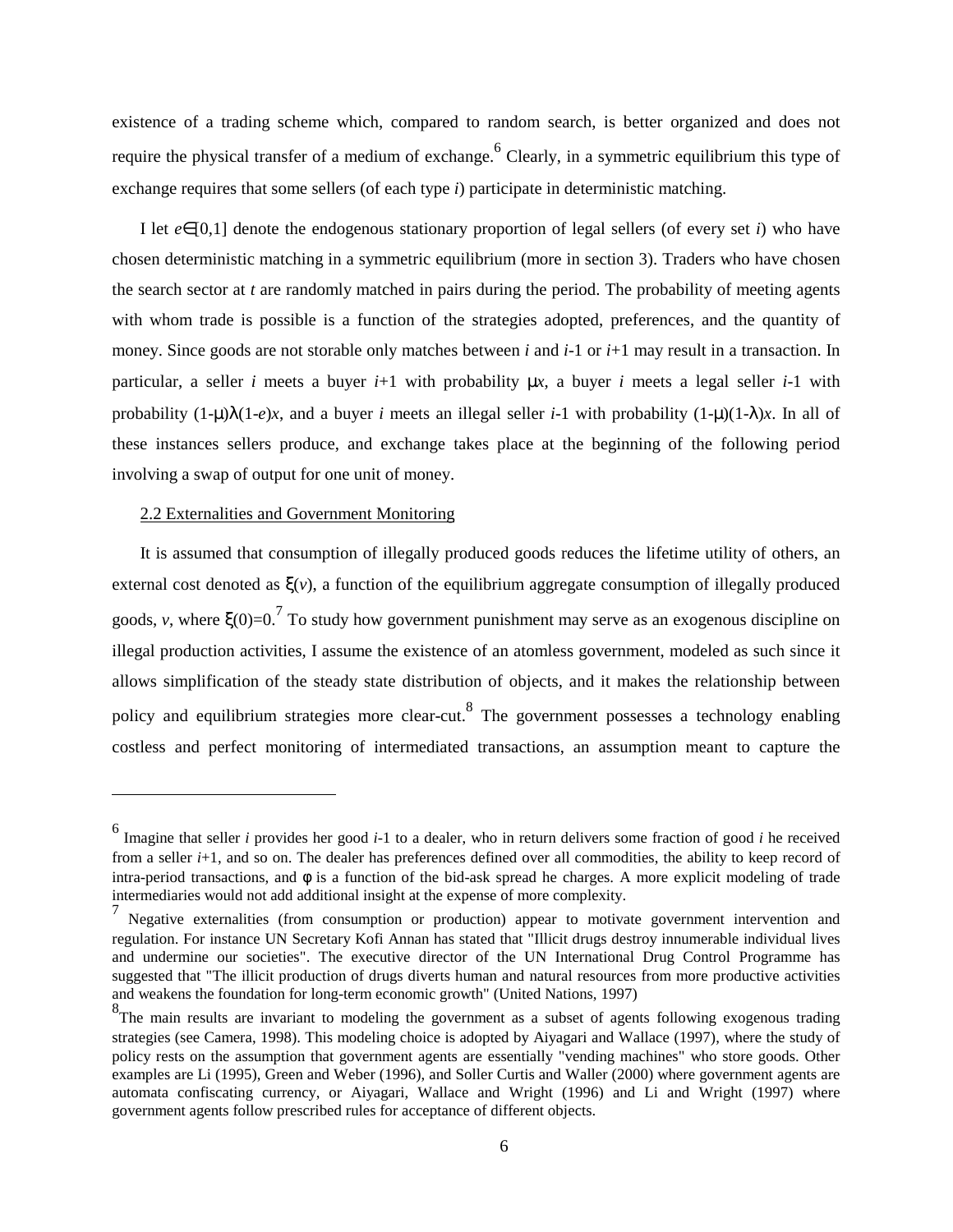existence of a trading scheme which, compared to random search, is better organized and does not require the physical transfer of a medium of exchange.<sup>6</sup> Clearly, in a symmetric equilibrium this type of exchange requires that some sellers (of each type *i*) participate in deterministic matching.

I let *e*∈[0,1] denote the endogenous stationary proportion of legal sellers (of every set *i*) who have chosen deterministic matching in a symmetric equilibrium (more in section 3). Traders who have chosen the search sector at *t* are randomly matched in pairs during the period. The probability of meeting agents with whom trade is possible is a function of the strategies adopted, preferences, and the quantity of money. Since goods are not storable only matches between *i* and *i*-1 or *i*+1 may result in a transaction. In particular, a seller *i* meets a buyer  $i+1$  with probability  $\mu x$ , a buyer *i* meets a legal seller  $i-1$  with probability  $(1-\mu)\lambda(1-e)x$ , and a buyer *i* meets an illegal seller *i*-1 with probability  $(1-\mu)(1-\lambda)x$ . In all of these instances sellers produce, and exchange takes place at the beginning of the following period involving a swap of output for one unit of money.

#### 2.2 Externalities and Government Monitoring

It is assumed that consumption of illegally produced goods reduces the lifetime utility of others, an external cost denoted as  $\xi(v)$ , a function of the equilibrium aggregate consumption of illegally produced goods, *v*, where  $\zeta(0)=0.7$  To study how government punishment may serve as an exogenous discipline on illegal production activities, I assume the existence of an atomless government, modeled as such since it allows simplification of the steady state distribution of objects, and it makes the relationship between policy and equilibrium strategies more clear-cut.<sup>8</sup> The government possesses a technology enabling costless and perfect monitoring of intermediated transactions, an assumption meant to capture the

<sup>6</sup> Imagine that seller *<sup>i</sup>* provides her good *<sup>i</sup>*-1 to a dealer, who in return delivers some fraction of good *<sup>i</sup>* he received from a seller *i*+1, and so on. The dealer has preferences defined over all commodities, the ability to keep record of intra-period transactions, and  $\phi$  is a function of the bid-ask spread he charges. A more explicit modeling of trade intermediaries would not add additional insight at the expense of more complexity.

<sup>7</sup> Negative externalities (from consumption or production) appear to motivate government intervention and regulation. For instance UN Secretary Kofi Annan has stated that "Illicit drugs destroy innumerable individual lives and undermine our societies". The executive director of the UN International Drug Control Programme has suggested that "The illicit production of drugs diverts human and natural resources from more productive activities and weakens the foundation for long-term economic growth" (United Nations, 1997)

<sup>&</sup>lt;sup>8</sup>The main results are invariant to modeling the government as a subset of agents following exogenous trading strategies (see Camera, 1998). This modeling choice is adopted by Aiyagari and Wallace (1997), where the study of policy rests on the assumption that government agents are essentially "vending machines" who store goods. Other examples are Li (1995), Green and Weber (1996), and Soller Curtis and Waller (2000) where government agents are automata confiscating currency, or Aiyagari, Wallace and Wright (1996) and Li and Wright (1997) where government agents follow prescribed rules for acceptance of different objects.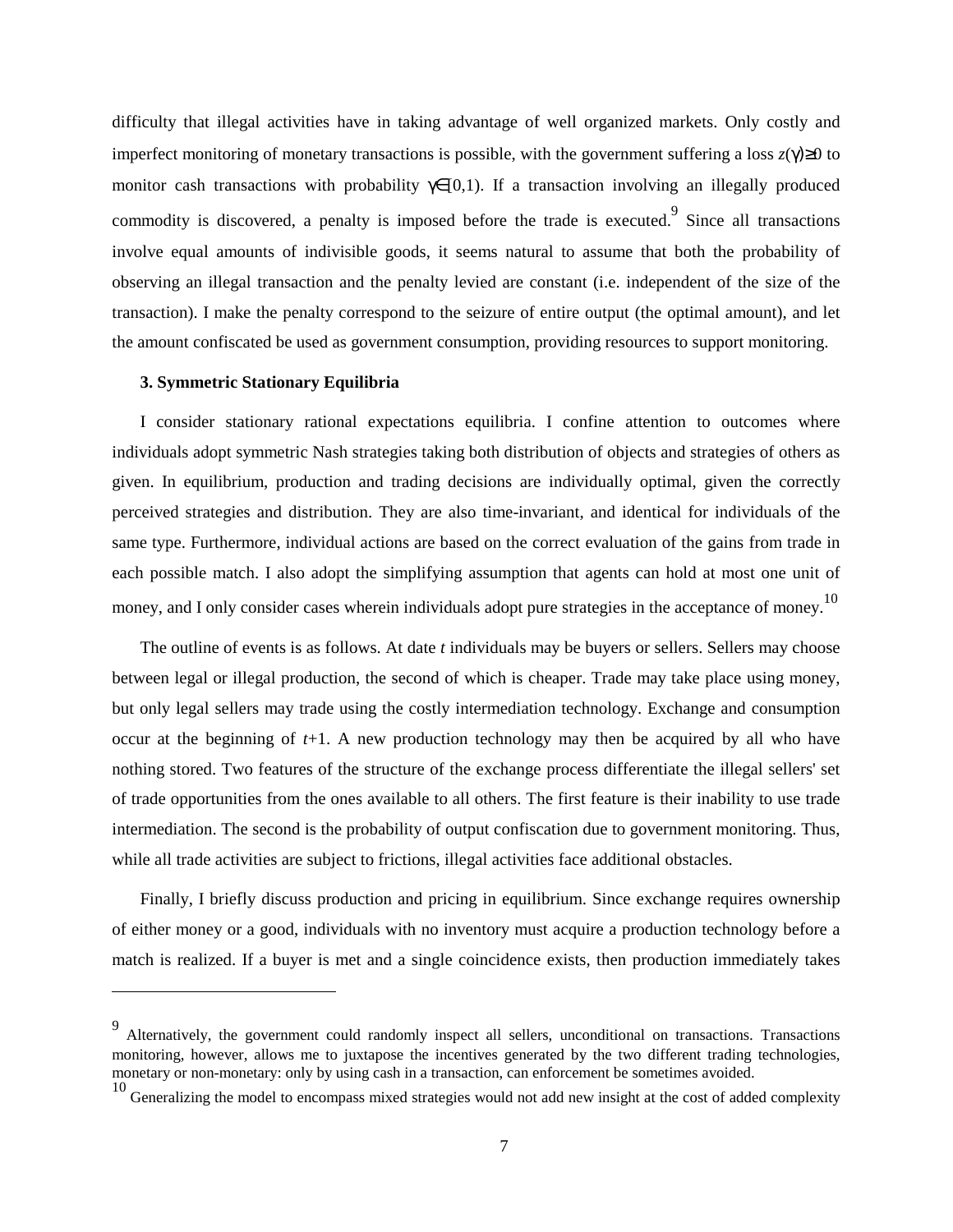difficulty that illegal activities have in taking advantage of well organized markets. Only costly and imperfect monitoring of monetary transactions is possible, with the government suffering a loss *z*(γ)≥0 to monitor cash transactions with probability  $\gamma \in [0,1)$ . If a transaction involving an illegally produced commodity is discovered, a penalty is imposed before the trade is executed.<sup>9</sup> Since all transactions involve equal amounts of indivisible goods, it seems natural to assume that both the probability of observing an illegal transaction and the penalty levied are constant (i.e. independent of the size of the transaction). I make the penalty correspond to the seizure of entire output (the optimal amount), and let the amount confiscated be used as government consumption, providing resources to support monitoring.

#### **3. Symmetric Stationary Equilibria**

I consider stationary rational expectations equilibria. I confine attention to outcomes where individuals adopt symmetric Nash strategies taking both distribution of objects and strategies of others as given. In equilibrium, production and trading decisions are individually optimal, given the correctly perceived strategies and distribution. They are also time-invariant, and identical for individuals of the same type. Furthermore, individual actions are based on the correct evaluation of the gains from trade in each possible match. I also adopt the simplifying assumption that agents can hold at most one unit of money, and I only consider cases wherein individuals adopt pure strategies in the acceptance of money.<sup>10</sup>

The outline of events is as follows. At date *t* individuals may be buyers or sellers. Sellers may choose between legal or illegal production, the second of which is cheaper. Trade may take place using money, but only legal sellers may trade using the costly intermediation technology. Exchange and consumption occur at the beginning of *t*+1. A new production technology may then be acquired by all who have nothing stored. Two features of the structure of the exchange process differentiate the illegal sellers' set of trade opportunities from the ones available to all others. The first feature is their inability to use trade intermediation. The second is the probability of output confiscation due to government monitoring. Thus, while all trade activities are subject to frictions, illegal activities face additional obstacles.

Finally, I briefly discuss production and pricing in equilibrium. Since exchange requires ownership of either money or a good, individuals with no inventory must acquire a production technology before a match is realized. If a buyer is met and a single coincidence exists, then production immediately takes

Alternatively, the government could randomly inspect all sellers, unconditional on transactions. Transactions monitoring, however, allows me to juxtapose the incentives generated by the two different trading technologies, monetary or non-monetary: only by using cash in a transaction, can enforcement be sometimes avoided.

<sup>&</sup>lt;sup>10</sup> Generalizing the model to encompass mixed strategies would not add new insight at the cost of added complexity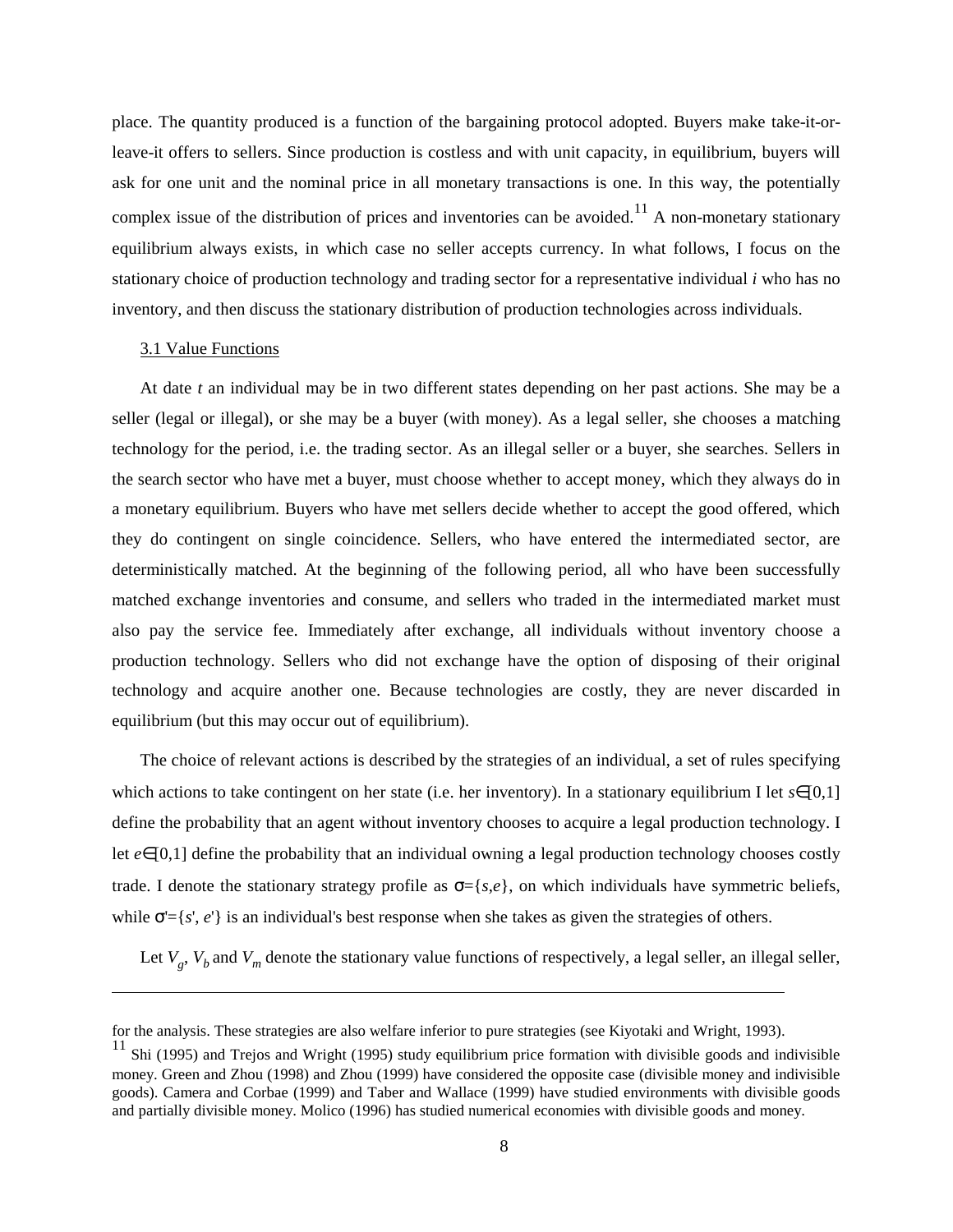place. The quantity produced is a function of the bargaining protocol adopted. Buyers make take-it-orleave-it offers to sellers. Since production is costless and with unit capacity, in equilibrium, buyers will ask for one unit and the nominal price in all monetary transactions is one. In this way, the potentially complex issue of the distribution of prices and inventories can be avoided.<sup>11</sup> A non-monetary stationary equilibrium always exists, in which case no seller accepts currency. In what follows, I focus on the stationary choice of production technology and trading sector for a representative individual *i* who has no inventory, and then discuss the stationary distribution of production technologies across individuals.

#### 3.1 Value Functions

At date *t* an individual may be in two different states depending on her past actions. She may be a seller (legal or illegal), or she may be a buyer (with money). As a legal seller, she chooses a matching technology for the period, i.e. the trading sector. As an illegal seller or a buyer, she searches. Sellers in the search sector who have met a buyer, must choose whether to accept money, which they always do in a monetary equilibrium. Buyers who have met sellers decide whether to accept the good offered, which they do contingent on single coincidence. Sellers, who have entered the intermediated sector, are deterministically matched. At the beginning of the following period, all who have been successfully matched exchange inventories and consume, and sellers who traded in the intermediated market must also pay the service fee. Immediately after exchange, all individuals without inventory choose a production technology. Sellers who did not exchange have the option of disposing of their original technology and acquire another one. Because technologies are costly, they are never discarded in equilibrium (but this may occur out of equilibrium).

The choice of relevant actions is described by the strategies of an individual, a set of rules specifying which actions to take contingent on her state (i.e. her inventory). In a stationary equilibrium I let  $s \in [0,1]$ define the probability that an agent without inventory chooses to acquire a legal production technology. I let *e*∈[0,1] define the probability that an individual owning a legal production technology chooses costly trade. I denote the stationary strategy profile as  $\sigma = \{s, e\}$ , on which individuals have symmetric beliefs, while  $\sigma = \{s', e'\}$  is an individual's best response when she takes as given the strategies of others.

Let  $V_g$ ,  $V_b$  and  $V_m$  denote the stationary value functions of respectively, a legal seller, an illegal seller,

for the analysis. These strategies are also welfare inferior to pure strategies (see Kiyotaki and Wright, 1993).

 $11$  Shi (1995) and Trejos and Wright (1995) study equilibrium price formation with divisible goods and indivisible money. Green and Zhou (1998) and Zhou (1999) have considered the opposite case (divisible money and indivisible goods). Camera and Corbae (1999) and Taber and Wallace (1999) have studied environments with divisible goods and partially divisible money. Molico (1996) has studied numerical economies with divisible goods and money.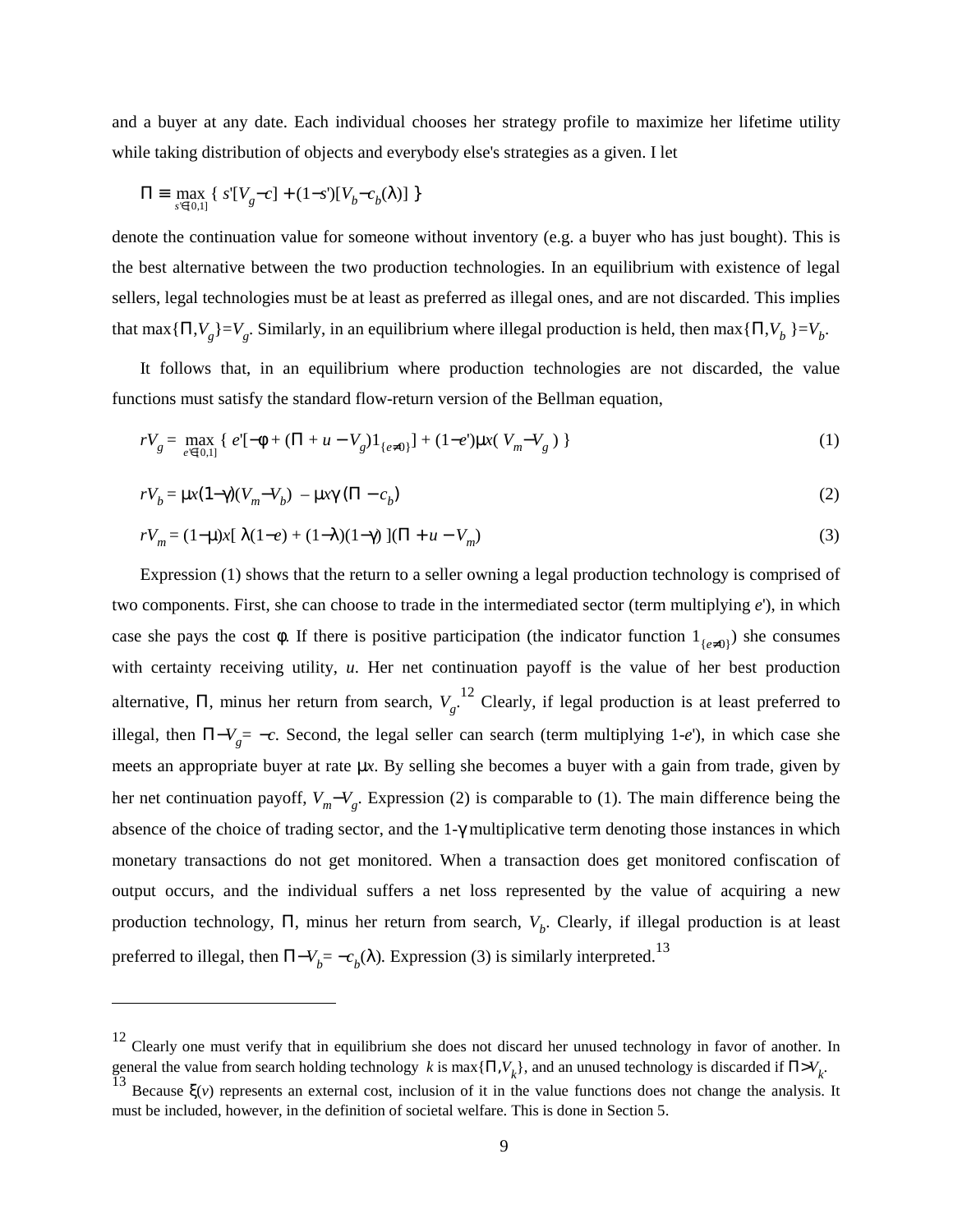and a buyer at any date. Each individual chooses her strategy profile to maximize her lifetime utility while taking distribution of objects and everybody else's strategies as a given. I let

$$
\Pi \equiv \max_{s \in [0,1]} \{ s'[V_g-c] + (1-s')[V_b-c_b(\lambda)] \}
$$

denote the continuation value for someone without inventory (e.g. a buyer who has just bought). This is the best alternative between the two production technologies. In an equilibrium with existence of legal sellers, legal technologies must be at least as preferred as illegal ones, and are not discarded. This implies that max $\{\Pi, V_g\} = V_g$ . Similarly, in an equilibrium where illegal production is held, then max $\{\Pi, V_b\} = V_b$ .

It follows that, in an equilibrium where production technologies are not discarded, the value functions must satisfy the standard flow-return version of the Bellman equation,

$$
rV_g = \max_{e' \in [0,1]} \{ e'[ - \phi + (\Pi + u - V_g)1_{\{e \neq 0\}}] + (1 - e')\mu x(V_m - V_g) \}
$$
 (1)

$$
rV_b = \mu x (1-\gamma)(V_m - V_b) - \mu x \gamma (\Pi - c_b)
$$
 (2)

$$
rV_m = (1 - \mu)x[\lambda(1 - e) + (1 - \lambda)(1 - \gamma)][\Pi + u - V_m]
$$
\n(3)

Expression (1) shows that the return to a seller owning a legal production technology is comprised of two components. First, she can choose to trade in the intermediated sector (term multiplying *e*'), in which case she pays the cost  $\phi$ . If there is positive participation (the indicator function  $1_{\{e\neq 0\}}$ ) she consumes with certainty receiving utility, *u*. Her net continuation payoff is the value of her best production alternative,  $\Pi$ , minus her return from search,  $V_g$ .<sup>12</sup> Clearly, if legal production is at least preferred to illegal, then Π−*V <sup>g</sup>*= −*c.* Second, the legal seller can search (term multiplying 1-*e*'), in which case she meets an appropriate buyer at rate  $\mu x$ . By selling she becomes a buyer with a gain from trade, given by her net continuation payoff,  $V_m-V_g$ . Expression (2) is comparable to (1). The main difference being the absence of the choice of trading sector, and the 1-γ multiplicative term denoting those instances in which monetary transactions do not get monitored. When a transaction does get monitored confiscation of output occurs, and the individual suffers a net loss represented by the value of acquiring a new production technology, Π, minus her return from search, *V<sub>b</sub>*. Clearly, if illegal production is at least preferred to illegal, then  $\Pi - V_b = -c_b(\lambda)$ *.* Expression (3) is similarly interpreted.<sup>13</sup>

 $12$  Clearly one must verify that in equilibrium she does not discard her unused technology in favor of another. In general the value from search holding technology *k* is max $\{\Pi, V_k\}$ , and an unused technology is discarded if  $\Pi > V_k$ 

Because  $\xi(v)$  represents an external cost, inclusion of it in the value functions does not change the analysis. It must be included, however, in the definition of societal welfare. This is done in Section 5.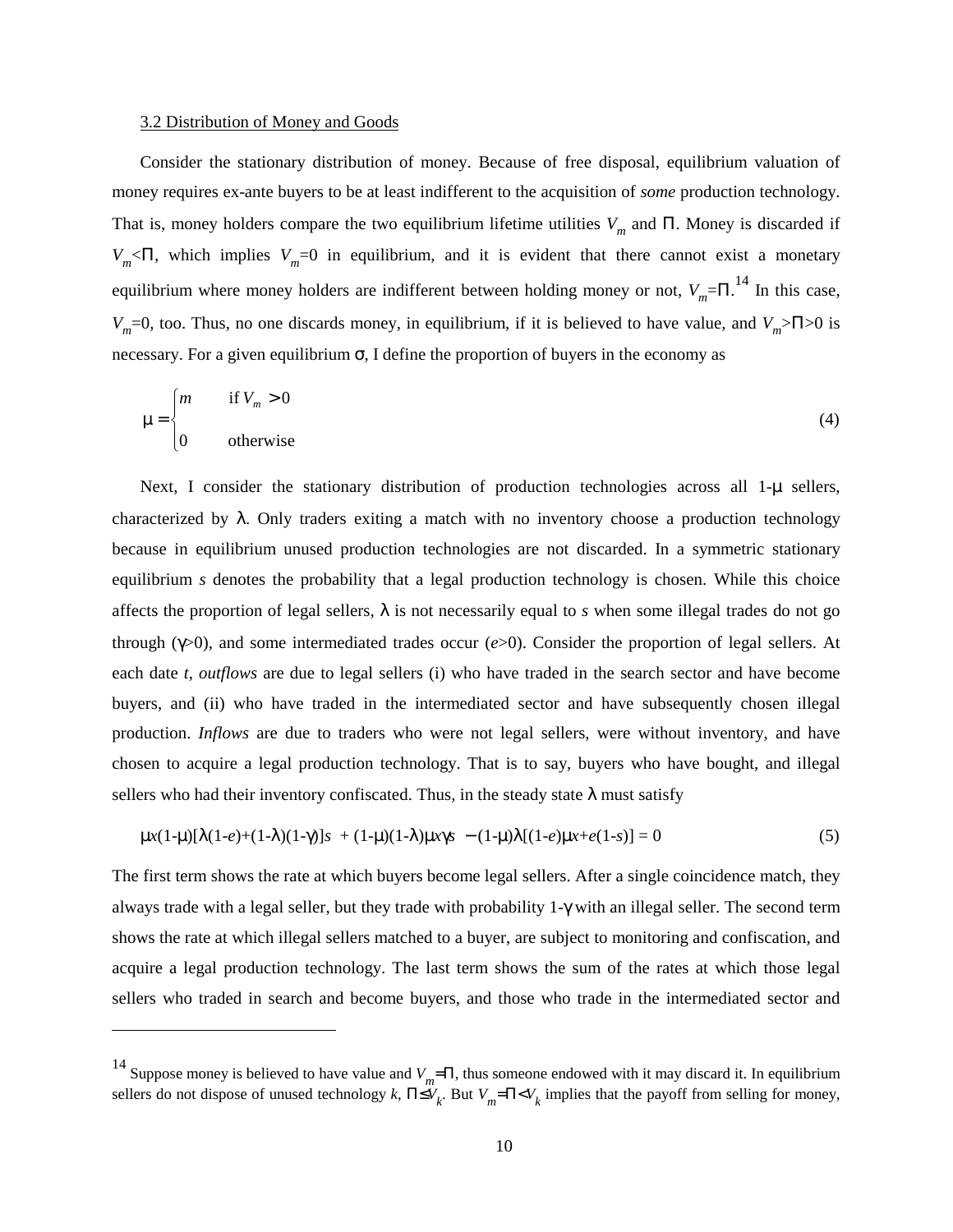#### 3.2 Distribution of Money and Goods

Consider the stationary distribution of money. Because of free disposal, equilibrium valuation of money requires ex-ante buyers to be at least indifferent to the acquisition of *some* production technology. That is, money holders compare the two equilibrium lifetime utilities *V<sub>m</sub>* and Π. Money is discarded if  $V_m<\Pi$ , which implies  $V_m=0$  in equilibrium, and it is evident that there cannot exist a monetary equilibrium where money holders are indifferent between holding money or not,  $V_m = \Pi$ .<sup>14</sup> In this case, *V<sub>m</sub>*=0, too. Thus, no one discards money, in equilibrium, if it is believed to have value, and *V<sub>m</sub>*>Π>0 is necessary. For a given equilibrium  $\sigma$ , I define the proportion of buyers in the economy as

$$
\mu = \begin{cases} m & \text{if } V_m > 0 \\ 0 & \text{otherwise} \end{cases}
$$
 (4)

Next, I consider the stationary distribution of production technologies across all 1-µ sellers, characterized by  $\lambda$ . Only traders exiting a match with no inventory choose a production technology because in equilibrium unused production technologies are not discarded. In a symmetric stationary equilibrium *s* denotes the probability that a legal production technology is chosen. While this choice affects the proportion of legal sellers,  $\lambda$  is not necessarily equal to *s* when some illegal trades do not go through (γ>0), and some intermediated trades occur (*e*>0). Consider the proportion of legal sellers. At each date *t*, *outflows* are due to legal sellers (i) who have traded in the search sector and have become buyers, and (ii) who have traded in the intermediated sector and have subsequently chosen illegal production. *Inflows* are due to traders who were not legal sellers, were without inventory, and have chosen to acquire a legal production technology. That is to say, buyers who have bought, and illegal sellers who had their inventory confiscated. Thus, in the steady state  $\lambda$  must satisfy

$$
\mu x (1-\mu)[\lambda(1-e) + (1-\lambda)(1-\gamma)]s + (1-\mu)(1-\lambda)\mu x \gamma s - (1-\mu)\lambda[(1-e)\mu x + e(1-s)] = 0
$$
\n(5)

The first term shows the rate at which buyers become legal sellers. After a single coincidence match, they always trade with a legal seller, but they trade with probability 1-γ with an illegal seller. The second term shows the rate at which illegal sellers matched to a buyer, are subject to monitoring and confiscation, and acquire a legal production technology. The last term shows the sum of the rates at which those legal sellers who traded in search and become buyers, and those who trade in the intermediated sector and

<sup>&</sup>lt;sup>14</sup> Suppose money is believed to have value and  $V_m$ =Π, thus someone endowed with it may discard it. In equilibrium sellers do not dispose of unused technology *k*,  $\Pi \le V_k$ . But  $V_m = \Pi \le V_k$  implies that the payoff from selling for money,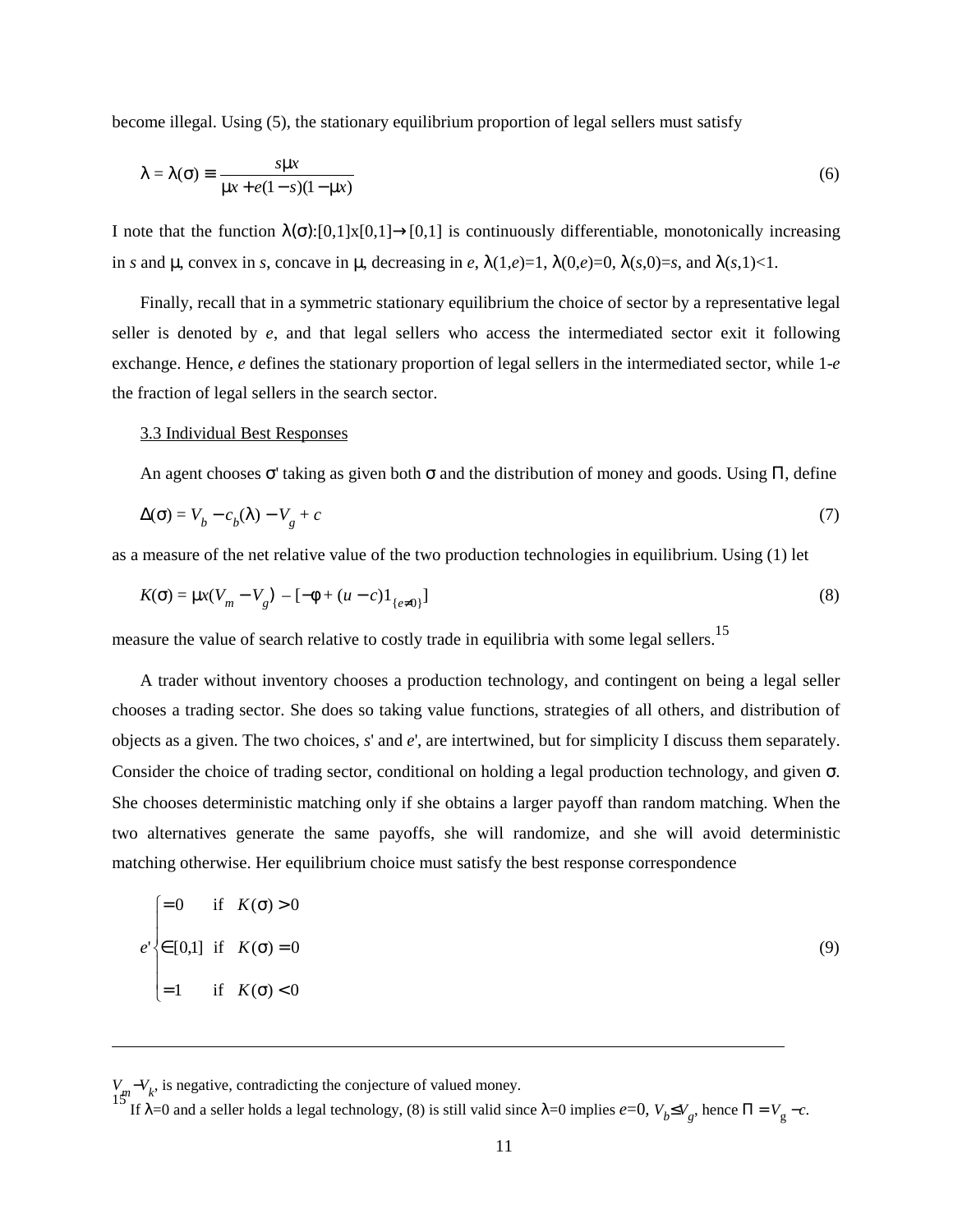become illegal. Using (5), the stationary equilibrium proportion of legal sellers must satisfy

$$
\lambda = \lambda(\sigma) \equiv \frac{s\mu x}{\mu x + e(1 - s)(1 - \mu x)}
$$
(6)

I note that the function  $\lambda(\sigma)$ :[0,1]x[0,1]→[0,1] is continuously differentiable, monotonically increasing in *s* and  $\mu$ , convex in *s*, concave in  $\mu$ , decreasing in *e*,  $\lambda(1,e)=1$ ,  $\lambda(0,e)=0$ ,  $\lambda(s,0)=s$ , and  $\lambda(s,1) < 1$ .

Finally, recall that in a symmetric stationary equilibrium the choice of sector by a representative legal seller is denoted by *e*, and that legal sellers who access the intermediated sector exit it following exchange. Hence, *e* defines the stationary proportion of legal sellers in the intermediated sector, while 1-*e* the fraction of legal sellers in the search sector.

#### 3.3 Individual Best Responses

An agent chooses  $\sigma'$  taking as given both  $\sigma$  and the distribution of money and goods. Using  $\Pi$ , define

$$
\Delta(\sigma) = V_b - c_b(\lambda) - V_g + c \tag{7}
$$

as a measure of the net relative value of the two production technologies in equilibrium. Using (1) let

$$
K(\sigma) = \mu x (V_m - V_g) - [-\phi + (u - c)1_{\{e \neq 0\}}]
$$
\n(8)

measure the value of search relative to costly trade in equilibria with some legal sellers.<sup>15</sup>

A trader without inventory chooses a production technology, and contingent on being a legal seller chooses a trading sector. She does so taking value functions, strategies of all others, and distribution of objects as a given. The two choices, *s*' and *e*', are intertwined, but for simplicity I discuss them separately. Consider the choice of trading sector, conditional on holding a legal production technology, and given σ. She chooses deterministic matching only if she obtains a larger payoff than random matching. When the two alternatives generate the same payoffs, she will randomize, and she will avoid deterministic matching otherwise. Her equilibrium choice must satisfy the best response correspondence

$$
e' = \begin{cases}\n= 0 & \text{if } K(\sigma) > 0 \\
\in [0,1] & \text{if } K(\sigma) = 0 \\
= 1 & \text{if } K(\sigma) < 0\n\end{cases}
$$
\n(9)

 $V_{\mu} - V_{k}$ , is negative, contradicting the conjecture of valued money.

<sup>15'</sup> If λ=0 and a seller holds a legal technology, (8) is still valid since λ=0 implies *e*=0,  $V_b ≤ V_g$ , hence Π =  $V_g$  –*c*.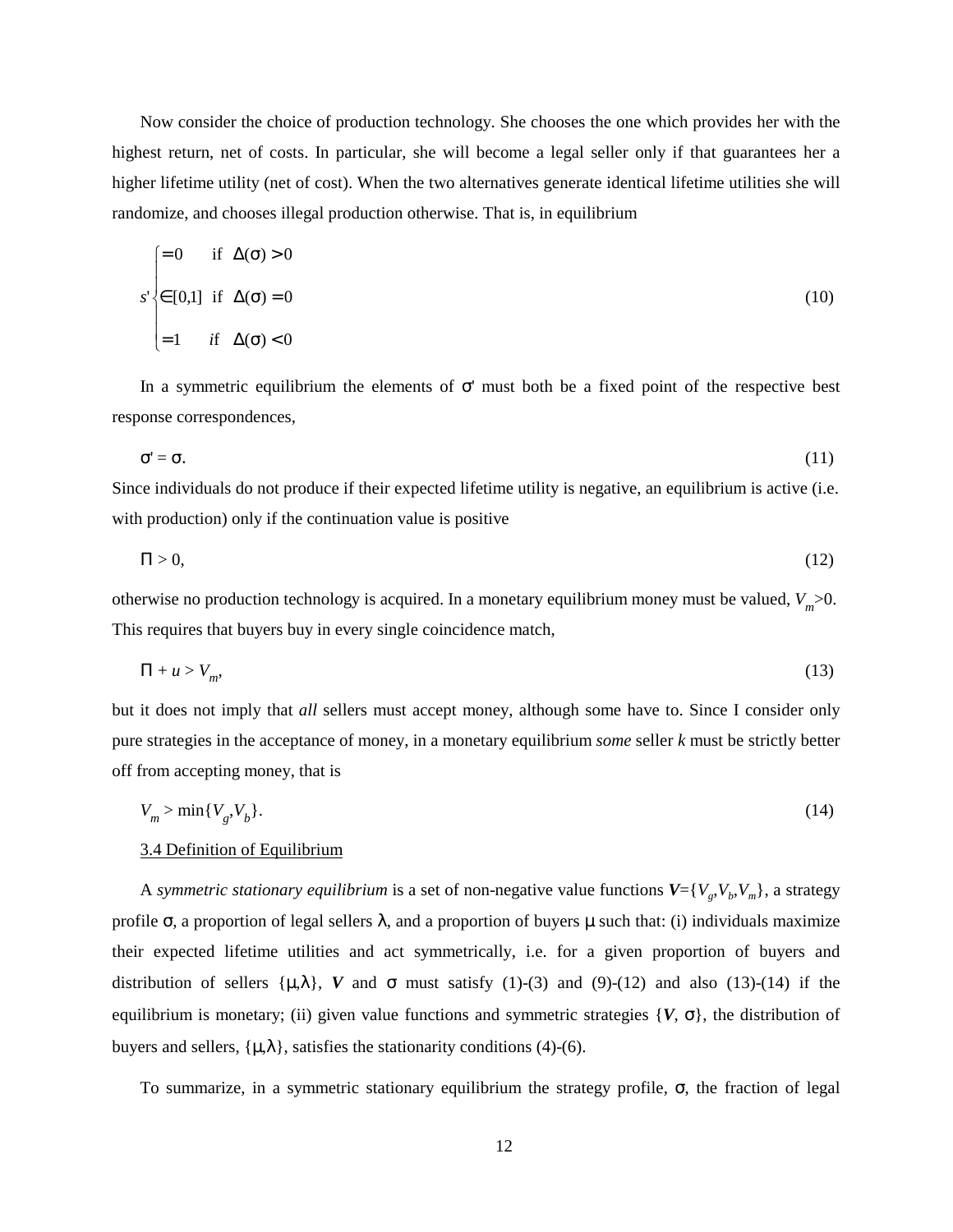Now consider the choice of production technology. She chooses the one which provides her with the highest return, net of costs. In particular, she will become a legal seller only if that guarantees her a higher lifetime utility (net of cost). When the two alternatives generate identical lifetime utilities she will randomize, and chooses illegal production otherwise. That is, in equilibrium

$$
s' \begin{cases} = 0 & \text{if } \Delta(\sigma) > 0 \\ \in [0,1] & \text{if } \Delta(\sigma) = 0 \\ = 1 & \text{if } \Delta(\sigma) < 0 \end{cases}
$$
 (10)

In a symmetric equilibrium the elements of  $\sigma'$  must both be a fixed point of the respective best response correspondences,

$$
\sigma' = \sigma.
$$
 (11)

Since individuals do not produce if their expected lifetime utility is negative, an equilibrium is active (i.e. with production) only if the continuation value is positive

$$
\Pi > 0,\tag{12}
$$

otherwise no production technology is acquired. In a monetary equilibrium money must be valued,  $V_m$  >0. This requires that buyers buy in every single coincidence match,

$$
\Pi + u > V_m,\tag{13}
$$

but it does not imply that *all* sellers must accept money, although some have to. Since I consider only pure strategies in the acceptance of money, in a monetary equilibrium *some* seller *k* must be strictly better off from accepting money, that is

$$
V_m > \min\{V_g, V_b\}.\tag{14}
$$

### 3.4 Definition of Equilibrium

A *symmetric stationary equilibrium* is a set of non-negative value functions  $V = \{V_g, V_h, V_m\}$ , a strategy profile  $\sigma$ , a proportion of legal sellers  $\lambda$ , and a proportion of buyers  $\mu$  such that: (i) individuals maximize their expected lifetime utilities and act symmetrically, i.e. for a given proportion of buyers and distribution of sellers  $\{\mu, \lambda\}$ , *V* and  $\sigma$  must satisfy (1)-(3) and (9)-(12) and also (13)-(14) if the equilibrium is monetary; (ii) given value functions and symmetric strategies  $\{V, \sigma\}$ , the distribution of buyers and sellers,  $\{\mu, \lambda\}$ , satisfies the stationarity conditions (4)-(6).

To summarize, in a symmetric stationary equilibrium the strategy profile, σ, the fraction of legal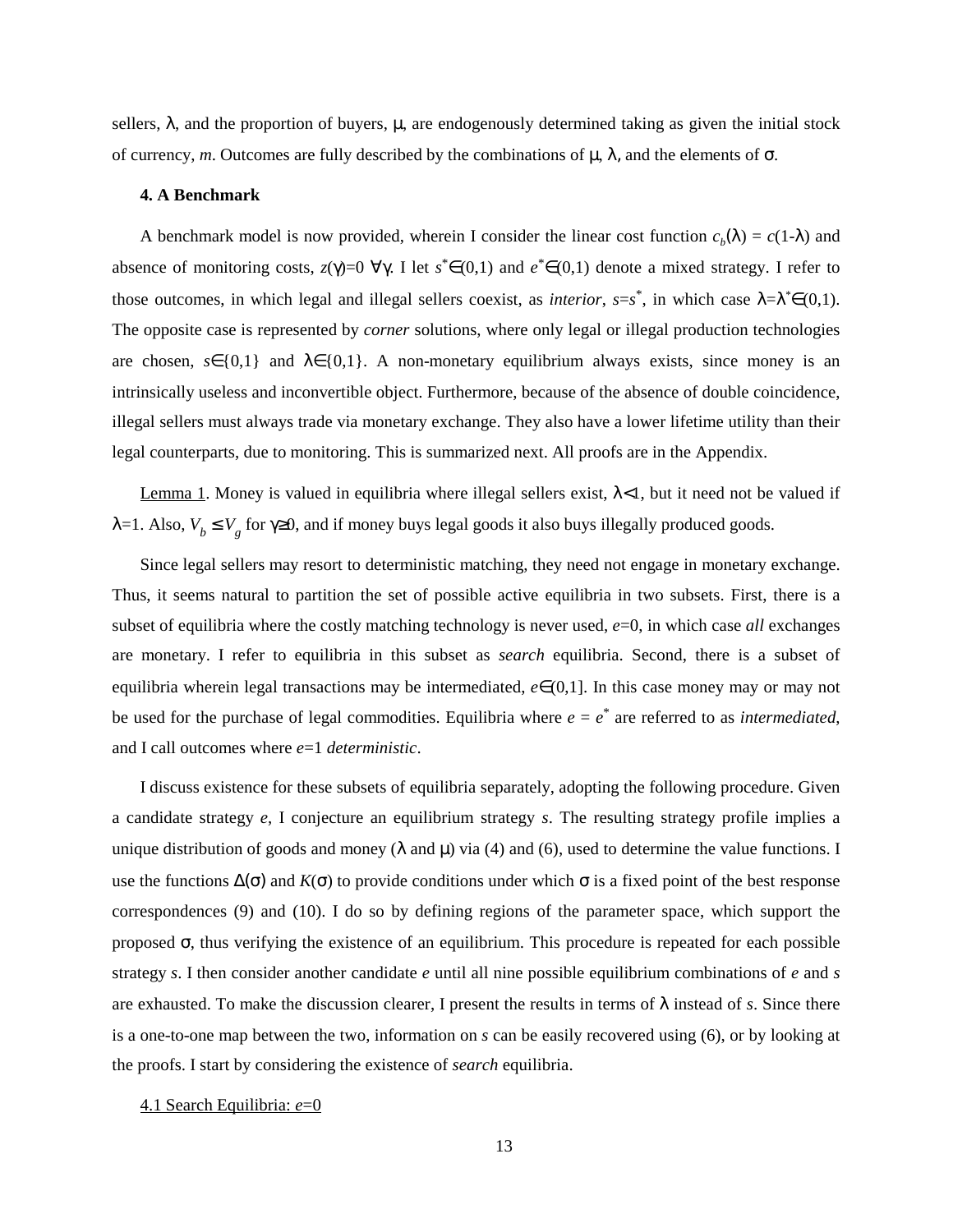sellers,  $\lambda$ , and the proportion of buyers,  $\mu$ , are endogenously determined taking as given the initial stock of currency, *m*. Outcomes are fully described by the combinations of  $\mu$ ,  $\lambda$ , and the elements of σ.

#### **4. A Benchmark**

A benchmark model is now provided, wherein I consider the linear cost function  $c_b(\lambda) = c(1-\lambda)$  and absence of monitoring costs, *z*(γ)=0 ∀γ. I let  $s^* ∈ (0,1)$  and  $e^* ∈ (0,1)$  denote a mixed strategy. I refer to those outcomes, in which legal and illegal sellers coexist, as *interior*,  $s=s^*$ , in which case  $\lambda = \lambda^* \in (0,1)$ . The opposite case is represented by *corner* solutions, where only legal or illegal production technologies are chosen,  $s \in \{0,1\}$  and  $\lambda \in \{0,1\}$ . A non-monetary equilibrium always exists, since money is an intrinsically useless and inconvertible object. Furthermore, because of the absence of double coincidence, illegal sellers must always trade via monetary exchange. They also have a lower lifetime utility than their legal counterparts, due to monitoring. This is summarized next. All proofs are in the Appendix.

Lemma 1. Money is valued in equilibria where illegal sellers exist,  $\lambda \leq 1$ , but it need not be valued if λ=1. Also, *V<sub>b</sub>* ≤ *V<sub>g</sub>* for γ≥0, and if money buys legal goods it also buys illegally produced goods.

Since legal sellers may resort to deterministic matching, they need not engage in monetary exchange. Thus, it seems natural to partition the set of possible active equilibria in two subsets. First, there is a subset of equilibria where the costly matching technology is never used,  $e=0$ , in which case *all* exchanges are monetary. I refer to equilibria in this subset as *search* equilibria. Second, there is a subset of equilibria wherein legal transactions may be intermediated, *e*∈(0,1]. In this case money may or may not be used for the purchase of legal commodities. Equilibria where  $e = e^*$  are referred to as *intermediated*, and I call outcomes where *e*=1 *deterministic*.

I discuss existence for these subsets of equilibria separately, adopting the following procedure. Given a candidate strategy *e*, I conjecture an equilibrium strategy *s*. The resulting strategy profile implies a unique distribution of goods and money ( $\lambda$  and  $\mu$ ) via (4) and (6), used to determine the value functions. I use the functions  $\Delta(\sigma)$  and  $K(\sigma)$  to provide conditions under which  $\sigma$  is a fixed point of the best response correspondences (9) and (10). I do so by defining regions of the parameter space, which support the proposed  $\sigma$ , thus verifying the existence of an equilibrium. This procedure is repeated for each possible strategy *s*. I then consider another candidate *e* until all nine possible equilibrium combinations of *e* and *s* are exhausted. To make the discussion clearer, I present the results in terms of  $\lambda$  instead of *s*. Since there is a one-to-one map between the two, information on *s* can be easily recovered using (6), or by looking at the proofs. I start by considering the existence of *search* equilibria.

#### 4.1 Search Equilibria: *e*=0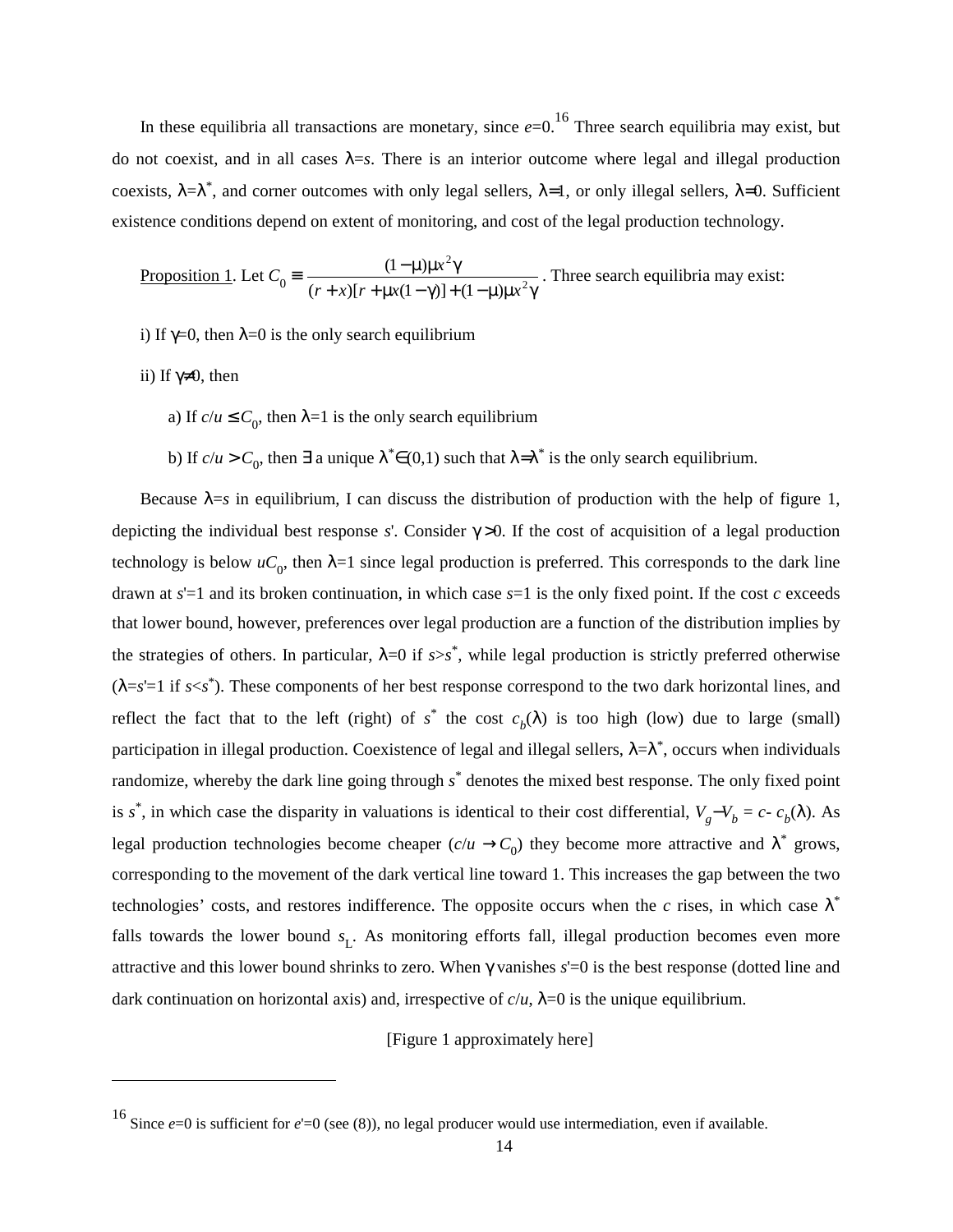In these equilibria all transactions are monetary, since  $e=0$ .<sup>16</sup> Three search equilibria may exist, but do not coexist, and in all cases  $\lambda = s$ . There is an interior outcome where legal and illegal production coexists,  $\lambda = \lambda^*$ , and corner outcomes with only legal sellers,  $\lambda = 1$ , or only illegal sellers,  $\lambda = 0$ . Sufficient existence conditions depend on extent of monitoring, and cost of the legal production technology.

Proposition 1. Let 
$$
C_0 = \frac{(1-\mu)\mu x^2 \gamma}{(r+x)[r+\mu x(1-\gamma)]+(1-\mu)\mu x^2 \gamma}
$$
. Three search equilibria may exist:

- i) If  $\gamma=0$ , then  $\lambda=0$  is the only search equilibrium
- ii) If  $γ≠0$ , then
	- a) If  $c/u \leq C_0$ , then  $\lambda = 1$  is the only search equilibrium
	- b) If  $c/u > C_0$ , then  $\exists$  a unique  $\lambda^* \in (0,1)$  such that  $\lambda = \lambda^*$  is the only search equilibrium.

Because  $\lambda = s$  in equilibrium, I can discuss the distribution of production with the help of figure 1, depicting the individual best response *s*'. Consider  $\gamma > 0$ . If the cost of acquisition of a legal production technology is below  $uC_0$ , then  $\lambda=1$  since legal production is preferred. This corresponds to the dark line drawn at *s*'=1 and its broken continuation, in which case *s*=1 is the only fixed point. If the cost *c* exceeds that lower bound, however, preferences over legal production are a function of the distribution implies by the strategies of others. In particular,  $\lambda = 0$  if  $s > s^*$ , while legal production is strictly preferred otherwise (λ=*s*'=1 if *s*<*s*\* ). These components of her best response correspond to the two dark horizontal lines, and reflect the fact that to the left (right) of  $s^*$  the cost  $c_b(\lambda)$  is too high (low) due to large (small) participation in illegal production. Coexistence of legal and illegal sellers,  $\lambda = \lambda^*$ , occurs when individuals randomize, whereby the dark line going through *s*\* denotes the mixed best response. The only fixed point is *s*<sup>\*</sup>, in which case the disparity in valuations is identical to their cost differential,  $V_g - V_b = c - c_b(\lambda)$ . As legal production technologies become cheaper  $(c/u \rightarrow C_0)$  they become more attractive and  $\lambda^*$  grows, corresponding to the movement of the dark vertical line toward 1. This increases the gap between the two technologies' costs, and restores indifference. The opposite occurs when the  $c$  rises, in which case  $\lambda^*$ falls towards the lower bound  $s_L$ . As monitoring efforts fall, illegal production becomes even more attractive and this lower bound shrinks to zero. When γ vanishes *s*'=0 is the best response (dotted line and dark continuation on horizontal axis) and, irrespective of  $c/u$ ,  $\lambda = 0$  is the unique equilibrium.

[Figure 1 approximately here]

<sup>16</sup> Since *<sup>e</sup>*=0 is sufficient for *<sup>e</sup>*'=0 (see (8)), no legal producer would use intermediation, even if available.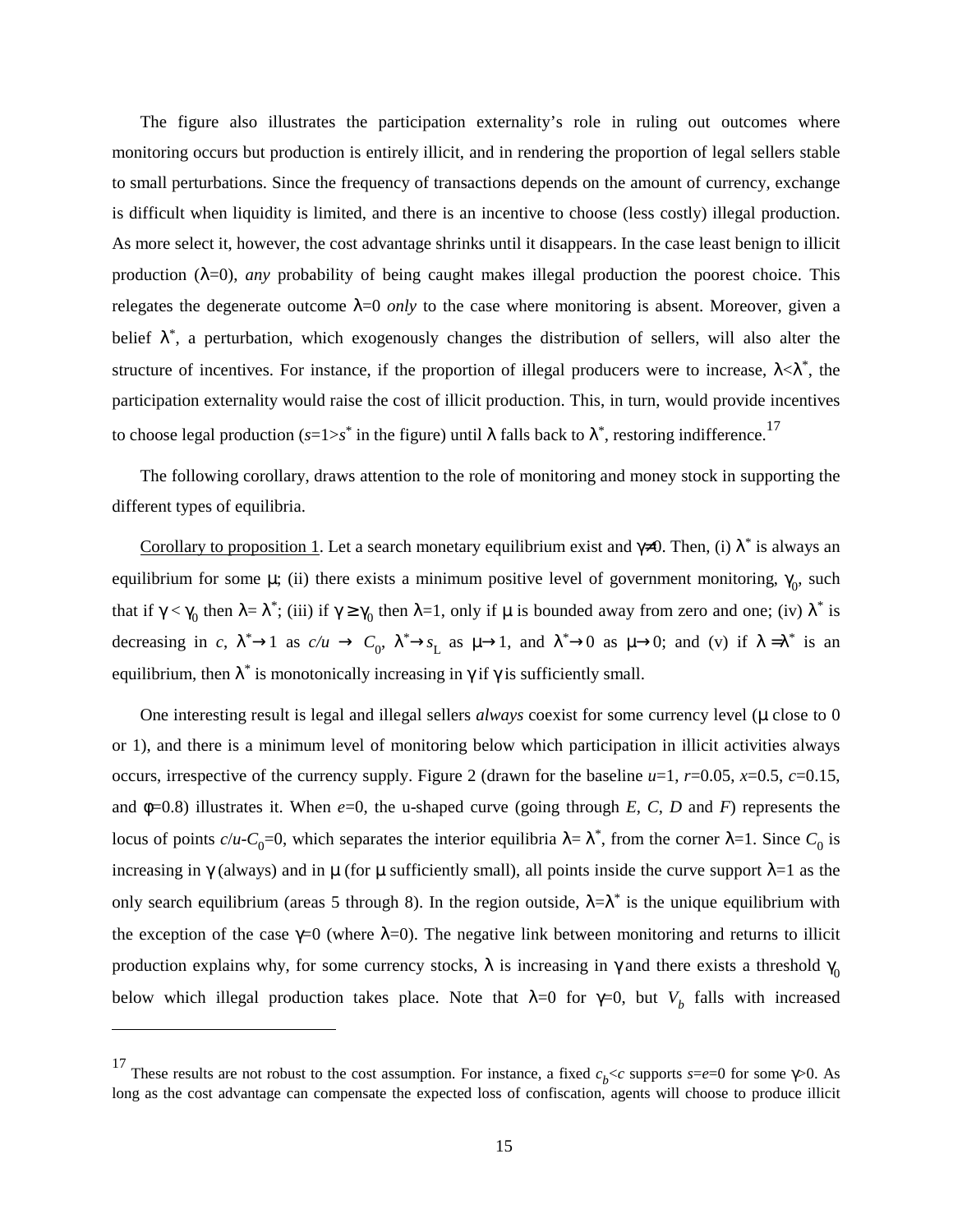The figure also illustrates the participation externality's role in ruling out outcomes where monitoring occurs but production is entirely illicit, and in rendering the proportion of legal sellers stable to small perturbations. Since the frequency of transactions depends on the amount of currency, exchange is difficult when liquidity is limited, and there is an incentive to choose (less costly) illegal production. As more select it, however, the cost advantage shrinks until it disappears. In the case least benign to illicit production  $(\lambda=0)$ , *any* probability of being caught makes illegal production the poorest choice. This relegates the degenerate outcome  $\lambda=0$  *only* to the case where monitoring is absent. Moreover, given a belief  $\lambda^*$ , a perturbation, which exogenously changes the distribution of sellers, will also alter the structure of incentives. For instance, if the proportion of illegal producers were to increase,  $\lambda < \lambda^*$ , the participation externality would raise the cost of illicit production. This, in turn, would provide incentives to choose legal production ( $s=1>s^*$  in the figure) until  $\lambda$  falls back to  $\lambda^*$ , restoring indifference.<sup>17</sup>

The following corollary, draws attention to the role of monitoring and money stock in supporting the different types of equilibria.

Corollary to proposition 1. Let a search monetary equilibrium exist and  $\gamma \neq 0$ . Then, (i)  $\lambda^*$  is always an equilibrium for some  $\mu$ ; (ii) there exists a minimum positive level of government monitoring,  $\gamma_0$ , such that if  $\gamma < \gamma_0$  then  $\lambda = \lambda^*$ ; (iii) if  $\gamma \ge \gamma_0$  then  $\lambda = 1$ , only if  $\mu$  is bounded away from zero and one; (iv)  $\lambda^*$  is decreasing in *c*,  $\lambda^* \rightarrow 1$  as  $c/u \rightarrow C_0$ ,  $\lambda^* \rightarrow s_L$  as  $\mu \rightarrow 1$ , and  $\lambda^* \rightarrow 0$  as  $\mu \rightarrow 0$ ; and (v) if  $\lambda = \lambda^*$  is an equilibrium, then  $\lambda^*$  is monotonically increasing in  $\gamma$  if  $\gamma$  is sufficiently small.

One interesting result is legal and illegal sellers *always* coexist for some currency level ( $\mu$  close to 0 or 1), and there is a minimum level of monitoring below which participation in illicit activities always occurs, irrespective of the currency supply. Figure 2 (drawn for the baseline  $u=1$ ,  $r=0.05$ ,  $x=0.5$ ,  $c=0.15$ , and φ=0.8) illustrates it. When *e*=0, the u-shaped curve (going through *E*, *C*, *D* and *F*) represents the locus of points  $c/u$ - $C_0$ =0, which separates the interior equilibria  $\lambda = \lambda^*$ , from the corner  $\lambda = 1$ . Since  $C_0$  is increasing in  $\gamma$  (always) and in  $\mu$  (for  $\mu$  sufficiently small), all points inside the curve support  $\lambda=1$  as the only search equilibrium (areas 5 through 8). In the region outside,  $\lambda = \lambda^*$  is the unique equilibrium with the exception of the case  $\gamma=0$  (where  $\lambda=0$ ). The negative link between monitoring and returns to illicit production explains why, for some currency stocks,  $\lambda$  is increasing in  $\gamma$  and there exists a threshold  $\gamma_0$ below which illegal production takes place. Note that  $\lambda=0$  for  $\gamma=0$ , but  $V_b$  falls with increased

<sup>&</sup>lt;sup>17</sup> These results are not robust to the cost assumption. For instance, a fixed  $c_b < c$  supports  $s = e = 0$  for some  $\gamma > 0$ . As long as the cost advantage can compensate the expected loss of confiscation, agents will choose to produce illicit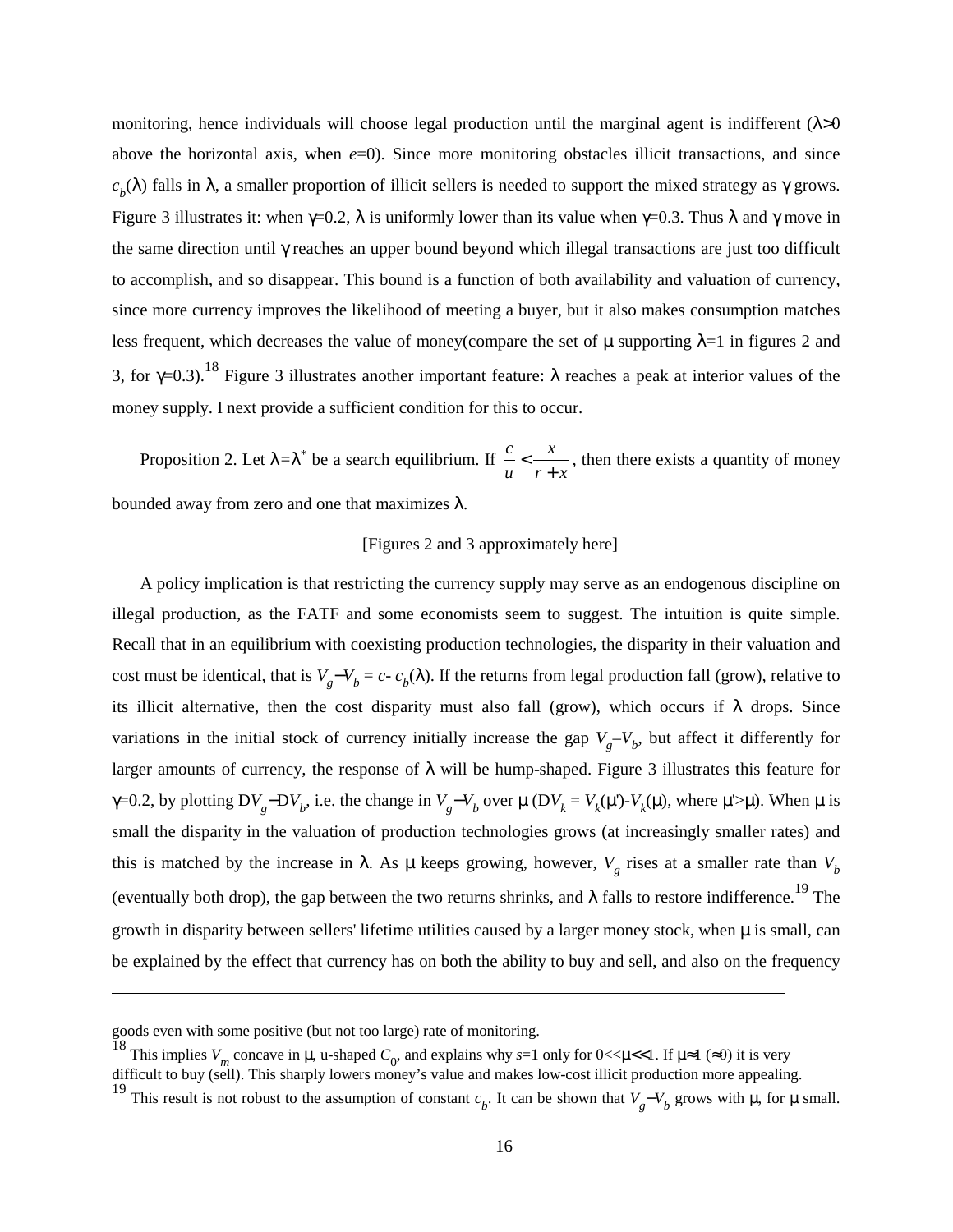monitoring, hence individuals will choose legal production until the marginal agent is indifferent ( $\lambda$ >0 above the horizontal axis, when  $e=0$ ). Since more monitoring obstacles illicit transactions, and since  $c_b(\lambda)$  falls in  $\lambda$ , a smaller proportion of illicit sellers is needed to support the mixed strategy as  $\gamma$  grows. Figure 3 illustrates it: when  $\gamma=0.2$ , λ is uniformly lower than its value when  $\gamma=0.3$ . Thus λ and γ move in the same direction until γ reaches an upper bound beyond which illegal transactions are just too difficult to accomplish, and so disappear. This bound is a function of both availability and valuation of currency, since more currency improves the likelihood of meeting a buyer, but it also makes consumption matches less frequent, which decreases the value of money(compare the set of  $\mu$  supporting  $\lambda=1$  in figures 2 and 3, for  $\gamma=0.3$ .<sup>18</sup> Figure 3 illustrates another important feature:  $\lambda$  reaches a peak at interior values of the money supply. I next provide a sufficient condition for this to occur.

Proposition 2. Let λ*=*λ\* be a search equilibrium. If  $r + x$ *x u c* +  $\lt \rightarrow$ , then there exists a quantity of money bounded away from zero and one that maximizes  $\lambda$ .

#### [Figures 2 and 3 approximately here]

A policy implication is that restricting the currency supply may serve as an endogenous discipline on illegal production, as the FATF and some economists seem to suggest. The intuition is quite simple. Recall that in an equilibrium with coexisting production technologies, the disparity in their valuation and cost must be identical, that is  $V_g - V_b = c - c_b(\lambda)$ . If the returns from legal production fall (grow), relative to its illicit alternative, then the cost disparity must also fall (grow), which occurs if  $\lambda$  drops. Since variations in the initial stock of currency initially increase the gap  $V_g-V_b$ , but affect it differently for larger amounts of currency, the response of  $\lambda$  will be hump-shaped. Figure 3 illustrates this feature for  $γ=0.2$ , by plotting DV<sub>g</sub>−DV<sub>b</sub>, i.e. the change in  $V_g-V_b$  over  $μ$  (DV<sub>k</sub> = V<sub>k</sub>(μ')-V<sub>k</sub>(μ), where μ'>μ). When μ is small the disparity in the valuation of production technologies grows (at increasingly smaller rates) and this is matched by the increase in  $\lambda$ . As  $\mu$  keeps growing, however,  $V_g$  rises at a smaller rate than  $V_b$ (eventually both drop), the gap between the two returns shrinks, and  $\lambda$  falls to restore indifference.<sup>19</sup> The growth in disparity between sellers' lifetime utilities caused by a larger money stock, when  $\mu$  is small, can be explained by the effect that currency has on both the ability to buy and sell, and also on the frequency

goods even with some positive (but not too large) rate of monitoring.

<sup>&</sup>lt;sup>18</sup> This implies  $V_m$  concave in  $\mu$ , u-shaped  $C_0$ , and explains why *s*=1 only for 0<< $\mu$ <<1. If  $\mu \approx 1$  ( $\approx$ 0) it is very

difficult to buy (sell). This sharply lowers money's value and makes low-cost illicit production more appealing.

<sup>&</sup>lt;sup>19</sup> This result is not robust to the assumption of constant  $c_b$ . It can be shown that  $V_g - V_b$  grows with  $\mu$ , for  $\mu$  small.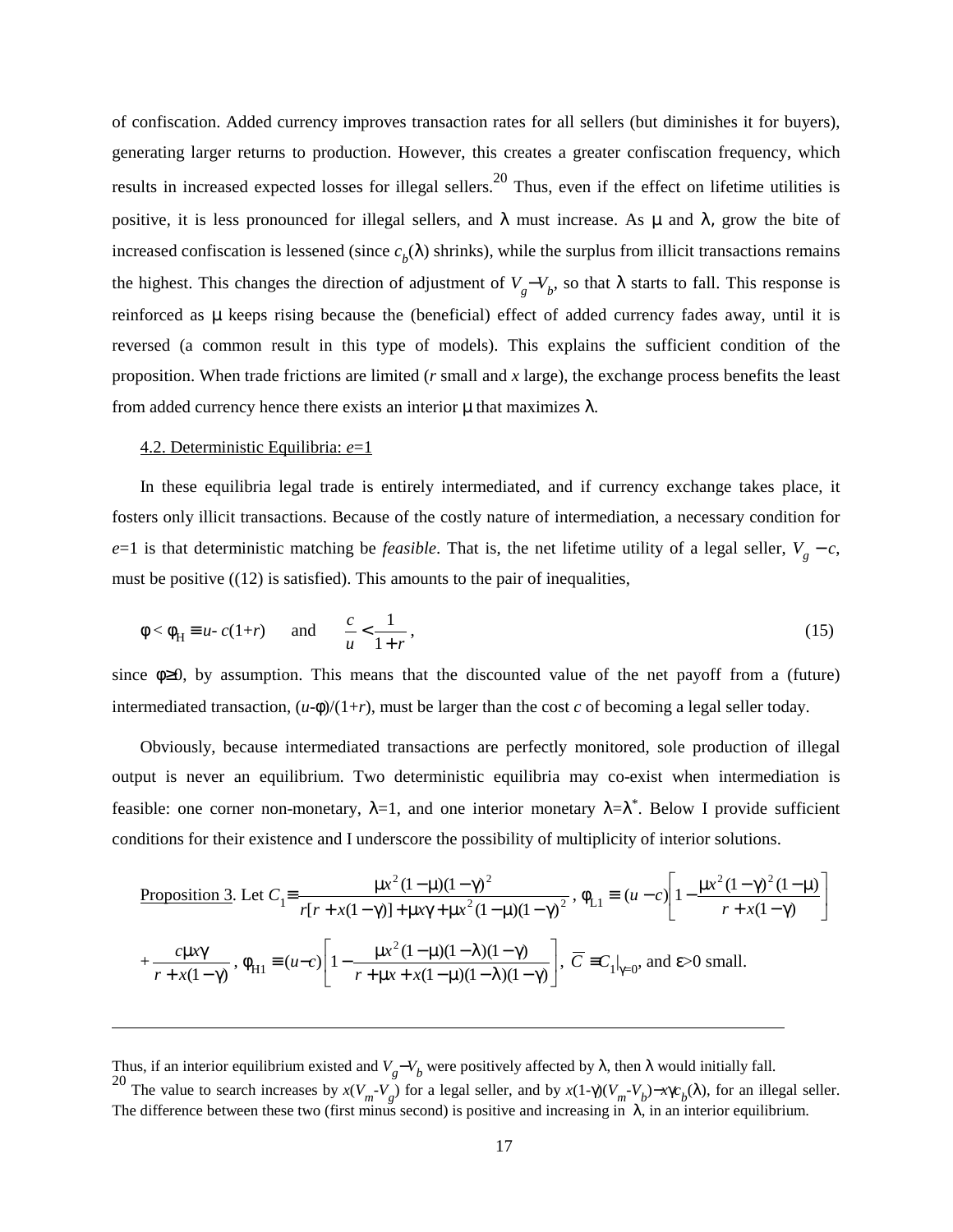of confiscation. Added currency improves transaction rates for all sellers (but diminishes it for buyers), generating larger returns to production. However, this creates a greater confiscation frequency, which results in increased expected losses for illegal sellers.<sup>20</sup> Thus, even if the effect on lifetime utilities is positive, it is less pronounced for illegal sellers, and  $\lambda$  must increase. As  $\mu$  and  $\lambda$ , grow the bite of increased confiscation is lessened (since  $c<sub>b</sub>(\lambda)$  shrinks), while the surplus from illicit transactions remains the highest. This changes the direction of adjustment of  $V_g - V_b$ , so that  $\lambda$  starts to fall. This response is reinforced as µ keeps rising because the (beneficial) effect of added currency fades away, until it is reversed (a common result in this type of models). This explains the sufficient condition of the proposition. When trade frictions are limited (*r* small and *x* large), the exchange process benefits the least from added currency hence there exists an interior  $\mu$  that maximizes  $\lambda$ .

#### 4.2. Deterministic Equilibria: *e*=1

In these equilibria legal trade is entirely intermediated, and if currency exchange takes place, it fosters only illicit transactions. Because of the costly nature of intermediation, a necessary condition for *e*=1 is that deterministic matching be *feasible*. That is, the net lifetime utility of a legal seller,  $V_g - c$ , must be positive  $((12)$  is satisfied). This amounts to the pair of inequalities,

$$
\phi < \phi_H \equiv u - c(1+r) \qquad \text{and} \qquad \frac{c}{u} < \frac{1}{1+r} \,, \tag{15}
$$

since  $\phi \geq 0$ , by assumption. This means that the discounted value of the net payoff from a (future) intermediated transaction,  $(u-\phi)/(1+r)$ , must be larger than the cost *c* of becoming a legal seller today.

Obviously, because intermediated transactions are perfectly monitored, sole production of illegal output is never an equilibrium. Two deterministic equilibria may co-exist when intermediation is feasible: one corner non-monetary,  $\lambda=1$ , and one interior monetary  $\lambda=\lambda^*$ . Below I provide sufficient conditions for their existence and I underscore the possibility of multiplicity of interior solutions.

Proposition 3. Let 
$$
C_1 = \frac{\mu x^2 (1 - \mu)(1 - \gamma)^2}{r[r + x(1 - \gamma)] + \mu x \gamma + \mu x^2 (1 - \mu)(1 - \gamma)^2}
$$
,  $\phi_{L1} = (u - c) \left[ 1 - \frac{\mu x^2 (1 - \gamma)^2 (1 - \mu)}{r + x(1 - \gamma)} \right]$   
+  $\frac{c\mu x \gamma}{r + x(1 - \gamma)}$ ,  $\phi_{H1} = (u - c) \left[ 1 - \frac{\mu x^2 (1 - \mu)(1 - \lambda)(1 - \gamma)}{r + \mu x + x(1 - \mu)(1 - \lambda)(1 - \gamma)} \right]$ ,  $\overline{C} = C_1 |_{\gamma=0}$ , and  $\varepsilon > 0$  small.

Thus, if an interior equilibrium existed and  $V_g - V_b$  were positively affected by  $\lambda$ , then  $\lambda$  would initially fall. <sup>20</sup> The value to search increases by  $x(V_m - V_g)$  for a legal seller, and by  $x(1-\gamma)(V_m - V_b) - x\gamma c_b(\lambda)$ , for an illegal seller. The difference between these two (first minus second) is positive and increasing in  $\lambda$ , in an interior equilibrium.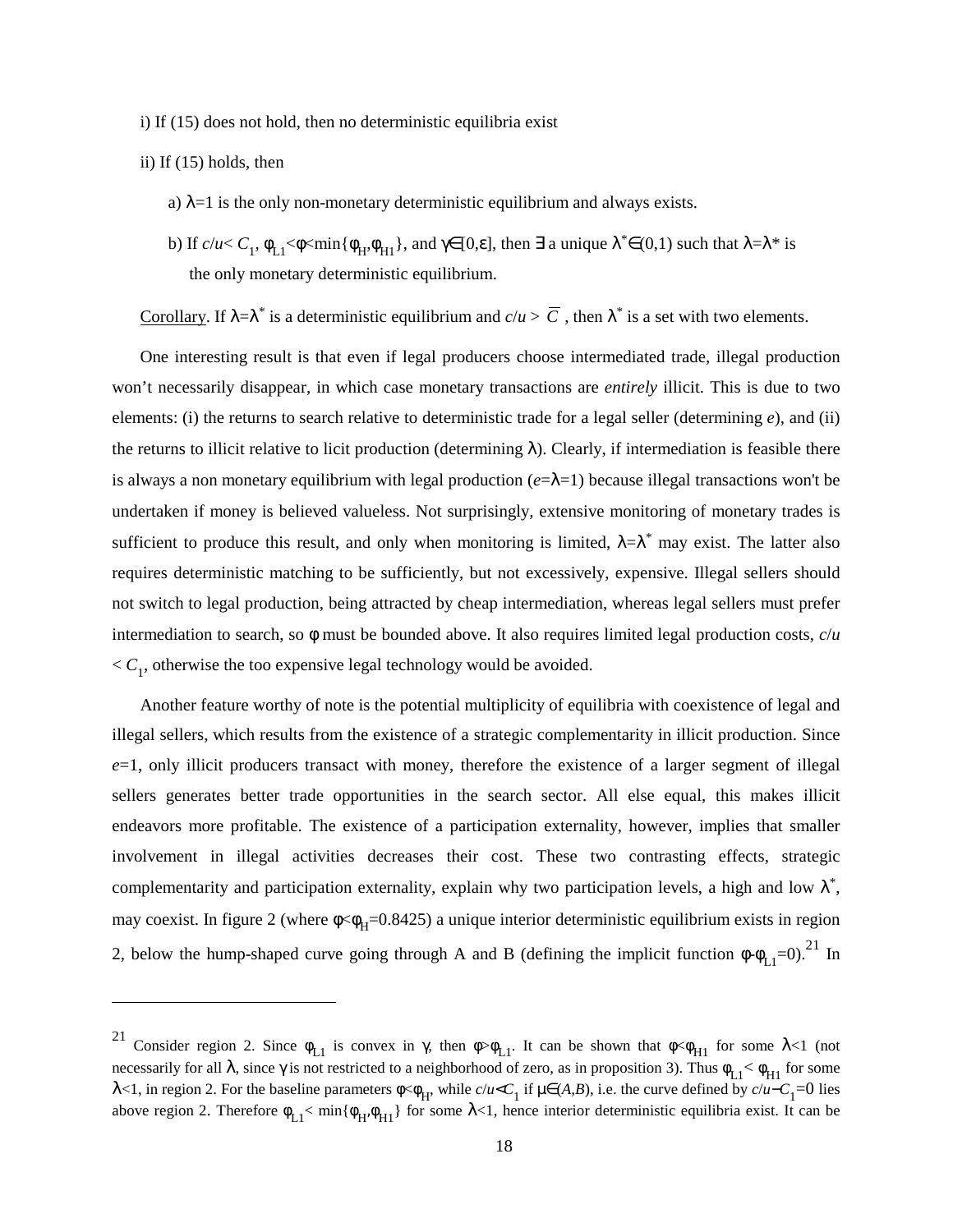i) If (15) does not hold, then no deterministic equilibria exist

#### ii) If (15) holds, then

- a)  $\lambda$ =1 is the only non-monetary deterministic equilibrium and always exists.
- b) If  $c/u < C_1$ ,  $\phi_{L1} < \phi < \min{\phi_H, \phi_{H1}}$ , and  $\gamma \in [0,\varepsilon]$ , then  $\exists$  a unique  $\lambda^* \in (0,1)$  such that  $\lambda = \lambda^*$  is the only monetary deterministic equilibrium.

Corollary. If  $\lambda = \lambda^*$  is a deterministic equilibrium and  $c/u > \overline{C}$ , then  $\lambda^*$  is a set with two elements.

One interesting result is that even if legal producers choose intermediated trade, illegal production won't necessarily disappear, in which case monetary transactions are *entirely* illicit. This is due to two elements: (i) the returns to search relative to deterministic trade for a legal seller (determining *e*), and (ii) the returns to illicit relative to licit production (determining  $\lambda$ ). Clearly, if intermediation is feasible there is always a non monetary equilibrium with legal production  $(e=\lambda=1)$  because illegal transactions won't be undertaken if money is believed valueless. Not surprisingly, extensive monitoring of monetary trades is sufficient to produce this result, and only when monitoring is limited,  $\lambda = \lambda^*$  may exist. The latter also requires deterministic matching to be sufficiently, but not excessively, expensive. Illegal sellers should not switch to legal production, being attracted by cheap intermediation, whereas legal sellers must prefer intermediation to search, so  $\phi$  must be bounded above. It also requires limited legal production costs,  $c/u$  $\langle C_1,$  otherwise the too expensive legal technology would be avoided.

Another feature worthy of note is the potential multiplicity of equilibria with coexistence of legal and illegal sellers, which results from the existence of a strategic complementarity in illicit production. Since *e*=1, only illicit producers transact with money, therefore the existence of a larger segment of illegal sellers generates better trade opportunities in the search sector. All else equal, this makes illicit endeavors more profitable. The existence of a participation externality, however, implies that smaller involvement in illegal activities decreases their cost. These two contrasting effects, strategic complementarity and participation externality, explain why two participation levels, a high and low  $\lambda^*$ , may coexist. In figure 2 (where  $\phi \ll \phi_H = 0.8425$ ) a unique interior deterministic equilibrium exists in region 2, below the hump-shaped curve going through A and B (defining the implicit function  $\phi \cdot \phi_{L1} = 0$ ).<sup>21</sup> In

Consider region 2. Since  $\phi_{L1}$  is convex in  $\gamma$ , then  $\phi > \phi_{L1}$ . It can be shown that  $\phi < \phi_{H1}$  for some  $\lambda < 1$  (not necessarily for all  $\lambda$ , since  $\gamma$  is not restricted to a neighborhood of zero, as in proposition 3). Thus  $\phi_{L1} < \phi_{H1}$  for some λ<1, in region 2. For the baseline parameters  $\phi \sim \phi_H$ , while *c*/*u*<*C*<sub>1</sub> if  $\mu \in (A,B)$ , i.e. the curve defined by *c*/*u*−*C*<sub>1</sub>=0 lies above region 2. Therefore  $\phi_{L1}$ < min $\{\phi_H, \phi_{H1}\}$  for some  $\lambda$ <1, hence interior deterministic equilibria exist. It can be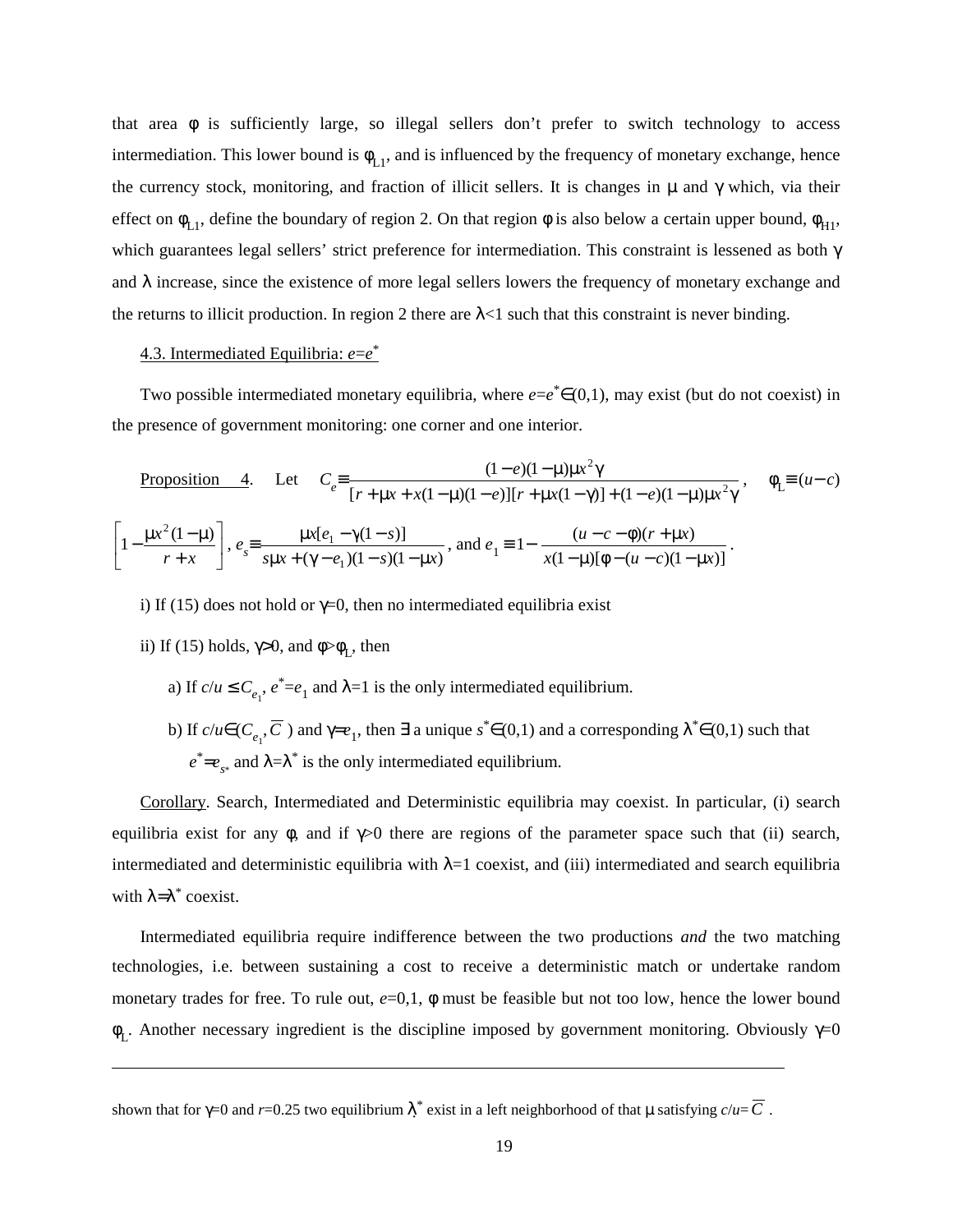that area  $\phi$  is sufficiently large, so illegal sellers don't prefer to switch technology to access intermediation. This lower bound is  $\phi_{L1}$ , and is influenced by the frequency of monetary exchange, hence the currency stock, monitoring, and fraction of illicit sellers. It is changes in  $\mu$  and  $\gamma$  which, via their effect on  $\phi_{L1}$ , define the boundary of region 2. On that region  $\phi$  is also below a certain upper bound,  $\phi_{H1}$ , which guarantees legal sellers' strict preference for intermediation. This constraint is lessened as both γ and  $\lambda$  increase, since the existence of more legal sellers lowers the frequency of monetary exchange and the returns to illicit production. In region 2 there are  $\lambda$ <1 such that this constraint is never binding.

# 4.3. Intermediated Equilibria: *e*=*e*\*

Two possible intermediated monetary equilibria, where  $e=e^* \in (0,1)$ , may exist (but do not coexist) in the presence of government monitoring: one corner and one interior.

Proposition 4. Let 
$$
C_e = \frac{(1-e)(1-\mu)\mu x^2 \gamma}{[r+\mu x + x(1-\mu)(1-e)][r+\mu x(1-\gamma)] + (1-e)(1-\mu)\mu x^2 \gamma}
$$
,  $\phi_L = (u-c)$   
\n $\left[1 - \frac{\mu x^2 (1-\mu)}{r+x}\right]$ ,  $e_s = \frac{\mu x [e_1 - \gamma (1-s)]}{s \mu x + (\gamma - e_1)(1-s)(1-\mu x)}$ , and  $e_1 = 1 - \frac{(u-c-\phi)(r+\mu x)}{x(1-\mu)[\phi - (u-c)(1-\mu x)]}$ .

- i) If (15) does not hold or  $\gamma=0$ , then no intermediated equilibria exist
- ii) If (15) holds,  $\gamma > 0$ , and  $\phi > \phi_L$ , then
	- a) If  $c/u \le C_{e_1}$ ,  $e^* = e_1$  and  $\lambda = 1$  is the only intermediated equilibrium.
	- b) If  $c/u \in (C_{e_1}, \overline{C})$  and  $\gamma = e_1$ , then  $\exists$  a unique  $s^* \in (0,1)$  and a corresponding  $\lambda^* \in (0,1)$  such that  $e^* = e_{\gamma*}$  and  $\lambda = \lambda^*$  is the only intermediated equilibrium.

Corollary. Search, Intermediated and Deterministic equilibria may coexist. In particular, (i) search equilibria exist for any  $\phi$ , and if  $\gamma$  0 there are regions of the parameter space such that (ii) search, intermediated and deterministic equilibria with  $\lambda=1$  coexist, and (iii) intermediated and search equilibria with  $\lambda = \lambda^*$  coexist.

Intermediated equilibria require indifference between the two productions *and* the two matching technologies, i.e. between sustaining a cost to receive a deterministic match or undertake random monetary trades for free. To rule out, *e*=0,1, φ must be feasible but not too low, hence the lower bound  $\phi_L$ . Another necessary ingredient is the discipline imposed by government monitoring. Obviously  $\gamma=0$ 

shown that for  $\gamma$ =0 and *r*=0.25 two equilibrium  $\lambda^*$  exist in a left neighborhood of that  $\mu$  satisfying  $c/u$ =  $\overline{C}$  .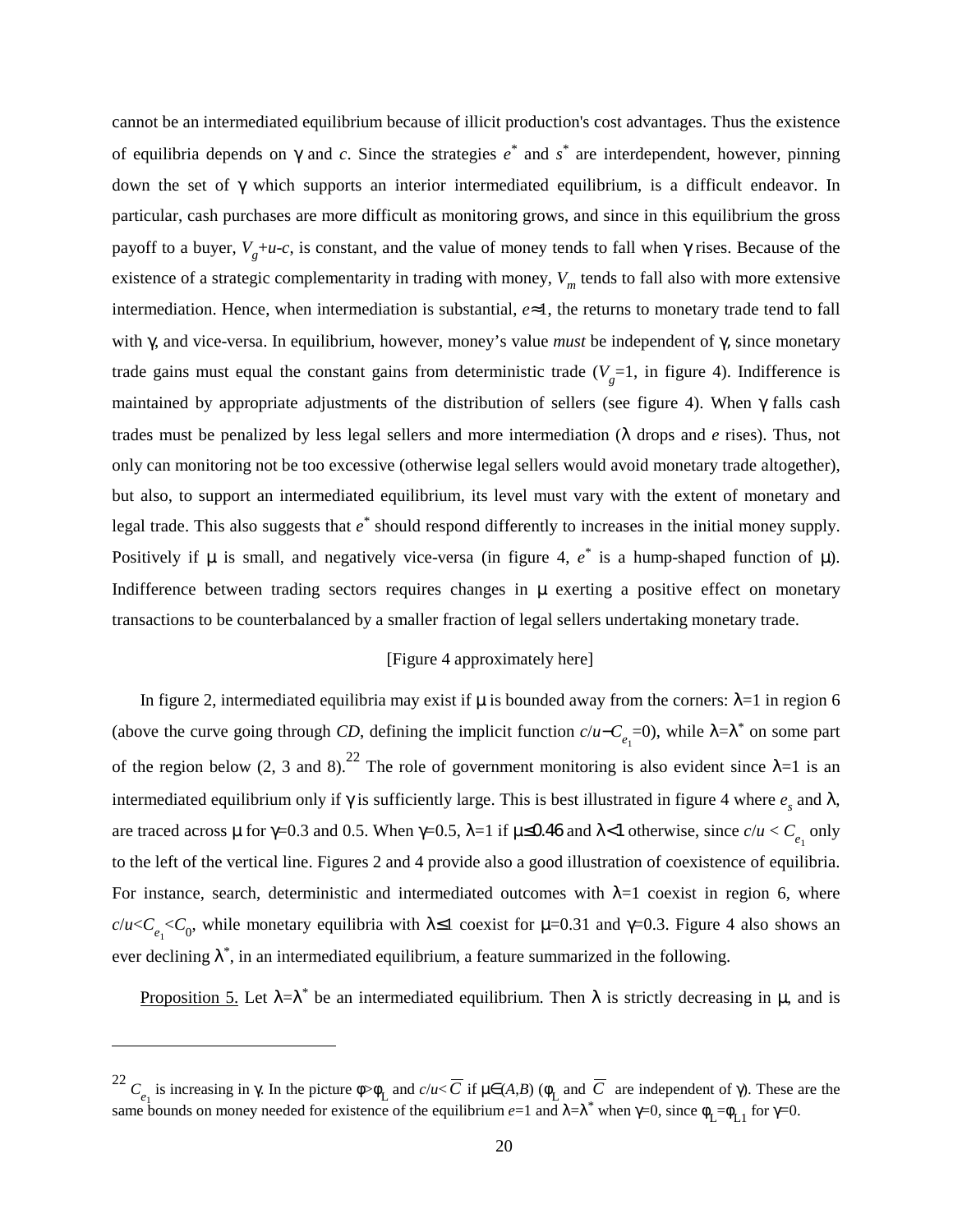cannot be an intermediated equilibrium because of illicit production's cost advantages. Thus the existence of equilibria depends on γ and *c*. Since the strategies *e*\* and *s*\* are interdependent, however, pinning down the set of γ which supports an interior intermediated equilibrium, is a difficult endeavor. In particular, cash purchases are more difficult as monitoring grows, and since in this equilibrium the gross payoff to a buyer,  $V_g + u-c$ , is constant, and the value of money tends to fall when  $\gamma$  rises. Because of the existence of a strategic complementarity in trading with money,  $V<sub>m</sub>$  tends to fall also with more extensive intermediation. Hence, when intermediation is substantial, *e*≈1, the returns to monetary trade tend to fall with γ, and vice-versa. In equilibrium, however, money's value *must* be independent of γ, since monetary trade gains must equal the constant gains from deterministic trade  $(V<sub>g</sub>=1$ , in figure 4). Indifference is maintained by appropriate adjustments of the distribution of sellers (see figure 4). When  $\gamma$  falls cash trades must be penalized by less legal sellers and more intermediation (λ drops and *e* rises). Thus, not only can monitoring not be too excessive (otherwise legal sellers would avoid monetary trade altogether), but also, to support an intermediated equilibrium, its level must vary with the extent of monetary and legal trade. This also suggests that *e*\* should respond differently to increases in the initial money supply. Positively if  $\mu$  is small, and negatively vice-versa (in figure 4,  $e^*$  is a hump-shaped function of  $\mu$ ). Indifference between trading sectors requires changes in µ exerting a positive effect on monetary transactions to be counterbalanced by a smaller fraction of legal sellers undertaking monetary trade.

# [Figure 4 approximately here]

In figure 2, intermediated equilibria may exist if  $\mu$  is bounded away from the corners:  $\lambda=1$  in region 6 (above the curve going through *CD*, defining the implicit function  $c/u-C_{e_1}=0$ ), while  $\lambda=\lambda^*$  on some part of the region below (2, 3 and 8).<sup>22</sup> The role of government monitoring is also evident since  $\lambda=1$  is an intermediated equilibrium only if  $\gamma$  is sufficiently large. This is best illustrated in figure 4 where  $e_s$  and  $\lambda$ , are traced across  $\mu$  for  $\gamma$ =0.3 and 0.5. When  $\gamma$ =0.5,  $\lambda$ =1 if  $\mu$ ≤0.46 and  $\lambda$ <1 otherwise, since  $c/u < C_{e_1}$  only to the left of the vertical line. Figures 2 and 4 provide also a good illustration of coexistence of equilibria. For instance, search, deterministic and intermediated outcomes with  $\lambda=1$  coexist in region 6, where  $c/u < C_{e_1} < C_0$ , while monetary equilibria with λ≤1 coexist for μ=0.31 and γ=0.3. Figure 4 also shows an ever declining  $\lambda^*$ , in an intermediated equilibrium, a feature summarized in the following.

Proposition 5. Let  $\lambda = \lambda^*$  be an intermediated equilibrium. Then  $\lambda$  is strictly decreasing in  $\mu$ , and is

<sup>&</sup>lt;sup>22</sup> *C*<sub>*e*<sub>1</sub></sub> is increasing in γ. In the picture φ> $φ$ <sub>L</sub> and *c*/*u* <  $\overline{C}$  if μ∈(*A*,*B*) ( $φ$ <sub>L</sub> and  $\overline{C}$  are independent of γ). These are the same bounds on money needed for existence of the equilibrium  $e=1$  and  $\lambda = \lambda^*$  when  $\gamma = 0$ , since  $\phi_L = \phi_{L1}$  for  $\gamma = 0$ .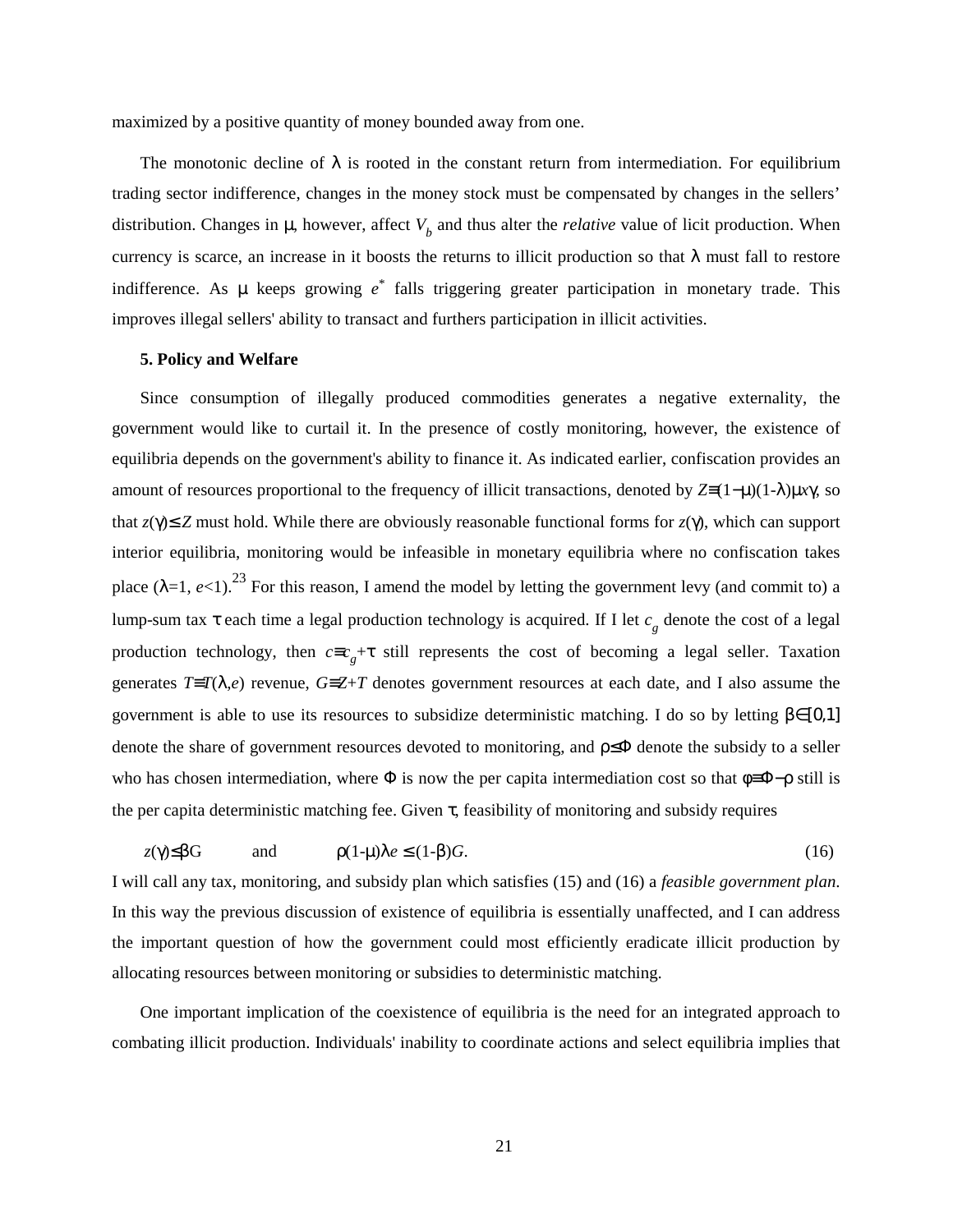maximized by a positive quantity of money bounded away from one.

The monotonic decline of  $\lambda$  is rooted in the constant return from intermediation. For equilibrium trading sector indifference, changes in the money stock must be compensated by changes in the sellers' distribution. Changes in  $\mu$ , however, affect  $V_b$  and thus alter the *relative* value of licit production. When currency is scarce, an increase in it boosts the returns to illicit production so that  $\lambda$  must fall to restore indifference. As µ keeps growing *e*\* falls triggering greater participation in monetary trade. This improves illegal sellers' ability to transact and furthers participation in illicit activities.

### **5. Policy and Welfare**

Since consumption of illegally produced commodities generates a negative externality, the government would like to curtail it. In the presence of costly monitoring, however, the existence of equilibria depends on the government's ability to finance it. As indicated earlier, confiscation provides an amount of resources proportional to the frequency of illicit transactions, denoted by  $Z=(1-\mu)(1-\lambda)\mu x\gamma$ , so that  $z(y) \leq Z$  must hold. While there are obviously reasonable functional forms for  $z(y)$ , which can support interior equilibria, monitoring would be infeasible in monetary equilibria where no confiscation takes place  $(\lambda=1, e<1)$ .<sup>23</sup> For this reason, I amend the model by letting the government levy (and commit to) a lump-sum tax τ each time a legal production technology is acquired. If I let *c*<sub>g</sub> denote the cost of a legal production technology, then *c*≡*c g* +τ still represents the cost of becoming a legal seller. Taxation generates *T*≡*T*(λ,*e*) revenue, *G*≡*Z*+*T* denotes government resources at each date, and I also assume the government is able to use its resources to subsidize deterministic matching. I do so by letting  $β ∈ [0,1]$ denote the share of government resources devoted to monitoring, and ρ≤Φ denote the subsidy to a seller who has chosen intermediation, where  $\Phi$  is now the per capita intermediation cost so that  $\phi \equiv \Phi - \rho$  still is the per capita deterministic matching fee. Given  $\tau$ , feasibility of monitoring and subsidy requires

 $z(\gamma) \leq \beta G$  and  $\rho(1-\mu)\lambda e \leq (1-\beta)G$ . (16)

I will call any tax, monitoring, and subsidy plan which satisfies (15) and (16) a *feasible government plan*. In this way the previous discussion of existence of equilibria is essentially unaffected, and I can address the important question of how the government could most efficiently eradicate illicit production by allocating resources between monitoring or subsidies to deterministic matching.

One important implication of the coexistence of equilibria is the need for an integrated approach to combating illicit production. Individuals' inability to coordinate actions and select equilibria implies that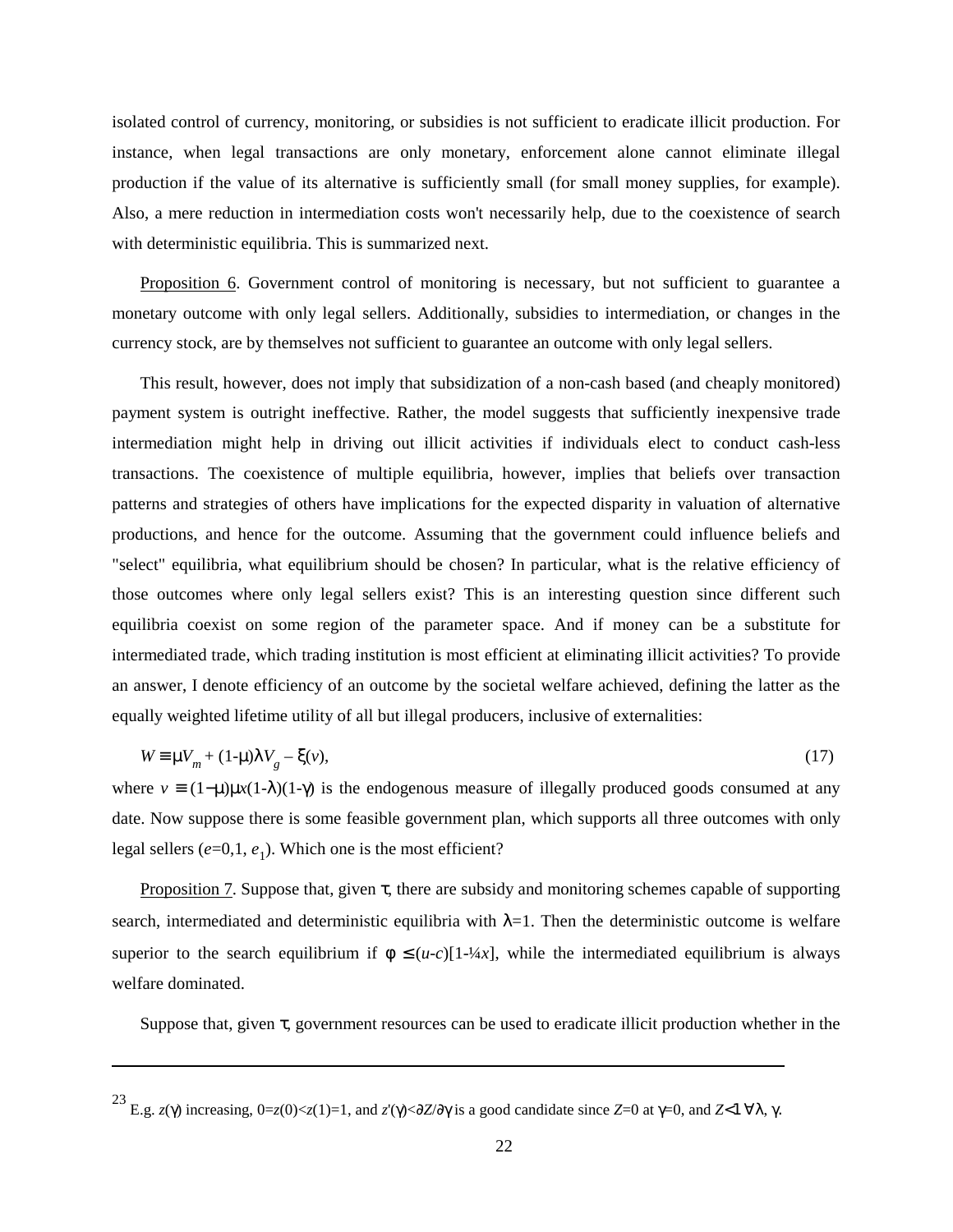isolated control of currency, monitoring, or subsidies is not sufficient to eradicate illicit production. For instance, when legal transactions are only monetary, enforcement alone cannot eliminate illegal production if the value of its alternative is sufficiently small (for small money supplies, for example). Also, a mere reduction in intermediation costs won't necessarily help, due to the coexistence of search with deterministic equilibria. This is summarized next.

Proposition 6. Government control of monitoring is necessary, but not sufficient to guarantee a monetary outcome with only legal sellers. Additionally, subsidies to intermediation, or changes in the currency stock, are by themselves not sufficient to guarantee an outcome with only legal sellers.

This result, however, does not imply that subsidization of a non-cash based (and cheaply monitored) payment system is outright ineffective. Rather, the model suggests that sufficiently inexpensive trade intermediation might help in driving out illicit activities if individuals elect to conduct cash-less transactions. The coexistence of multiple equilibria, however, implies that beliefs over transaction patterns and strategies of others have implications for the expected disparity in valuation of alternative productions, and hence for the outcome. Assuming that the government could influence beliefs and "select" equilibria, what equilibrium should be chosen? In particular, what is the relative efficiency of those outcomes where only legal sellers exist? This is an interesting question since different such equilibria coexist on some region of the parameter space. And if money can be a substitute for intermediated trade, which trading institution is most efficient at eliminating illicit activities? To provide an answer, I denote efficiency of an outcome by the societal welfare achieved, defining the latter as the equally weighted lifetime utility of all but illegal producers, inclusive of externalities:

$$
W \equiv \mu V_m + (1 - \mu)\lambda V_g - \xi(v),\tag{17}
$$

where  $v = (1-\mu)\mu x(1-\lambda)(1-\gamma)$  is the endogenous measure of illegally produced goods consumed at any date. Now suppose there is some feasible government plan, which supports all three outcomes with only legal sellers  $(e=0,1, e_1)$ . Which one is the most efficient?

Proposition 7. Suppose that, given  $\tau$ , there are subsidy and monitoring schemes capable of supporting search, intermediated and deterministic equilibria with  $\lambda=1$ . Then the deterministic outcome is welfare superior to the search equilibrium if  $\phi \leq (u-c)[1-4\alpha x]$ , while the intermediated equilibrium is always welfare dominated.

Suppose that, given τ, government resources can be used to eradicate illicit production whether in the

<sup>&</sup>lt;sup>23</sup> E.g. *z*(γ) increasing, 0=*z*(0)<*z*(1)=1, and *z'*(γ)<∂*Z*/∂γ is a good candidate since *Z*=0 at γ=0, and *Z*<1 ∀λ, γ.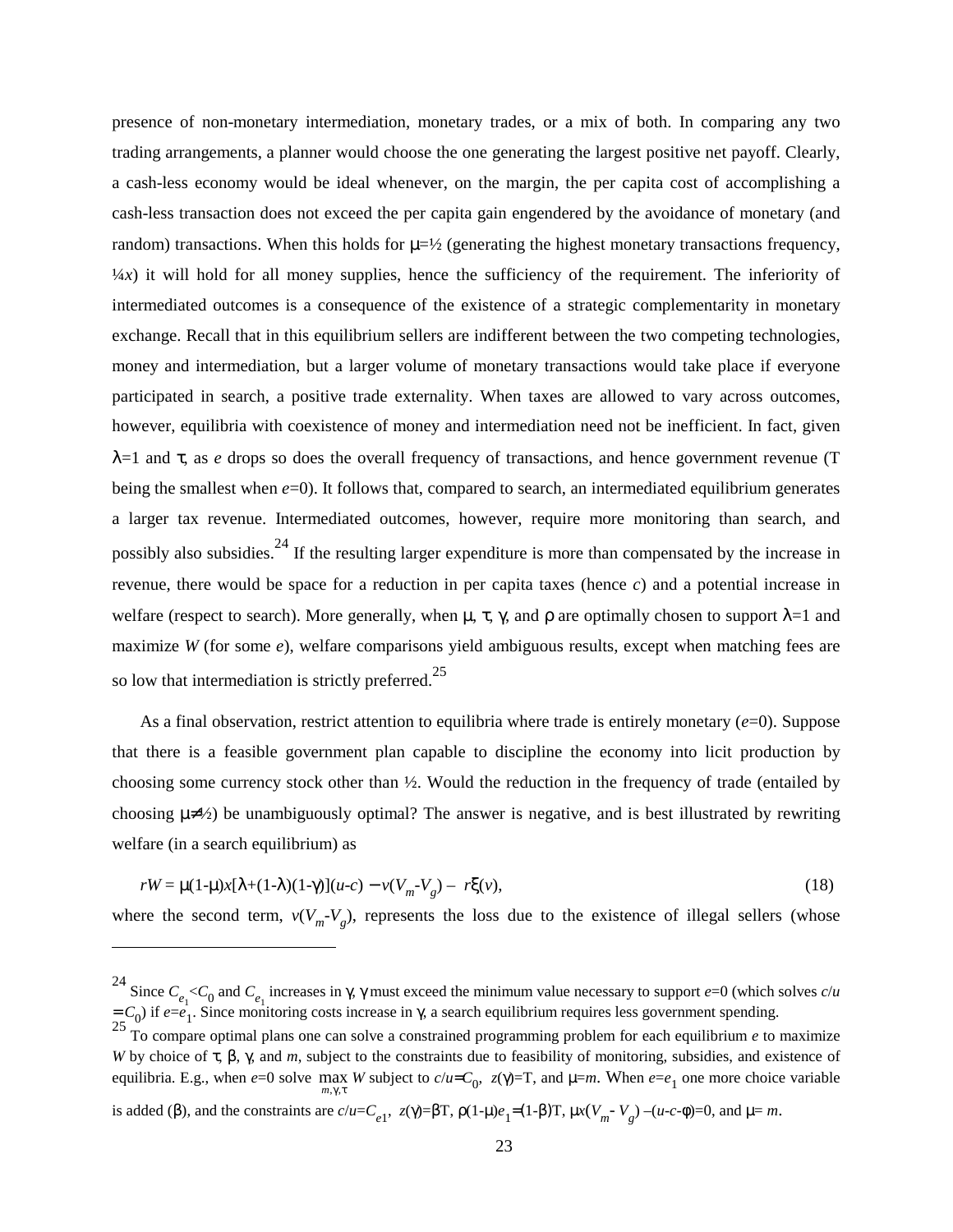presence of non-monetary intermediation, monetary trades, or a mix of both. In comparing any two trading arrangements, a planner would choose the one generating the largest positive net payoff. Clearly, a cash-less economy would be ideal whenever, on the margin, the per capita cost of accomplishing a cash-less transaction does not exceed the per capita gain engendered by the avoidance of monetary (and random) transactions. When this holds for  $\mu=\frac{1}{2}$  (generating the highest monetary transactions frequency,  $\frac{1}{4}x$ ) it will hold for all money supplies, hence the sufficiency of the requirement. The inferiority of intermediated outcomes is a consequence of the existence of a strategic complementarity in monetary exchange. Recall that in this equilibrium sellers are indifferent between the two competing technologies, money and intermediation, but a larger volume of monetary transactions would take place if everyone participated in search, a positive trade externality. When taxes are allowed to vary across outcomes, however, equilibria with coexistence of money and intermediation need not be inefficient. In fact, given λ=1 and τ, as *e* drops so does the overall frequency of transactions, and hence government revenue (T being the smallest when *e*=0). It follows that, compared to search, an intermediated equilibrium generates a larger tax revenue. Intermediated outcomes, however, require more monitoring than search, and possibly also subsidies.<sup>24</sup> If the resulting larger expenditure is more than compensated by the increase in revenue, there would be space for a reduction in per capita taxes (hence *c*) and a potential increase in welfare (respect to search). More generally, when  $\mu$ ,  $\tau$ ,  $\gamma$ , and  $\rho$  are optimally chosen to support  $\lambda=1$  and maximize *W* (for some *e*), welfare comparisons yield ambiguous results, except when matching fees are so low that intermediation is strictly preferred.<sup>25</sup>

As a final observation, restrict attention to equilibria where trade is entirely monetary (*e*=0). Suppose that there is a feasible government plan capable to discipline the economy into licit production by choosing some currency stock other than ½. Would the reduction in the frequency of trade (entailed by choosing  $\mu \neq 2$ ) be unambiguously optimal? The answer is negative, and is best illustrated by rewriting welfare (in a search equilibrium) as

$$
rW = \mu(1-\mu)x[\lambda+(1-\lambda)(1-\gamma)](u-c) - \nu(V_m-V_g) - r\xi(v),
$$
\n(18)

where the second term,  $v(V_m - V_g)$ , represents the loss due to the existence of illegal sellers (whose

<sup>&</sup>lt;sup>24</sup> Since  $C_{e_1} < C_0$  and  $C_{e_1}$  increases in γ, γ must exceed the minimum value necessary to support  $e=0$  (which solves  $c/u$  $= C_0$ ) if  $e=e_1$ . Since monitoring costs increase in  $\gamma$ , a search equilibrium requires less government spending.

<sup>&</sup>lt;sup>25</sup> To compare optimal plans one can solve a constrained programming problem for each equilibrium *e* to maximize *W* by choice of τ, β, γ, and *m*, subject to the constraints due to feasibility of monitoring, subsidies, and existence of equilibria. E.g., when  $e=0$  solve  $\max_{m,\gamma,\tau} W$  subject to  $c/u = C_0$ ,  $z(\gamma)=T$ , and  $\mu=m$ . When  $e=e_1$  one more choice variable  $m, \gamma, \tau$ 

is added (β), and the constraints are  $c/u = C_{e_1}$ ,  $z(\gamma) = \beta T$ ,  $\rho(1-\mu)e_1 = (1-\beta)T$ ,  $\mu x(V_m - V_g) - (u-c-\phi) = 0$ , and  $\mu = m$ .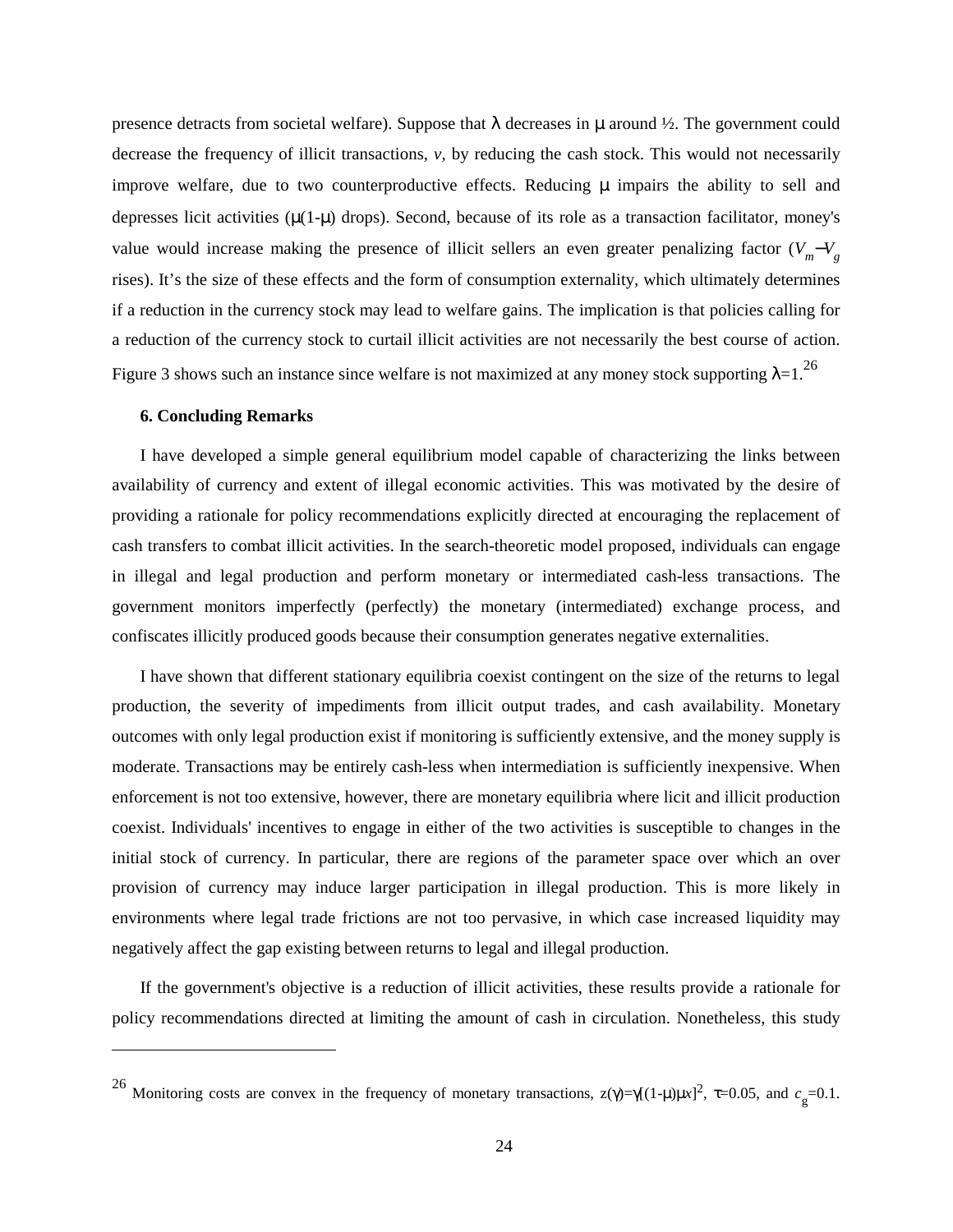presence detracts from societal welfare). Suppose that  $\lambda$  decreases in  $\mu$  around  $\frac{1}{2}$ . The government could decrease the frequency of illicit transactions, *v*, by reducing the cash stock. This would not necessarily improve welfare, due to two counterproductive effects. Reducing  $\mu$  impairs the ability to sell and depresses licit activities  $(\mu(1-\mu)$  drops). Second, because of its role as a transaction facilitator, money's value would increase making the presence of illicit sellers an even greater penalizing factor  $(V_m - V_g)$ rises). It's the size of these effects and the form of consumption externality, which ultimately determines if a reduction in the currency stock may lead to welfare gains. The implication is that policies calling for a reduction of the currency stock to curtail illicit activities are not necessarily the best course of action. Figure 3 shows such an instance since welfare is not maximized at any money stock supporting  $\lambda=1$ .<sup>26</sup>

#### **6. Concluding Remarks**

I have developed a simple general equilibrium model capable of characterizing the links between availability of currency and extent of illegal economic activities. This was motivated by the desire of providing a rationale for policy recommendations explicitly directed at encouraging the replacement of cash transfers to combat illicit activities. In the search-theoretic model proposed, individuals can engage in illegal and legal production and perform monetary or intermediated cash-less transactions. The government monitors imperfectly (perfectly) the monetary (intermediated) exchange process, and confiscates illicitly produced goods because their consumption generates negative externalities.

I have shown that different stationary equilibria coexist contingent on the size of the returns to legal production, the severity of impediments from illicit output trades, and cash availability. Monetary outcomes with only legal production exist if monitoring is sufficiently extensive, and the money supply is moderate. Transactions may be entirely cash-less when intermediation is sufficiently inexpensive. When enforcement is not too extensive, however, there are monetary equilibria where licit and illicit production coexist. Individuals' incentives to engage in either of the two activities is susceptible to changes in the initial stock of currency. In particular, there are regions of the parameter space over which an over provision of currency may induce larger participation in illegal production. This is more likely in environments where legal trade frictions are not too pervasive, in which case increased liquidity may negatively affect the gap existing between returns to legal and illegal production.

If the government's objective is a reduction of illicit activities, these results provide a rationale for policy recommendations directed at limiting the amount of cash in circulation. Nonetheless, this study

<sup>&</sup>lt;sup>26</sup> Monitoring costs are convex in the frequency of monetary transactions,  $z(\gamma) = \gamma[(1-\mu)\mu x]^2$ , τ=0.05, and  $c_g$ =0.1.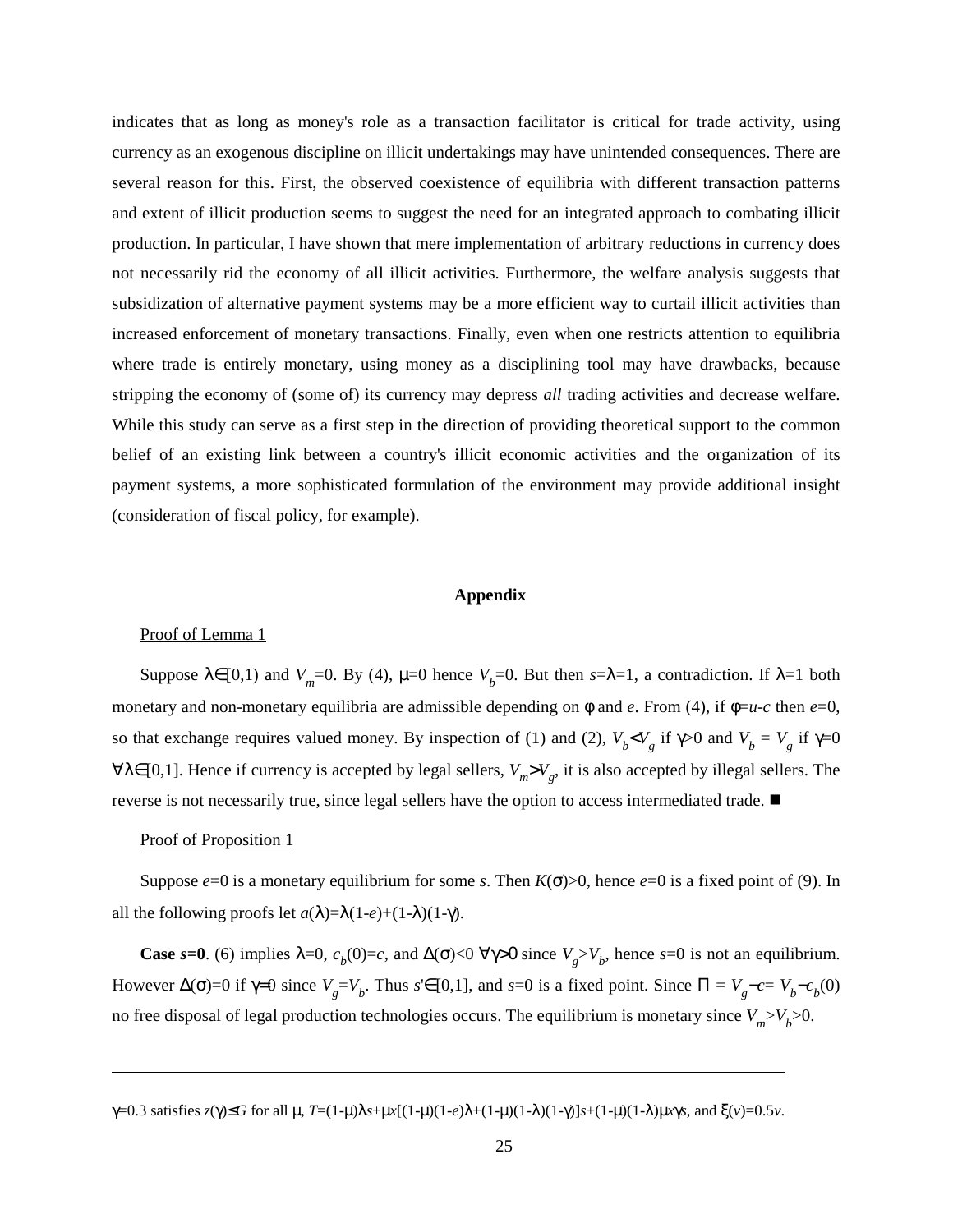indicates that as long as money's role as a transaction facilitator is critical for trade activity, using currency as an exogenous discipline on illicit undertakings may have unintended consequences. There are several reason for this. First, the observed coexistence of equilibria with different transaction patterns and extent of illicit production seems to suggest the need for an integrated approach to combating illicit production. In particular, I have shown that mere implementation of arbitrary reductions in currency does not necessarily rid the economy of all illicit activities. Furthermore, the welfare analysis suggests that subsidization of alternative payment systems may be a more efficient way to curtail illicit activities than increased enforcement of monetary transactions. Finally, even when one restricts attention to equilibria where trade is entirely monetary, using money as a disciplining tool may have drawbacks, because stripping the economy of (some of) its currency may depress *all* trading activities and decrease welfare. While this study can serve as a first step in the direction of providing theoretical support to the common belief of an existing link between a country's illicit economic activities and the organization of its payment systems, a more sophisticated formulation of the environment may provide additional insight (consideration of fiscal policy, for example).

### **Appendix**

## Proof of Lemma 1

Suppose  $\lambda \in [0,1)$  and  $V_m$ =0. By (4),  $\mu$ =0 hence  $V_b$ =0. But then  $s=\lambda=1$ , a contradiction. If  $\lambda=1$  both monetary and non-monetary equilibria are admissible depending on  $\phi$  and *e*. From (4), if  $\phi = u - c$  then *e*=0, so that exchange requires valued money. By inspection of (1) and (2),  $V_b < V_g$  if  $\gamma > 0$  and  $V_b = V_g$  if  $\gamma = 0$ ∀λ∈[0,1]. Hence if currency is accepted by legal sellers, *Vm*>*V <sup>g</sup>*, it is also accepted by illegal sellers. The reverse is not necessarily true, since legal sellers have the option to access intermediated trade.  $\blacksquare$ 

## Proof of Proposition 1

Suppose  $e=0$  is a monetary equilibrium for some *s*. Then  $K(\sigma) > 0$ , hence  $e=0$  is a fixed point of (9). In all the following proofs let  $a(\lambda)=\lambda(1-e)+(1-\lambda)(1-\gamma)$ .

**Case** *s*=0. (6) implies  $\lambda=0$ ,  $c_b(0)=c$ , and  $\Delta(\sigma) < 0 \ \forall \gamma > 0$  since  $V_g > V_b$ , hence *s*=0 is not an equilibrium. However  $Δ(σ) = 0$  if  $γ=0$  since  $V_g = V_b$ . Thus  $s' ∈ [0,1]$ , and  $s=0$  is a fixed point. Since  $\Pi = V_g - c = V_b - c_b(0)$ no free disposal of legal production technologies occurs. The equilibrium is monetary since  $V_m > V_b > 0$ .

γ=0.3 satisfies *z*(γ)≤*G* for all µ, *T*=(1-µ)λ*s*+µ*x*[(1-µ)(1-*e*)λ+(1-µ)(1-λ)(1-γ)]*s*+(1-µ)(1-λ)µ*x*γ*s*, and ξ(*v*)=0.5*v*.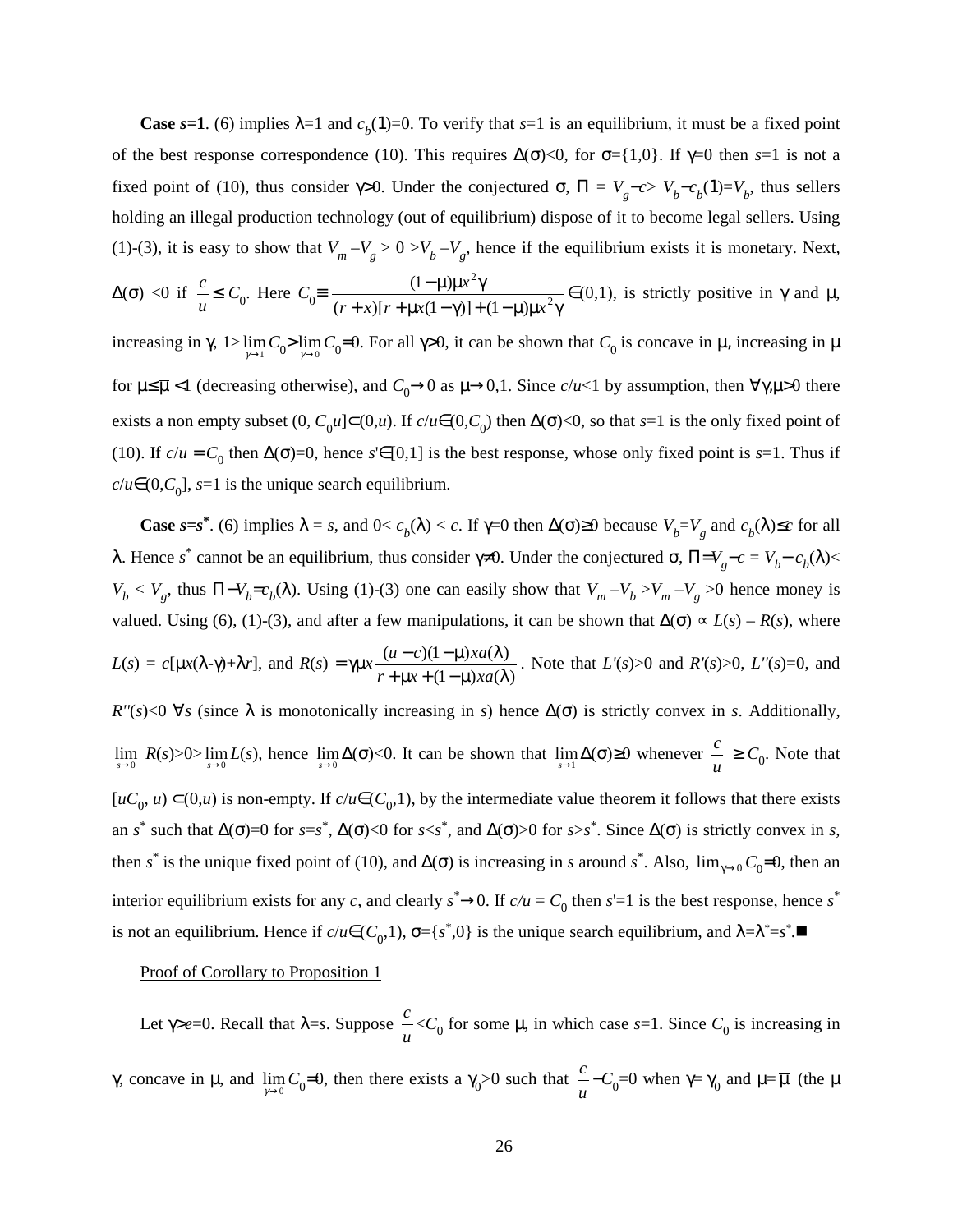**Case**  $s=1$ . (6) implies  $\lambda=1$  and  $c<sub>b</sub>(1)=0$ . To verify that  $s=1$  is an equilibrium, it must be a fixed point of the best response correspondence (10). This requires  $\Delta(\sigma)$ <0, for  $\sigma$ ={1,0}. If  $\gamma$ =0 then *s*=1 is not a fixed point of (10), thus consider  $\gamma$ >0. Under the conjectured  $\sigma$ ,  $\Pi = V_g - c > V_b - c_b(1) = V_b$ , thus sellers holding an illegal production technology (out of equilibrium) dispose of it to become legal sellers. Using (1)-(3), it is easy to show that  $V_m - V_g > 0 > V_b - V_g$ , hence if the equilibrium exists it is monetary. Next,  $Δ(σ) < 0$  if  $\frac{c}{\mu} \leq C_0$ . Here  $C_0 = \frac{(1-\mu)\mu x^2 \gamma}{(r+x)[r+\mu x(1-\gamma)]+(1-\mu)\mu x^2 \gamma}$  $-$  μ)μ $x^2$ γ 2 2  $(r + x)[r + \mu x(1 - \gamma)] + (1 - \mu)$  $(1 - \mu)$  $(r + x)[r + \mu x(1 - \gamma)] + (1 - \mu)\mu x$  $\frac{x^2\gamma}{\gamma}$  ∈(0,1), is strictly positive in  $\gamma$  and  $\mu$ , increasing in  $\gamma$ ,  $1 > \lim_{\gamma \to 1} C_0 > \lim_{\gamma \to 0} C_0 = 0$ . For all  $\gamma > 0$ , it can be shown that  $C_0$  is concave in  $\mu$ , increasing in  $\mu$ for  $\mu \le \overline{\mu}$  <1 (decreasing otherwise), and  $C_0 \rightarrow 0$  as  $\mu \rightarrow 0,1$ . Since  $c/u < 1$  by assumption, then  $\forall \gamma, \mu > 0$  there exists a non empty subset (0,  $C_0 u$ ]⊂(0,*u*). If  $c/u \in (0, C_0)$  then  $\Delta(\sigma) < 0$ , so that *s*=1 is the only fixed point of

(10). If  $c/u = C_0$  then  $\Delta(\sigma) = 0$ , hence  $s \in [0,1]$  is the best response, whose only fixed point is  $s=1$ . Thus if  $c/u \in (0, C_0]$ , *s*=1 is the unique search equilibrium.

**Case**  $s = s^*$ . (6) implies  $\lambda = s$ , and  $0 < c_b(\lambda) < c$ . If  $\gamma = 0$  then  $\Delta(\sigma) \ge 0$  because  $V_b = V_g$  and  $c_b(\lambda) \le c$  for all λ. Hence *s*<sup>\*</sup> cannot be an equilibrium, thus consider γ≠0. Under the conjectured σ,  $\Pi=V_g-c=V_b-c_b(λ)$ <  $V_b < V_g$ , thus  $\Pi - V_b = c_b(\lambda)$ . Using (1)-(3) one can easily show that  $V_m - V_b > V_m - V_g > 0$  hence money is valued. Using (6), (1)-(3), and after a few manipulations, it can be shown that  $\Delta(\sigma) \propto L(s) - R(s)$ , where *L*(*s*) = *c*[μ*x*( $\lambda$ -γ)+ $\lambda$ *r*], and *R*(*s*) = γμ*x*  $(1 - \mu) x a(\lambda)$  $(u-c)(1-\mu)xa(\lambda)$  $+\mu x + (1-\mu)x a(\lambda$  $-c(1-\mu)x a(\lambda$  $r + \mu x + (1 - \mu)xa$  $\frac{u-c(1-\mu)x a(\lambda)}{u(x-\lambda)x}$ . Note that *L'*(*s*)>0 and *R'*(*s*)>0, *L''*(*s*)=0, and

 $R''(s) \le 0 \ \forall s$  (since  $\lambda$  is monotonically increasing in *s*) hence  $\Delta(\sigma)$  is strictly convex in *s*. Additionally, lim  $R(s) > 0 > \lim_{s \to 0} L(s)$ , hence  $\lim_{s \to 0} \Delta(\sigma) < 0$ . It can be shown that  $\lim_{s \to 1} \Delta(\sigma) \ge 0$  whenever  $\frac{c}{u} \ge C_0$ . Note that [ $uC_0$ , *u*) ⊂(0,*u*) is non-empty. If  $c/u ∈ (C_0,1)$ , by the intermediate value theorem it follows that there exists an *s*<sup>\*</sup> such that  $\Delta(\sigma) = 0$  for *s*=*s*<sup>\*</sup>,  $\Delta(\sigma) < 0$  for *s*<*s*<sup>\*</sup>, and  $\Delta(\sigma) > 0$  for *s*>*s*<sup>\*</sup>. Since  $\Delta(\sigma)$  is strictly convex in *s*, then *s*<sup>\*</sup> is the unique fixed point of (10), and  $\Delta(\sigma)$  is increasing in *s* around *s*<sup>\*</sup>. Also,  $\lim_{\gamma \to 0} C_0 = 0$ , then an interior equilibrium exists for any *c*, and clearly  $s^* \rightarrow 0$ . If  $c/u = C_0$  then  $s' = 1$  is the best response, hence  $s^*$ is not an equilibrium. Hence if  $c/u \in (C_0, 1)$ ,  $\sigma = \{s^*, 0\}$  is the unique search equilibrium, and  $\lambda = \lambda^* = s^*$ .

#### Proof of Corollary to Proposition 1

Let γ>*e*=0. Recall that λ=*s*. Suppose *u*  $\frac{c}{\mu}$  <*C*<sub>0</sub> for some  $\mu$ , in which case *s*=1. Since *C*<sub>0</sub> is increasing in γ, concave in μ, and  $\lim_{\gamma \to 0} C_0 = 0$ , then there exists a γ<sub>0</sub>>0 such that  $\frac{c}{u} - C_0 = 0$  when γ= γ<sub>0</sub> and μ=  $\overline{\mu}$  (the μ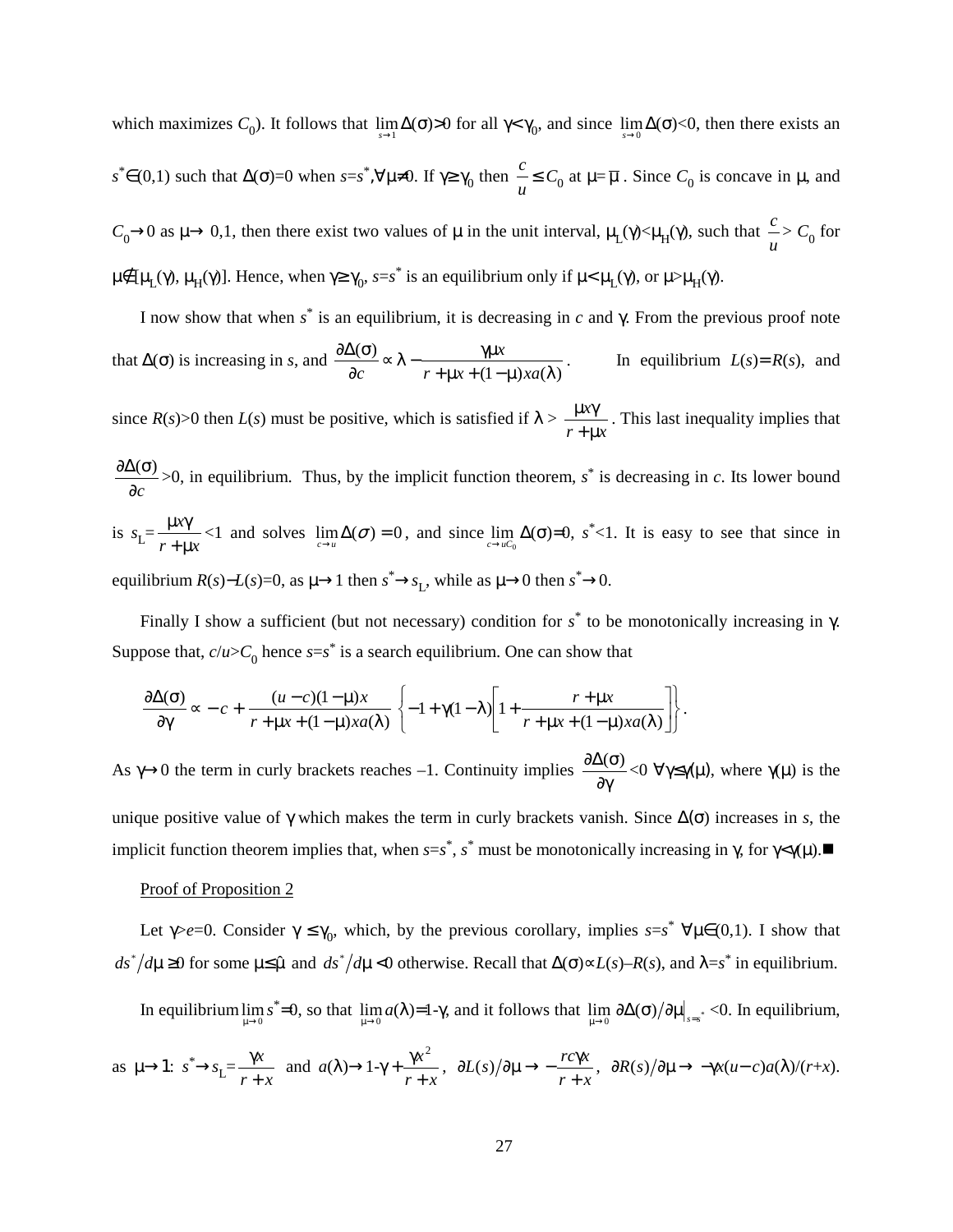which maximizes  $C_0$ ). It follows that  $\lim_{s\to 1} \Delta(\sigma) > 0$  for all  $\gamma < \gamma_0$ , and since  $\lim_{s\to 0} \Delta(\sigma) < 0$ , then there exists an  $s^* \in (0,1)$  such that  $\Delta(\sigma) = 0$  when  $s = s^*$ , $\forall \mu \neq 0$ . If  $\gamma \ge \gamma_0$  then  $\frac{c}{\mu} \le C_0$  at  $\mu = \overline{\mu}$ . Since  $C_0$  is concave in  $\mu$ , and  $C_0 \rightarrow 0$  as  $\mu \rightarrow 0,1$ , then there exist two values of  $\mu$  in the unit interval,  $\mu_L(\gamma) < \mu_H(\gamma)$ , such that  $\frac{\mu}{\mu}$  $\frac{c}{\mu}$  >  $C_0$  for  $\mu \notin [\mu_L(\gamma), \mu_H(\gamma)]$ . Hence, when  $\gamma \geq \gamma_0$ ,  $s=s^*$  is an equilibrium only if  $\mu < \mu_L(\gamma)$ , or  $\mu > \mu_H(\gamma)$ .

I now show that when *s*\* is an equilibrium, it is decreasing in *c* and γ. From the previous proof note that  $\Delta(\sigma)$  is increasing in *s*, and  $\frac{\partial \Delta(\sigma)}{\partial c} \propto \lambda - \frac{\gamma \mu x}{r + \mu x + (1 - \mu) x a(\lambda)}$ . In equilibrium  $L(s) = R(s)$ , and

since  $R(s)$ >0 then  $L(s)$  must be positive, which is satisfied if  $\lambda$  >  $r + \mu x$ *x*  $+\mu$  $\frac{\mu x \gamma}{\sigma}$ . This last inequality implies that

$$
\frac{\partial \Delta(\sigma)}{\partial c} > 0
$$
, in equilibrium. Thus, by the implicit function theorem,  $s^*$  is decreasing in *c*. Its lower bound is  $s_L = \frac{\mu x \gamma}{r + \mu x} < 1$  and solves  $\lim_{c \to u} \Delta(\sigma) = 0$ , and since  $\lim_{c \to u} \Delta(\sigma) = 0$ ,  $s^* < 1$ . It is easy to see that since in equilibrium  $R(s) - L(s) = 0$ , as  $\mu \to 1$  then  $s^* \to s_L$ , while as  $\mu \to 0$  then  $s^* \to 0$ .

Finally I show a sufficient (but not necessary) condition for *s*\* to be monotonically increasing in γ. Suppose that,  $c/u > C_0$  hence  $s=s^*$  is a search equilibrium. One can show that

$$
\frac{\partial \Delta(\sigma)}{\partial \gamma} \propto -c + \frac{(u-c)(1-\mu)x}{r+\mu x + (1-\mu)x a(\lambda)} \left\{-1 + \gamma(1-\lambda) \left[1 + \frac{r+\mu x}{r+\mu x + (1-\mu)x a(\lambda)}\right]\right\}.
$$

As  $\gamma \rightarrow 0$  the term in curly brackets reaches -1. Continuity implies  $\frac{\partial \Delta(\sigma)}{\partial \gamma}$  < 0  $\forall \gamma \leq \gamma(\mu)$ , where  $\gamma(\mu)$  is the unique positive value of γ which makes the term in curly brackets vanish. Since  $Δ(σ)$  increases in *s*, the implicit function theorem implies that, when  $s=s^*$ ,  $s^*$  must be monotonically increasing in  $\gamma$ , for  $\gamma \leq \gamma(\mu)$ .

### Proof of Proposition 2

Let  $\gamma > e=0$ . Consider  $\gamma \leq \gamma_0$ , which, by the previous corollary, implies  $s=s^*$   $\forall \mu \in (0,1)$ . I show that  $ds^* / d\mu \ge 0$  for some  $\mu \le \hat{\mu}$  and  $ds^* / d\mu < 0$  otherwise. Recall that  $\Delta(\sigma) \propto L(s) - R(s)$ , and  $\lambda = s^*$  in equilibrium.

In equilibrium  $\lim_{\mu \to 0} s^* = 0$ , so that  $\lim_{\mu \to 0} a(\lambda) = 1-\gamma$ , and it follows that  $\lim_{\mu \to 0} \partial \Delta(\sigma)/\partial \mu|_{s=s^*} < 0$ . In equilibrium,

as 
$$
\mu \to 1
$$
:  $s^* \to s_L = \frac{\gamma x}{r + x}$  and  $a(\lambda) \to 1 - \gamma + \frac{\gamma x^2}{r + x}$ ,  $\partial L(s)/\partial \mu \to -\frac{rc\gamma x}{r + x}$ ,  $\partial R(s)/\partial \mu \to -\gamma x(u-c)a(\lambda)/(r+x)$ .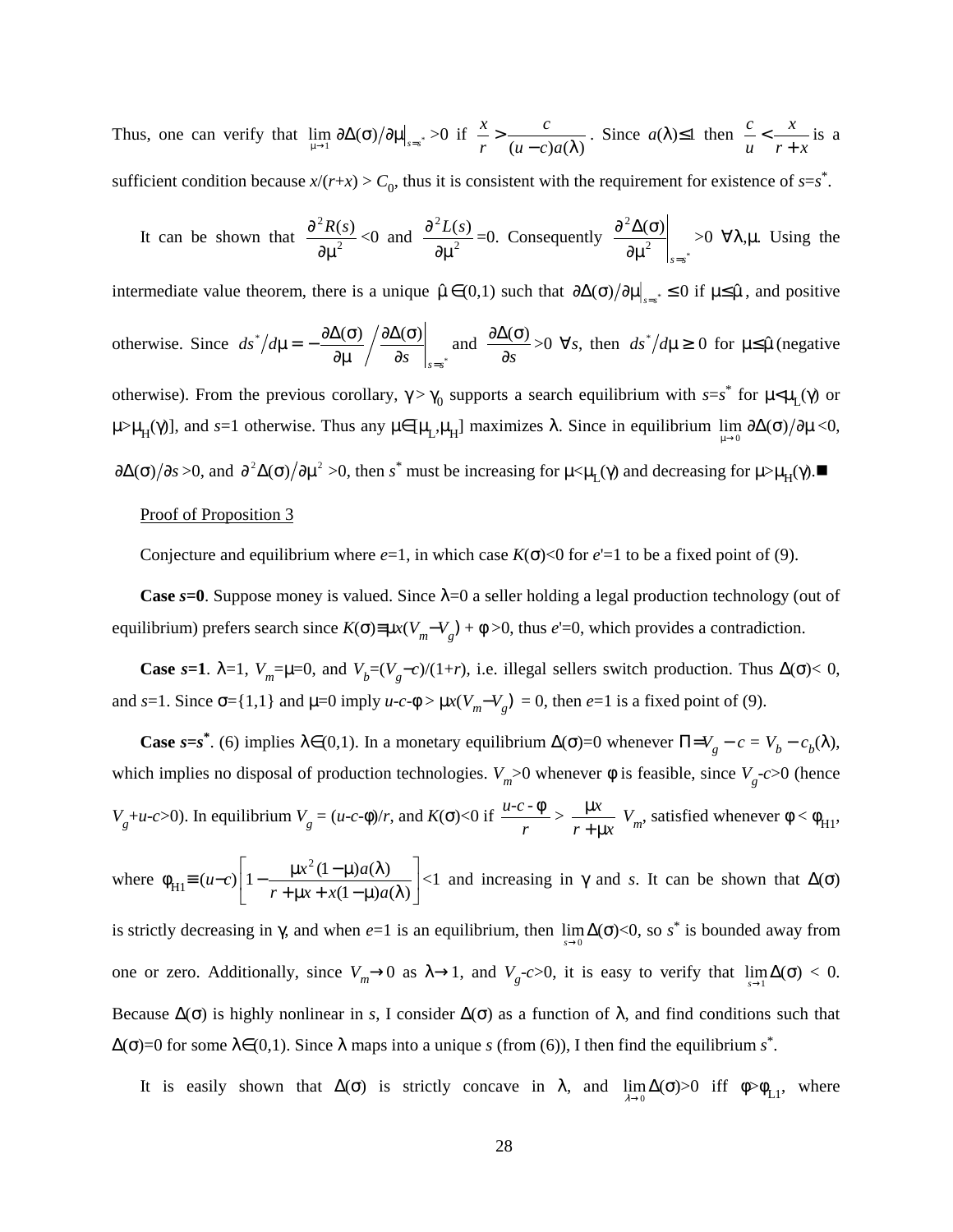Thus, one can verify that  $\lim_{\mu \to 1} \frac{\partial \Delta(\sigma)}{\partial \mu}\Big|_{s=s^*} > 0$  if  $\frac{\pi}{r} > \frac{\epsilon}{(u-c)a(\lambda)}$ >  $u - c$ )*a c r*  $\frac{x}{z}$  >  $\frac{c}{z}$ . Since  $a(\lambda) \le 1$  then  $r + x$ *x u c* +  $\lt -\frac{x}{\cdot}$  is a sufficient condition because  $x/(r+x) > C_0$ , thus it is consistent with the requirement for existence of  $s=s^*$ .

It can be shown that 
$$
\frac{\partial^2 R(s)}{\partial \mu^2} < 0
$$
 and  $\frac{\partial^2 L(s)}{\partial \mu^2} = 0$ . Consequently  $\frac{\partial^2 \Delta(\sigma)}{\partial \mu^2}\Big|_{s=s^*} > 0$   $\forall \lambda, \mu$ . Using the

intermediate value theorem, there is a unique  $\hat{\mu} \in (0,1)$  such that  $\partial \Delta(\sigma) / \partial \mu|_{\sigma} \leq 0$  if  $\mu \leq \hat{\mu}$ , and positive otherwise. Since  $ds^*/d\mu = -\frac{\partial \Delta(\Theta)}{\partial \mu} \left| \frac{\partial \Delta(\Theta)}{\partial s} \right|_{s=s^*}$  $(\sigma) / \partial \Delta(\sigma)$  $\partial s$   $\Big|$ <sub>s=s</sub>  $\partial \Delta$ (σ ∂µ  $-\frac{\partial \Delta(\sigma)}{\partial \sigma} / \frac{\partial \Delta(\sigma)}{\partial \sigma}$  and ∂*s*  $\frac{\partial \Delta(\sigma)}{\partial z} > 0$   $\forall s$ , then  $ds^* / d\mu \geq 0$  for  $\mu \leq \hat{\mu}$  (negative otherwise). From the previous corollary,  $\gamma > \gamma_0$  supports a search equilibrium with  $s=s^*$  for  $\mu < \mu_L(\gamma)$  or  $\mu>\mu_H(\gamma)$ ], and *s*=1 otherwise. Thus any  $\mu \in [\mu_L, \mu_H]$  maximizes  $\lambda$ . Since in equilibrium  $\lim_{\mu \to 0} \partial \Delta(\sigma)/\partial \mu < 0$ ,

 $\partial \Delta(\sigma)/\partial s > 0$ , and  $\partial^2 \Delta(\sigma)/\partial \mu^2 > 0$ , then *s*<sup>\*</sup> must be increasing for  $\mu < \mu_I(\gamma)$  and decreasing for  $\mu > \mu_H(\gamma)$ .

#### Proof of Proposition 3

Conjecture and equilibrium where  $e=1$ , in which case  $K(\sigma) < 0$  for  $e'=1$  to be a fixed point of (9).

**Case**  $s=0$ . Suppose money is valued. Since  $\lambda=0$  a seller holding a legal production technology (out of equilibrium) prefers search since  $K(\sigma) \equiv \mu x(V_m - V_g) + \phi > 0$ , thus *e*'=0, which provides a contradiction.

**Case** *s*=1.  $\lambda$ =1, *V<sub>m</sub>*= $\mu$ =0, and *V<sub>b</sub>*=(*V<sub>g</sub>*−*c*)/(1+*r*), i.e. illegal sellers switch production. Thus  $\Delta(\sigma)$ < 0, and *s*=1. Since  $\sigma$ ={1,1} and  $\mu$ =0 imply *u-c*- $\phi$  >  $\mu$ *x*( $V_m$ – $V_g$ ) = 0, then *e*=1 is a fixed point of (9).

**Case** *s*=*s*<sup>\*</sup>. (6) implies  $\lambda \in (0,1)$ . In a monetary equilibrium  $\Delta(\sigma) = 0$  whenever  $\Pi = V_g - c = V_b - c_b(\lambda)$ , which implies no disposal of production technologies.  $V_m$  >0 whenever  $\phi$  is feasible, since  $V_g$ -*c*>0 (hence *V*<sub>g</sub>+*u*-*c*>0). In equilibrium *V*<sub>g</sub> = (*u*-*c*-φ)/*r*, and *K*( $\sigma$ )<0 if  $\frac{d\sigma}{r}$  $\frac{u-c-\phi}{\phi}$  $r + \mu x$ *x*  $\frac{\mu x}{\mu + \mu x}$   $V_m$ , satisfied whenever  $\phi < \phi_{H1}$ , where  $\phi_{\text{H1}} \equiv (u-c) \left[ 1 - \frac{\mu x}{r + 11x + x(1-\mu)a(\lambda)} \right]$ J  $\left|1-\frac{\mu x^2(1-\mu)a(\lambda)}{n+\mu a(\lambda)\mu(a(\lambda))}\right|$ L  $\overline{a}$  $1 - \frac{\mu x^2 (1-\mu) a(\lambda)}{r + \mu x + x(1-\mu) a(\lambda)}$  $r + \mu x + x(1 - \mu)a$  $\left|\frac{x^2(1-\mu)a(\lambda)}{a(\lambda)}\right|$  <1 and increasing in  $\gamma$  and *s*. It can be shown that  $\Delta(\sigma)$ is strictly decreasing in  $\gamma$ , and when *e*=1 is an equilibrium, then  $\lim_{s\to 0} \Delta(\sigma) < 0$ , so *s*<sup>\*</sup> is bounded away from one or zero. Additionally, since  $V_m \rightarrow 0$  as  $\lambda \rightarrow 1$ , and  $V_g-c>0$ , it is easy to verify that  $\lim_{s \rightarrow 1} \Delta(\sigma) < 0$ . Because  $\Delta(\sigma)$  is highly nonlinear in *s*, I consider  $\Delta(\sigma)$  as a function of  $\lambda$ , and find conditions such that

 $\Delta(\sigma)=0$  for some  $\lambda \in (0,1)$ . Since  $\lambda$  maps into a unique *s* (from (6)), I then find the equilibrium *s*<sup>\*</sup>.

It is easily shown that  $\Delta(\sigma)$  is strictly concave in  $\lambda$ , and  $\lim_{\lambda \to 0} \Delta(\sigma) > 0$  iff  $\phi > \phi_{L_1}$ , where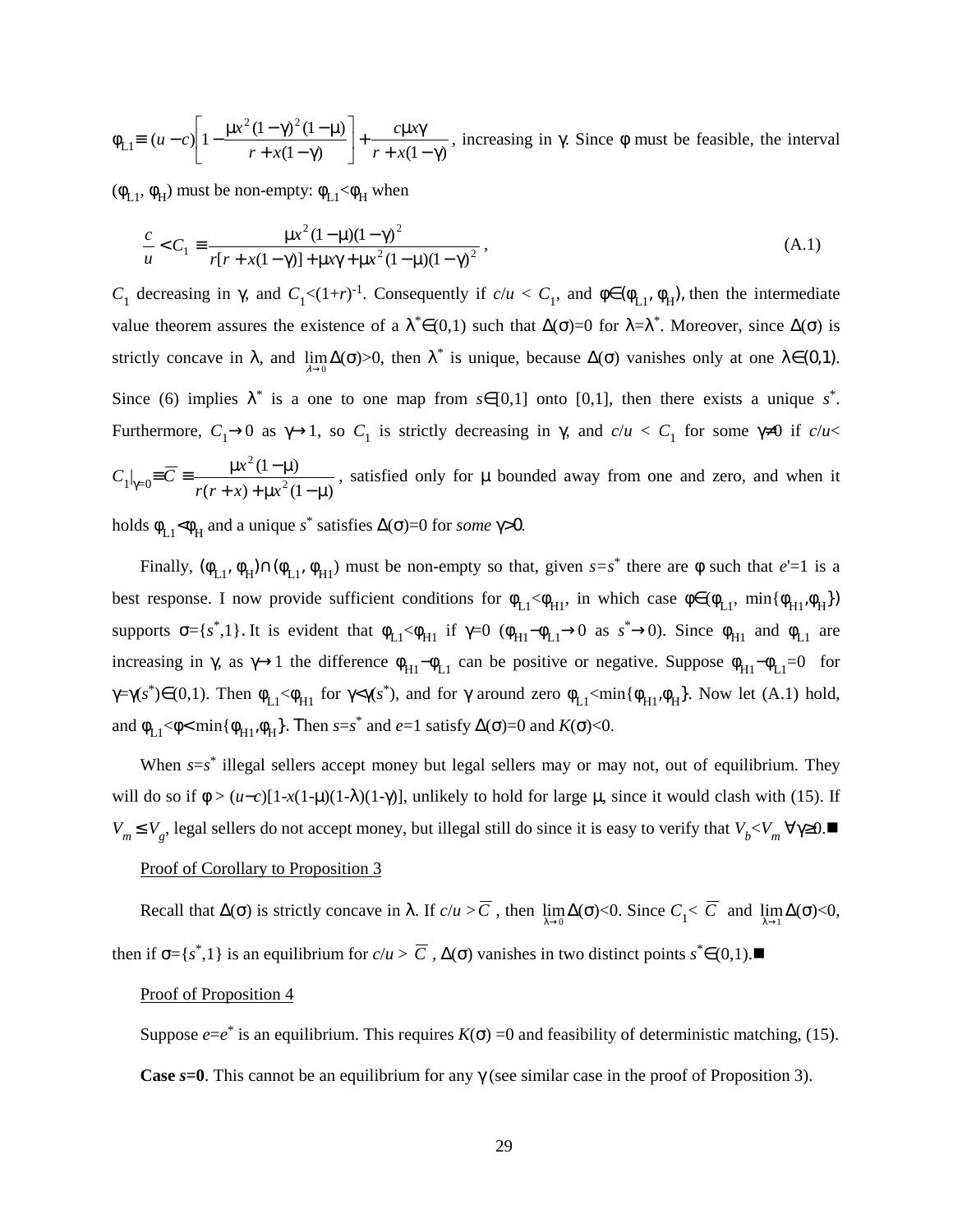$\phi_{L1} \equiv (u-c) \left| 1 - \frac{\mu x (1-\mu)(1-\mu)}{r + x(1-\gamma)} \right| + \frac{c \mu x}{r + x(1-\gamma)}$  $(u-c)\left[1-\frac{\mu x^2(1-\gamma)^2(1-\mu)}{2}\right]$  $+\frac{c\mu x\gamma}{r + x(1-\gamma)}$ 」  $\left|1 - \frac{\mu x^2 (1 - \gamma)^2 (1 - \mu)}{x + \mu (1 - x)}\right|$ L L  $\left| 1 - \frac{\mu x^2 (1 - \gamma)^2 (1 - \mu)}{r + x (1 - \gamma)} \right| + \frac{c \mu x}{r + x (1 - \gamma)}$  $r + x$  $\left| u-c \right| 1 - \frac{\mu x^2 (1-\gamma)^2 (1-\mu)}{a} + \frac{c \mu x \gamma}{a}$ , increasing in γ. Since  $\phi$  must be feasible, the interval

 $(\phi_{L1}, \phi_H)$  must be non-empty:  $\phi_{L1} < \phi_H$  when

$$
\frac{c}{u} < C_1 \equiv \frac{\mu x^2 (1 - \mu)(1 - \gamma)^2}{r[r + x(1 - \gamma)] + \mu x \gamma + \mu x^2 (1 - \mu)(1 - \gamma)^2},
$$
\n(A.1)

*C*<sub>1</sub> decreasing in γ, and *C*<sub>1</sub><(1+*r*)<sup>-1</sup>. Consequently if  $c/u < C_1$ , and φ∈(φ<sub>L1</sub>, φ<sub>H</sub>), then the intermediate value theorem assures the existence of a  $\lambda^* \in (0,1)$  such that  $\Delta(\sigma)=0$  for  $\lambda = \lambda^*$ . Moreover, since  $\Delta(\sigma)$  is strictly concave in  $\lambda$ , and  $\lim_{\lambda\to 0}\Delta(\sigma) > 0$ , then  $\lambda^*$  is unique, because  $\Delta(\sigma)$  vanishes only at one  $\lambda \in (0,1)$ . Since (6) implies  $\lambda^*$  is a one to one map from  $s \in [0,1]$  onto [0,1], then there exists a unique  $s^*$ . Furthermore,  $C_1 \rightarrow 0$  as  $\gamma \rightarrow 1$ , so  $C_1$  is strictly decreasing in  $\gamma$ , and  $c/u < C_1$  for some  $\gamma \neq 0$  if  $c/u <$  $C_1|_{\gamma=0} = \overline{C} = \frac{\mu x^2 (1-\mu)}{r(r+x) + \mu x^2 (1-\mu)}$ 2 2  $+ x$ ) +  $\mu x^2$  (1 –  $\mu$  $\mu x^2(1-\mu$  $r(r+x) + \mu x$  $\frac{x^2(1-\mu)}{2\mu}$ , satisfied only for  $\mu$  bounded away from one and zero, and when it

holds  $\phi_{L1} < \phi_H$  and a unique *s*<sup>\*</sup> satisfies  $\Delta(\sigma) = 0$  for *some*  $\gamma > 0$ .

Finally,  $(\phi_{L1}, \phi_H) \cap (\phi_{L1}, \phi_{H1})$  must be non-empty so that, given  $s=s^*$  there are  $\phi$  such that *e*'=1 is a best response. I now provide sufficient conditions for  $\phi_{L1} < \phi_{H1}$ , in which case  $\phi \in (\phi_{L1}, \min{\phi_{H1}, \phi_{H}})$ supports  $\sigma = \{s^*, 1\}$ . It is evident that  $\phi_{L1} < \phi_{H1}$  if  $\gamma = 0$  ( $\phi_{H1} - \phi_{L1} \to 0$  as  $s^* \to 0$ ). Since  $\phi_{H1}$  and  $\phi_{L1}$  are increasing in  $\gamma$ , as  $\gamma \rightarrow 1$  the difference  $\phi_{H1} - \phi_{L1}$  can be positive or negative. Suppose  $\phi_{H1} - \phi_{L1} = 0$  for  $\gamma = \gamma(s^*) \in (0,1)$ . Then  $\phi_{L1} < \phi_{H1}$  for  $\gamma < \gamma(s^*)$ , and for  $\gamma$  around zero  $\phi_{L1} < \min{\{\phi_{H1}, \phi_{H}\}}$ . Now let (A.1) hold, and  $\phi_{L1}$ < $\phi$ < $\min{\{\phi_{H1}, \phi_H\}}$ . Then  $s=s^*$  and  $e=1$  satisfy  $\Delta(\sigma)=0$  and  $K(\sigma)$ <0.

When  $s=s^*$  illegal sellers accept money but legal sellers may or may not, out of equilibrium. They will do so if  $\phi > (u-c)[1-x(1-\mu)(1-\lambda)(1-\gamma)]$ , unlikely to hold for large  $\mu$ , since it would clash with (15). If *V*<sub>m</sub> ≤ *V*<sub>g</sub>, legal sellers do not accept money, but illegal still do since it is easy to verify that  $V_b < V_m$  ∀ $\gamma \ge 0$ .■

#### Proof of Corollary to Proposition 3

Recall that  $\Delta(\sigma)$  is strictly concave in  $\lambda$ . If  $c/u > C$ , then  $\lim_{\lambda \to 0} \Delta(\sigma) < 0$ . Since  $C_1 < C$  and  $\lim_{\lambda \to 1} \Delta(\sigma) < 0$ , then if  $\sigma = \{s^*, 1\}$  is an equilibrium for  $c/u > \overline{C}$ ,  $\Delta(\sigma)$  vanishes in two distinct points  $s^* \in (0,1)$ .

#### Proof of Proposition 4

Suppose  $e=e^*$  is an equilibrium. This requires  $K(\sigma) = 0$  and feasibility of deterministic matching, (15). **Case** *s***=0**. This cannot be an equilibrium for any γ (see similar case in the proof of Proposition 3).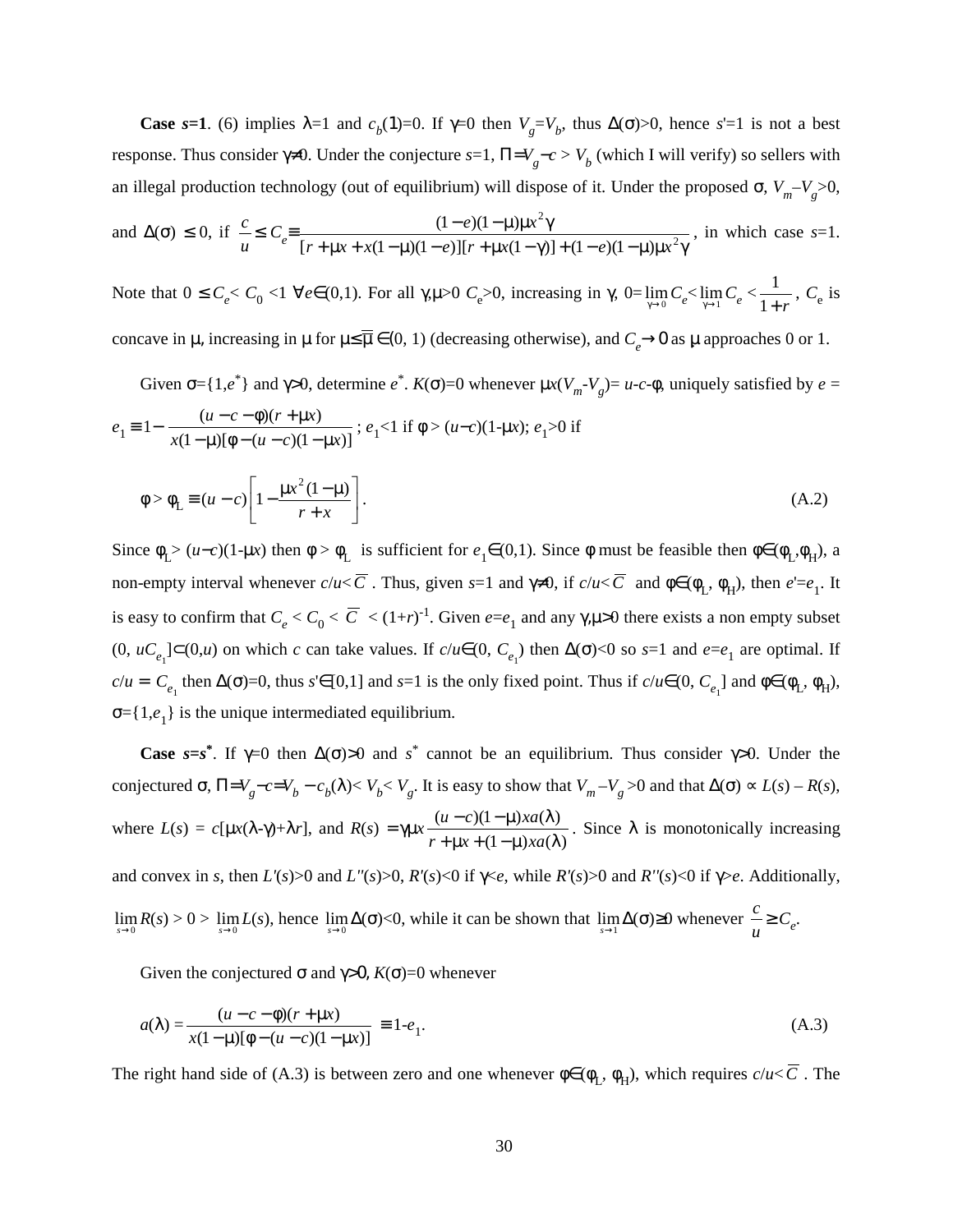**Case** *s*=1. (6) implies  $\lambda=1$  and  $c_b(1)=0$ . If  $\gamma=0$  then  $V_g=V_b$ , thus  $\Delta(\sigma)>0$ , hence *s*'=1 is not a best response. Thus consider  $\gamma \neq 0$ . Under the conjecture *s*=1,  $\Pi = V_g - c > V_b$  (which I will verify) so sellers with an illegal production technology (out of equilibrium) will dispose of it. Under the proposed  $\sigma$ ,  $V_m - V_g > 0$ ,  $(1-e)(1-\mu)\mu x^2\gamma$  $e^{i\theta}$  =  $\frac{e^{i\theta} - e^{-i\theta}}{i\theta}$ , in which case *s*=1.

and 
$$
\Delta(\sigma) \le 0
$$
, if  $\frac{c}{u} \le C_e = \frac{(1-e)(1-\mu) \mu x^2 \gamma}{[r+\mu x + x(1-\mu)(1-e)][r+\mu x(1-\gamma)] + (1-e)(1-\mu) \mu x^2 \gamma}$ , in which case s=1.

Note that  $0 \le C_e < C_0 < 1 \ \forall e \in (0,1)$ . For all γ,μ>0  $C_e > 0$ , increasing in γ,  $0 = \lim_{\gamma \to 0} C_e < \lim_{\gamma \to 1} C_e < \frac{1}{1+r}$ ,  $C_e$  is concave in  $\mu$ , increasing in  $\mu$  for  $\mu \leq \overline{\mu} \in (0, 1)$  (decreasing otherwise), and  $C_e \to 0$  as  $\mu$  approaches 0 or 1.

Given  $\sigma = \{1, e^*\}\$  and  $\gamma > 0$ , determine  $e^*$ .  $K(\sigma) = 0$  whenever  $\mu x(V_m - V_g) = u - c - \phi$ , uniquely satisfied by  $e =$ 

$$
e_1 \equiv 1 - \frac{(u - c - \phi)(r + \mu x)}{x(1 - \mu)[\phi - (u - c)(1 - \mu x)]}; e_1 < 1 \text{ if } \phi > (u - c)(1 - \mu x); e_1 > 0 \text{ if}
$$

$$
\phi > \phi_L \equiv (u - c) \left[ 1 - \frac{\mu x^2 (1 - \mu)}{r + x} \right].
$$
(A.2)

Since  $\phi_L > (u-c)(1-\mu x)$  then  $\phi > \phi_L$  is sufficient for  $e_1 \in (0,1)$ . Since  $\phi$  must be feasible then  $\phi \in (\phi_L, \phi_H)$ , a non-empty interval whenever  $c/u < \overline{C}$ . Thus, given  $s=1$  and  $\gamma \neq 0$ , if  $c/u < \overline{C}$  and  $\phi \in (\phi_L, \phi_H)$ , then  $e' = e_1$ . It is easy to confirm that  $C_e < C_0 < \overline{C} < (1+r)^{-1}$ . Given  $e=e_1$  and any  $\gamma, \mu>0$  there exists a non empty subset (0,  $uC_{e_1}$ ]⊂(0,*u*) on which *c* can take values. If  $c/u ∈ (0, C_{e_1})$  then  $\Delta(σ) < 0$  so *s*=1 and  $e = e_1$  are optimal. If  $c/u = C_{e_1}$  then  $\Delta(\sigma) = 0$ , thus *s*'∈[0,1] and *s*=1 is the only fixed point. Thus if  $c/u \in (0, C_{e_1}]$  and  $\phi \in (\phi_L, \phi_H)$ ,  $\sigma = \{1, e_1\}$  is the unique intermediated equilibrium.

**Case**  $s = s^*$ . If  $\gamma = 0$  then  $\Delta(\sigma) > 0$  and  $s^*$  cannot be an equilibrium. Thus consider  $\gamma > 0$ . Under the conjectured σ,  $\Pi = V_g - c = V_b - c_b(\lambda) < V_b < V_g$ . It is easy to show that  $V_m - V_g > 0$  and that  $\Delta(\sigma) \propto L(s) - R(s)$ , where  $L(s) = c[\mu x(\lambda - \gamma) + \lambda r]$ , and  $R(s) = \gamma \mu x$  $(1 - \mu) x a(\lambda)$  $(u-c)(1-\mu)xa(\lambda)$  $+\mu x + (1-\mu)x a(\lambda$  $-c(1-\mu)x a(\lambda$  $r + \mu x + (1 - \mu)x$ a  $\frac{u-c(1-\mu)x a(\lambda)}{u-x^2}$ . Since  $\lambda$  is monotonically increasing and convex in *s*, then *L'*(*s*)>0 and *L''*(*s*)>0, *R'*(*s*)<0 if  $\gamma$ <*e*, while *R'*(*s*)>0 and *R''*(*s*)<0 if  $\gamma$ >*e*. Additionally,  $\lim_{s\to 0} R(s) > 0$  >  $\lim_{s\to 0} L(s)$ , hence  $\lim_{s\to 0} Δ(σ) < 0$ , while it can be shown that  $\lim_{s\to 1} Δ(σ) ≥ 0$  whenever  $\frac{c}{u} ≥ C_e$ .

Given the conjectured σ and γ>0,  $K(\sigma)=0$  whenever

$$
a(\lambda) = \frac{(u - c - \phi)(r + \mu x)}{x(1 - \mu)[\phi - (u - c)(1 - \mu x)]} \equiv 1 - e_1.
$$
 (A.3)

The right hand side of (A.3) is between zero and one whenever  $\phi \in (\phi_L, \phi_H)$ , which requires  $c/u < \overline{C}$ . The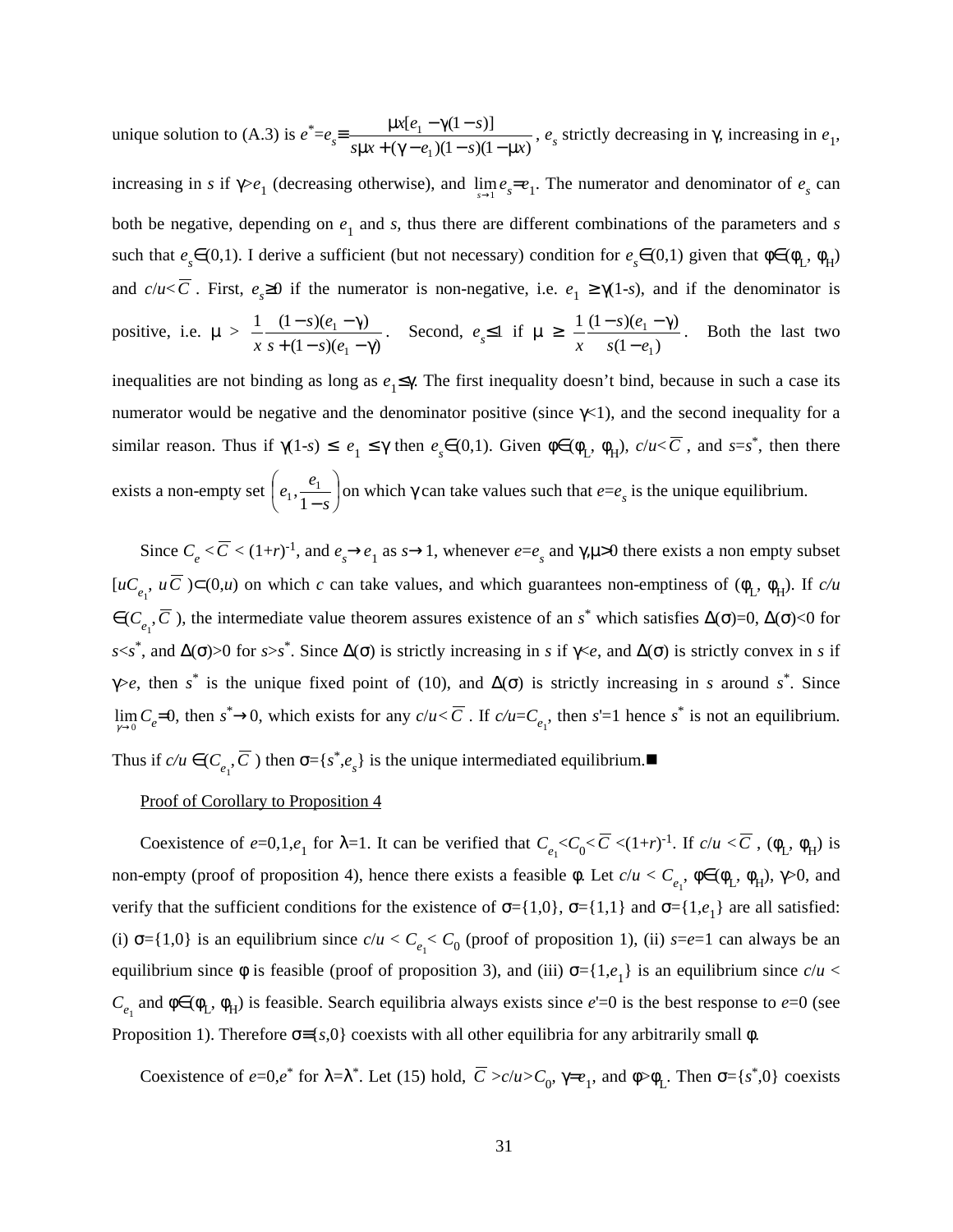unique solution to (A.3) is  $e^* = e_s = \frac{\mu x [e_1 - \gamma (1 - s)]}{s \mu x + (\gamma - e_1)(1 - s)(1 - \mu x)}$ 1 1  $s\mu x + (\gamma - e_1)(1 - s)(1 - \mu x)$  $x[e_1 - \gamma(1 - s)]$  $\frac{\mu x[e_1 - \gamma(1-s)]}{\mu x + (\gamma - e_1)(1-s)(1-\mu x)}$ ,  $e_s$  strictly decreasing in  $\gamma$ , increasing in  $e_1$ ,

increasing in *s* if  $\gamma > e_1$  (decreasing otherwise), and  $\lim_{s \to 1} e_s = e_1$ . The numerator and denominator of  $e_s$  can both be negative, depending on  $e_1$  and  $s$ , thus there are different combinations of the parameters and  $s$ such that  $e_s \in (0,1)$ . I derive a sufficient (but not necessary) condition for  $e_s \in (0,1)$  given that  $\phi \in (\phi_L, \phi_H)$ and *c/u*<*C*. First,  $e_s \ge 0$  if the numerator is non-negative, i.e.  $e_1 \ge \gamma(1-s)$ , and if the denominator is positive, i.e. µ >  $(1 - s)(e_1 - \gamma)$ 1  $(1 - s)(e_1 - γ)$ 1 1  $+(1-s)(e_1 - \gamma)$  $(s-(s)(e_1-\gamma$  $s + (1 - s)(e)$ *s e*  $\frac{1}{x} \frac{(1-s)(e_1 - \gamma)}{s + (1-s)(e_1 - \gamma)}$ . Second,  $e_s \le 1$  if  $\mu \ge \frac{1}{x} \frac{(1-s)(e_1 - \gamma)}{s(1-e_1)}$ 1 1  $s(1-e)$ *s e*  $x$   $s(1-\)$  $\frac{-s(e_1 - \gamma)}{s}$ . Both the last two

inequalities are not binding as long as *e*1≤γ. The first inequality doesn't bind, because in such a case its numerator would be negative and the denominator positive (since  $\gamma$ <1), and the second inequality for a similar reason. Thus if  $\gamma(1-s) \le e_1 \le \gamma$  then  $e_s \in (0,1)$ . Given  $\phi \in (\phi_L, \phi_H)$ ,  $c/u < \overline{C}$ , and  $s=s^*$ , then there exists a non-empty set  $\left| e_1, \frac{e_1}{e_1} \right|$ J  $\left(e_1, \frac{e_1}{1}\right)$  $\setminus$ ſ − *s*  $e_1, \frac{e}{e}$ 1  $\frac{e_1}{1-e_1}$  on which  $\gamma$  can take values such that  $e=e_s$  is the unique equilibrium.

Since  $C_e < \overline{C} < (1+r)^{-1}$ , and  $e_s \rightarrow e_1$  as  $s \rightarrow 1$ , whenever  $e = e_s$  and  $\gamma, \mu > 0$  there exists a non empty subset  $[uC_{e_1}, uC] \subset (0,u)$  on which *c* can take values, and which guarantees non-emptiness of  $(\phi_L, \phi_H)$ . If *c/u*  $\in$  ( $C_{e_1}$ ,  $\overline{C}$ ), the intermediate value theorem assures existence of an *s*<sup>\*</sup> which satisfies ∆(σ)=0, ∆(σ)<0 for  $s \leq s^*$ , and  $\Delta(\sigma) > 0$  for  $s > s^*$ . Since  $\Delta(\sigma)$  is strictly increasing in *s* if  $\gamma \leq e$ , and  $\Delta(\sigma)$  is strictly convex in *s* if γ>*e*, then *s*<sup>\*</sup> is the unique fixed point of (10), and  $\Delta$ (σ) is strictly increasing in *s* around *s*<sup>\*</sup>. Since  $\lim_{\gamma \to 0} C_e = 0$ , then  $s^* \to 0$ , which exists for any  $c/u < \overline{C}$ . If  $c/u = C_{e_1}$ , then  $s' = 1$  hence  $s^*$  is not an equilibrium. Thus if  $c/u \in (C_{e_1}, \overline{C})$  then  $\sigma = \{s^*, e_s\}$  is the unique intermediated equilibrium.

#### Proof of Corollary to Proposition 4

Coexistence of  $e=0,1,e_1$  for  $\lambda=1$ . It can be verified that  $C_{e_1} < C_0 < \overline{C} < (1+r)^{-1}$ . If  $c/u < \overline{C}$ ,  $(\phi_L, \phi_H)$  is non-empty (proof of proposition 4), hence there exists a feasible  $\phi$ . Let  $c/u < C_{e_1}$ ,  $\phi \in (\phi_L, \phi_H)$ ,  $\gamma > 0$ , and verify that the sufficient conditions for the existence of  $\sigma = \{1,0\}$ ,  $\sigma = \{1,1\}$  and  $\sigma = \{1,e_1\}$  are all satisfied: (i)  $\sigma = \{1,0\}$  is an equilibrium since  $c/u < C_{e_1} < C_0$  (proof of proposition 1), (ii)  $s=e=1$  can always be an equilibrium since  $\phi$  is feasible (proof of proposition 3), and (iii)  $\sigma = \{1, e_1\}$  is an equilibrium since  $c/u <$  $C_{e_1}$  and  $\phi \in (\phi_L, \phi_H)$  is feasible. Search equilibria always exists since *e*'=0 is the best response to *e*=0 (see Proposition 1). Therefore  $\sigma = \{s,0\}$  coexists with all other equilibria for any arbitrarily small  $\phi$ .

Coexistence of  $e=0, e^*$  for  $\lambda = \lambda^*$ . Let (15) hold,  $\overline{C} > c/u > C_0$ ,  $\gamma = e_1$ , and  $\phi > \phi_L$ . Then  $\sigma = \{s^*, 0\}$  coexists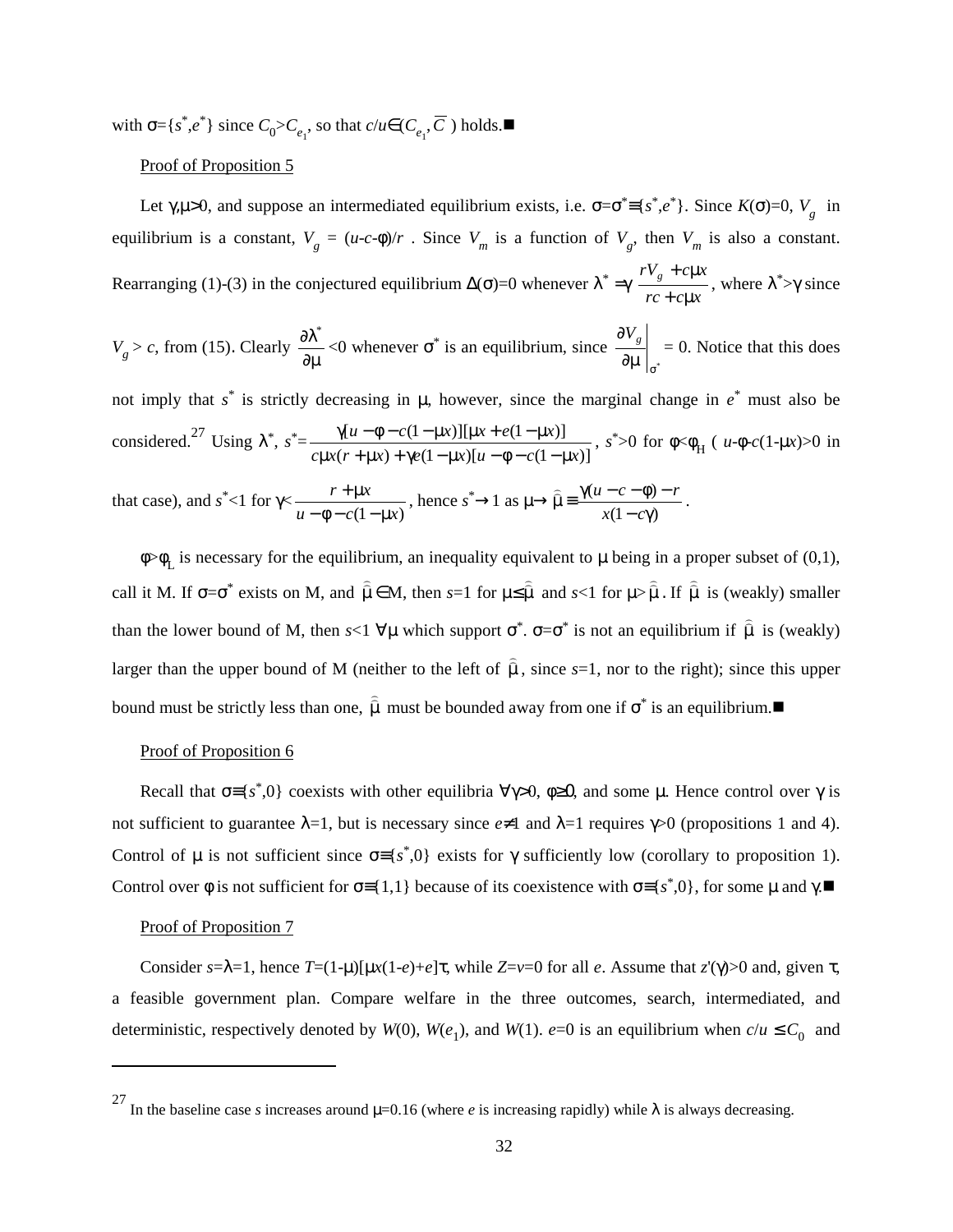with  $\sigma = \{s^*, e^*\}$  since  $C_0 > C_{e_1}$ , so that  $c/u \in (C_{e_1}, \overline{C})$  holds.

# Proof of Proposition 5

Let  $\gamma, \mu > 0$ , and suppose an intermediated equilibrium exists, i.e.  $\sigma = \sigma^* = \{s^*, e^*\}$ . Since  $K(\sigma) = 0$ ,  $V_g$  in equilibrium is a constant,  $V_g = (u-c-\phi)/r$ . Since  $V_m$  is a function of  $V_g$ , then  $V_m$  is also a constant. Rearranging (1)-(3) in the conjectured equilibrium  $\Delta(\sigma)$ =0 whenever  $\lambda^* = \gamma$  $rc + c\mu x$  $rV_g + c\mu x$  $+ c \mu$  $+\epsilon \mu x$ , where  $\lambda^* > \gamma$  since

$$
V_g > c
$$
, from (15). Clearly  $\frac{\partial \lambda^*}{\partial \mu} < 0$  whenever  $\sigma^*$  is an equilibrium, since  $\frac{\partial V_g}{\partial \mu}\Big|_{\sigma^*} = 0$ . Notice that this does

not imply that *s*\* is strictly decreasing in µ, however, since the marginal change in *e*\* must also be considered.<sup>27</sup> Using  $\lambda^*$ ,  $s^* = \frac{\gamma[u - \phi - c(1 - \mu x)][\mu x + e(1 - \mu x)]}{c\mu x(r + \mu x) + \gamma e(1 - \mu x)[u - \phi - c(1 - \mu x)]}$  $c\mu x(r + \mu x) + \gamma e(1 - \mu x)[u - \phi - c(1 - \mu x)]$  $u - \phi - c(1 - \mu x)$ ][ $\mu x + e(1 - \mu x)$  $\frac{\gamma[u - \phi - c(1 - \mu x)][\mu x + e(1 - \mu x)]}{\mu x(r + \mu x) + \gamma e(1 - \mu x)[u - \phi - c(1 - \mu x)]}$ ,  $s^* > 0$  for  $\phi < \phi_H$  (  $u \cdot \phi - c(1 - \mu x) > 0$  in

that case), and 
$$
s^* < 1
$$
 for  $\gamma < \frac{r + \mu x}{u - \phi - c(1 - \mu x)}$ , hence  $s^* \to 1$  as  $\mu \to \widehat{\mu} = \frac{\gamma(u - c - \phi) - r}{x(1 - c\gamma)}$ .

 $\phi > \phi$ <sub>r</sub> is necessary for the equilibrium, an inequality equivalent to  $\mu$  being in a proper subset of (0,1), call it M. If  $\sigma = \sigma^*$  exists on M, and  $\hat{\mu} \in M$ , then  $s=1$  for  $\mu \leq \hat{\mu}$  and  $s<1$  for  $\mu > \hat{\mu}$ . If  $\hat{\mu}$  is (weakly) smaller than the lower bound of M, then  $s<1 \forall \mu$  which support  $\sigma^*$ .  $\sigma = \sigma^*$  is not an equilibrium if  $\hat{\mu}$  is (weakly) larger than the upper bound of M (neither to the left of  $\hat{\mu}$ , since *s*=1, nor to the right); since this upper bound must be strictly less than one,  $\hat{\mu}$  must be bounded away from one if  $\sigma^*$  is an equilibrium.

#### Proof of Proposition 6

Recall that  $\sigma = \{s^*, 0\}$  coexists with other equilibria  $\forall \gamma > 0$ ,  $\phi \geq 0$ , and some  $\mu$ . Hence control over  $\gamma$  is not sufficient to guarantee  $\lambda = 1$ , but is necessary since  $e \neq 1$  and  $\lambda = 1$  requires  $\gamma > 0$  (propositions 1 and 4). Control of  $\mu$  is not sufficient since  $\sigma = \{s^*, 0\}$  exists for  $\gamma$  sufficiently low (corollary to proposition 1). Control over  $\phi$  is not sufficient for  $\sigma = \{1,1\}$  because of its coexistence with  $\sigma = \{s^*,0\}$ , for some  $\mu$  and  $\gamma$ .

# Proof of Proposition 7

Consider  $s = \lambda = 1$ , hence  $T = (1 - \mu)[\mu x(1 - e) + e]\tau$ , while  $Z = v = 0$  for all *e*. Assume that *z*'(γ) o and, given τ, a feasible government plan. Compare welfare in the three outcomes, search, intermediated, and deterministic, respectively denoted by *W*(0), *W*(*e*<sub>1</sub>), and *W*(1). *e*=0 is an equilibrium when  $c/u \le C_0$  and

<sup>&</sup>lt;sup>27</sup> In the baseline case *s* increases around  $\mu$ =0.16 (where *e* is increasing rapidly) while  $\lambda$  is always decreasing.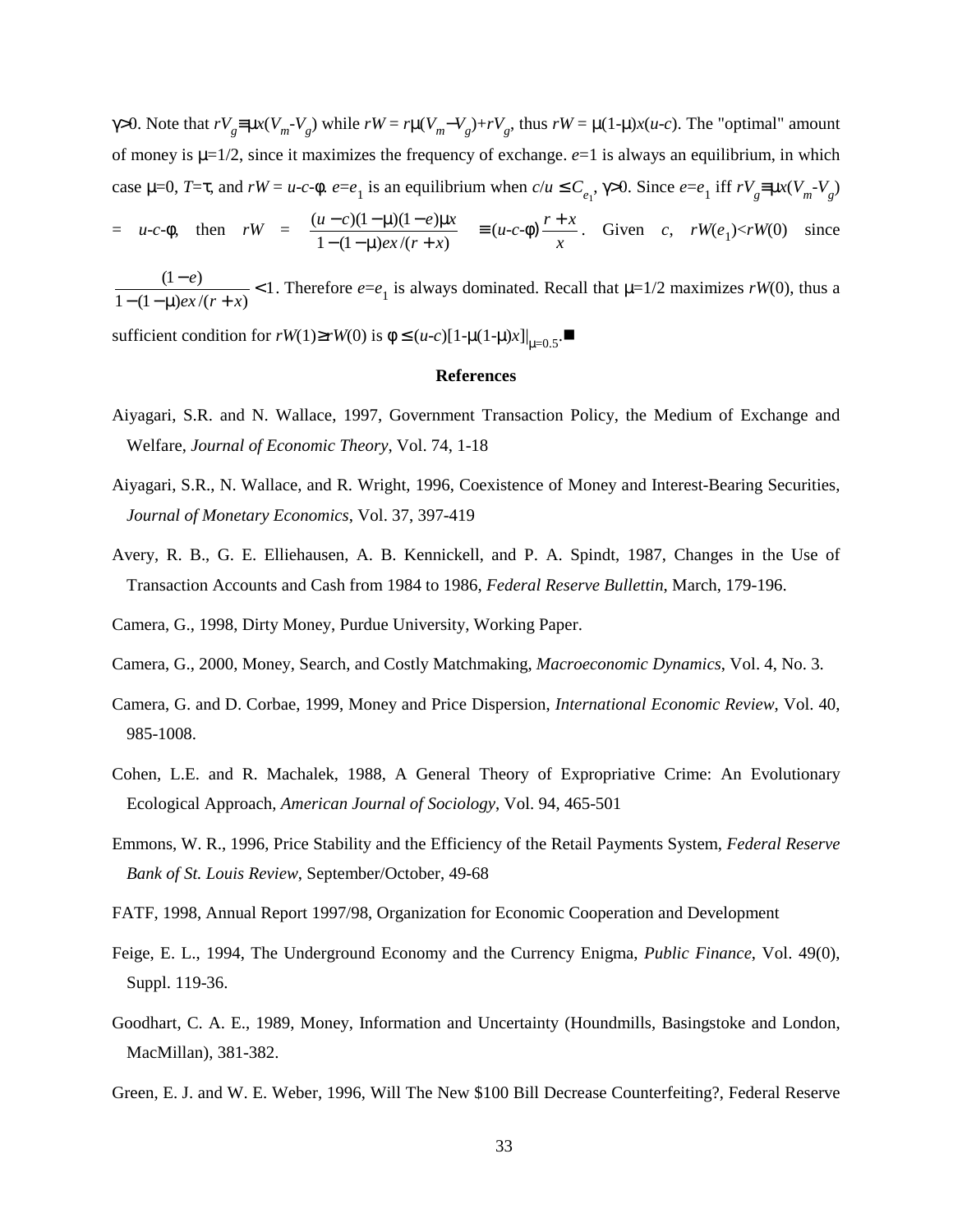$\gamma > 0$ . Note that  $rV_g \equiv \mu x(V_m - V_g)$  while  $rW = r\mu(V_m - V_g) + rV_g$ , thus  $rW = \mu(1 - \mu)x(u - c)$ . The "optimal" amount of money is  $\mu = 1/2$ , since it maximizes the frequency of exchange.  $e=1$  is always an equilibrium, in which case  $\mu=0$ ,  $T=\tau$ , and  $rW=u-c-\phi$ .  $e=e_1$  is an equilibrium when  $c/u \leq C_{e_1}$ ,  $\gamma>0$ . Since  $e=e_1$  iff  $rV_g \equiv \mu x(V_m - V_g)$ = *u*-*c*-φ, then *rW* =  $\frac{(u-c)(1-\mu)(1-e)\mu}{1-(1-\mu)e^{x}/(r+x)}$  $\frac{e x}{r + x}$  $(u-c)(1-\mu)(1-e)\mu x$  $-(1 - \mu) e^{-r}$  $\frac{(-c)(1-\mu)(1-e)\mu x}{\mu}$  =  $(u-c-\phi)$  $\frac{r+x}{x}$ . Given *c*, *rW*(*e*<sub>1</sub>)<*rW*(0) since

1  $\frac{(1-e)}{1-(1-\mu)ex/(r+x)}$  $\frac{e^+e^-}{e^x/(r+x)}$  < 1. Therefore  $e=e_1$  is always dominated. Recall that  $\mu=1/2$  maximizes  $rW(0)$ , thus a

sufficient condition for *rW*(1)≥*rW*(0) is  $\phi$  ≤ (*u-c*)[1-µ(1-µ)*x*]|<sub>µ=0.5</sub>.■

#### **References**

- Aiyagari, S.R. and N. Wallace, 1997, Government Transaction Policy, the Medium of Exchange and Welfare, *Journal of Economic Theory*, Vol. 74, 1-18
- Aiyagari, S.R., N. Wallace, and R. Wright, 1996, Coexistence of Money and Interest-Bearing Securities, *Journal of Monetary Economics*, Vol. 37, 397-419
- Avery, R. B., G. E. Elliehausen, A. B. Kennickell, and P. A. Spindt, 1987, Changes in the Use of Transaction Accounts and Cash from 1984 to 1986, *Federal Reserve Bullettin*, March, 179-196.

Camera, G., 1998, Dirty Money, Purdue University, Working Paper.

- Camera, G., 2000, Money, Search, and Costly Matchmaking, *Macroeconomic Dynamics*, Vol. 4, No. 3.
- Camera, G. and D. Corbae, 1999, Money and Price Dispersion, *International Economic Review*, Vol. 40, 985-1008.
- Cohen, L.E. and R. Machalek, 1988, A General Theory of Expropriative Crime: An Evolutionary Ecological Approach, *American Journal of Sociology*, Vol. 94, 465-501
- Emmons, W. R., 1996, Price Stability and the Efficiency of the Retail Payments System, *Federal Reserve Bank of St. Louis Review*, September/October, 49-68
- FATF, 1998, Annual Report 1997/98, Organization for Economic Cooperation and Development
- Feige, E. L., 1994, The Underground Economy and the Currency Enigma, *Public Finance*, Vol. 49(0), Suppl. 119-36.
- Goodhart, C. A. E., 1989, Money, Information and Uncertainty (Houndmills, Basingstoke and London, MacMillan), 381-382.
- Green, E. J. and W. E. Weber, 1996, Will The New \$100 Bill Decrease Counterfeiting?, Federal Reserve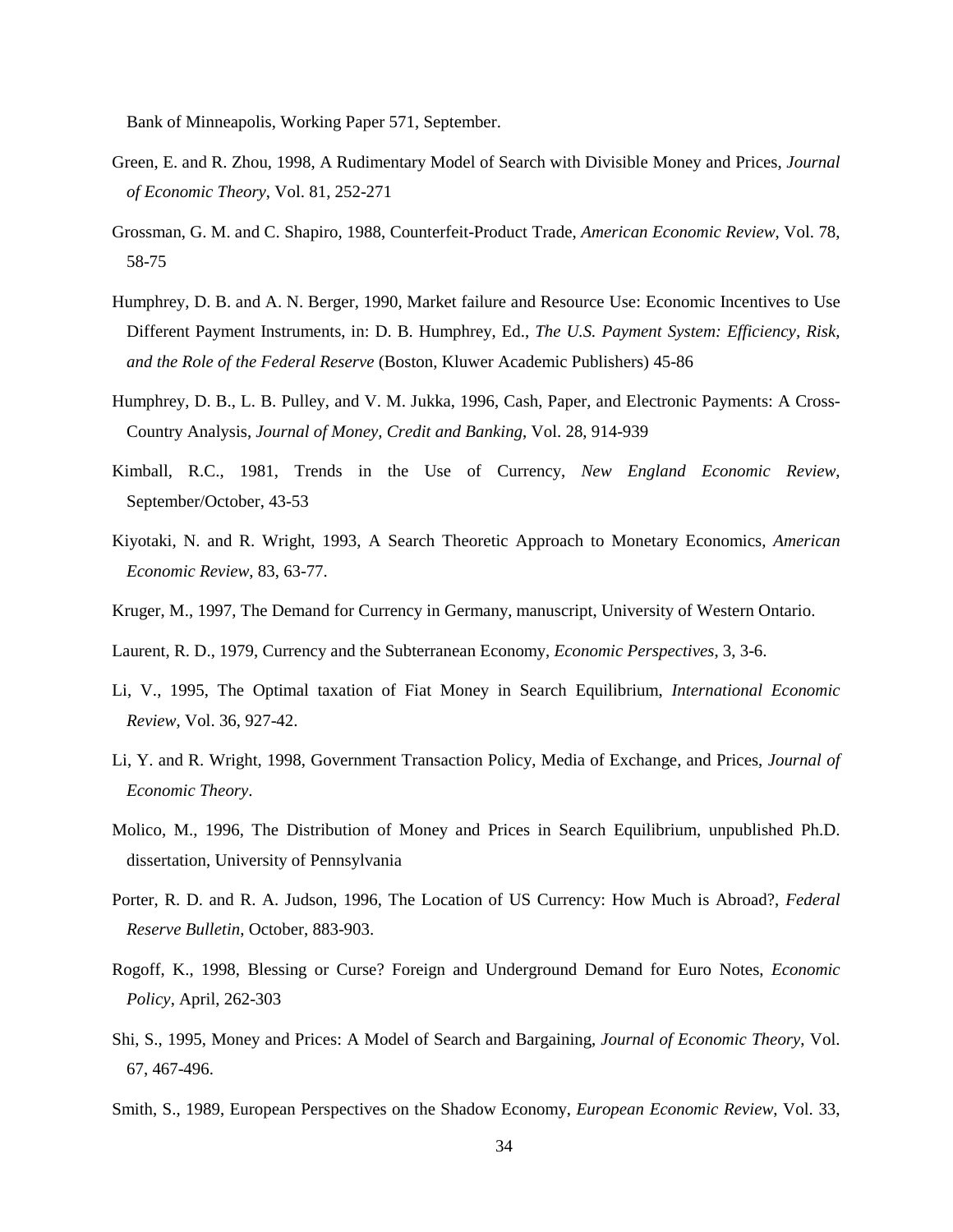Bank of Minneapolis, Working Paper 571, September.

- Green, E. and R. Zhou, 1998, A Rudimentary Model of Search with Divisible Money and Prices, *Journal of Economic Theory*, Vol. 81, 252-271
- Grossman, G. M. and C. Shapiro, 1988, Counterfeit-Product Trade, *American Economic Review*, Vol. 78, 58-75
- Humphrey, D. B. and A. N. Berger, 1990, Market failure and Resource Use: Economic Incentives to Use Different Payment Instruments, in: D. B. Humphrey, Ed., *The U.S. Payment System: Efficiency, Risk, and the Role of the Federal Reserve* (Boston, Kluwer Academic Publishers) 45-86
- Humphrey, D. B., L. B. Pulley, and V. M. Jukka, 1996, Cash, Paper, and Electronic Payments: A Cross-Country Analysis, *Journal of Money, Credit and Banking*, Vol. 28, 914-939
- Kimball, R.C., 1981, Trends in the Use of Currency, *New England Economic Review*, September/October, 43-53
- Kiyotaki, N. and R. Wright, 1993, A Search Theoretic Approach to Monetary Economics, *American Economic Review*, 83, 63-77.
- Kruger, M., 1997, The Demand for Currency in Germany, manuscript, University of Western Ontario.

Laurent, R. D., 1979, Currency and the Subterranean Economy, *Economic Perspectives*, 3, 3-6.

- Li, V., 1995, The Optimal taxation of Fiat Money in Search Equilibrium, *International Economic Review*, Vol. 36, 927-42.
- Li, Y. and R. Wright, 1998, Government Transaction Policy, Media of Exchange, and Prices, *Journal of Economic Theory*.
- Molico, M., 1996, The Distribution of Money and Prices in Search Equilibrium, unpublished Ph.D. dissertation, University of Pennsylvania
- Porter, R. D. and R. A. Judson, 1996, The Location of US Currency: How Much is Abroad?, *Federal Reserve Bulletin*, October, 883-903.
- Rogoff, K., 1998, Blessing or Curse? Foreign and Underground Demand for Euro Notes, *Economic Policy*, April, 262-303
- Shi, S., 1995, Money and Prices: A Model of Search and Bargaining, *Journal of Economic Theory*, Vol. 67, 467-496.
- Smith, S., 1989, European Perspectives on the Shadow Economy, *European Economic Review*, Vol. 33,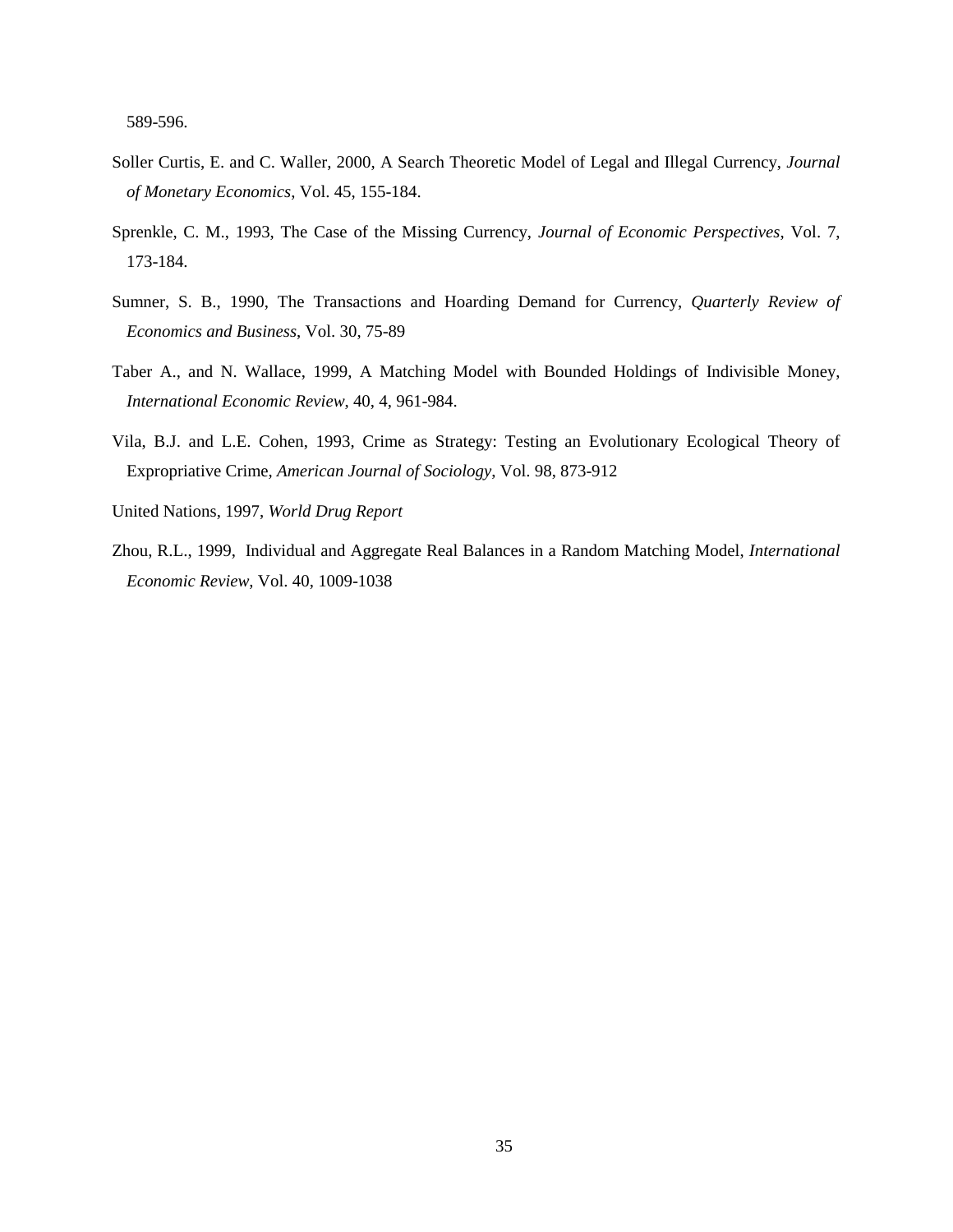589-596.

- Soller Curtis, E. and C. Waller, 2000, A Search Theoretic Model of Legal and Illegal Currency, *Journal of Monetary Economics*, Vol. 45, 155-184.
- Sprenkle, C. M., 1993, The Case of the Missing Currency, *Journal of Economic Perspectives*, Vol. 7, 173-184.
- Sumner, S. B., 1990, The Transactions and Hoarding Demand for Currency, *Quarterly Review of Economics and Business*, Vol. 30, 75-89
- Taber A., and N. Wallace, 1999, A Matching Model with Bounded Holdings of Indivisible Money, *International Economic Review*, 40, 4, 961-984.
- Vila, B.J. and L.E. Cohen, 1993, Crime as Strategy: Testing an Evolutionary Ecological Theory of Expropriative Crime, *American Journal of Sociology*, Vol. 98, 873-912
- United Nations, 1997, *World Drug Report*
- Zhou, R.L., 1999, Individual and Aggregate Real Balances in a Random Matching Model, *International Economic Review*, Vol. 40, 1009-1038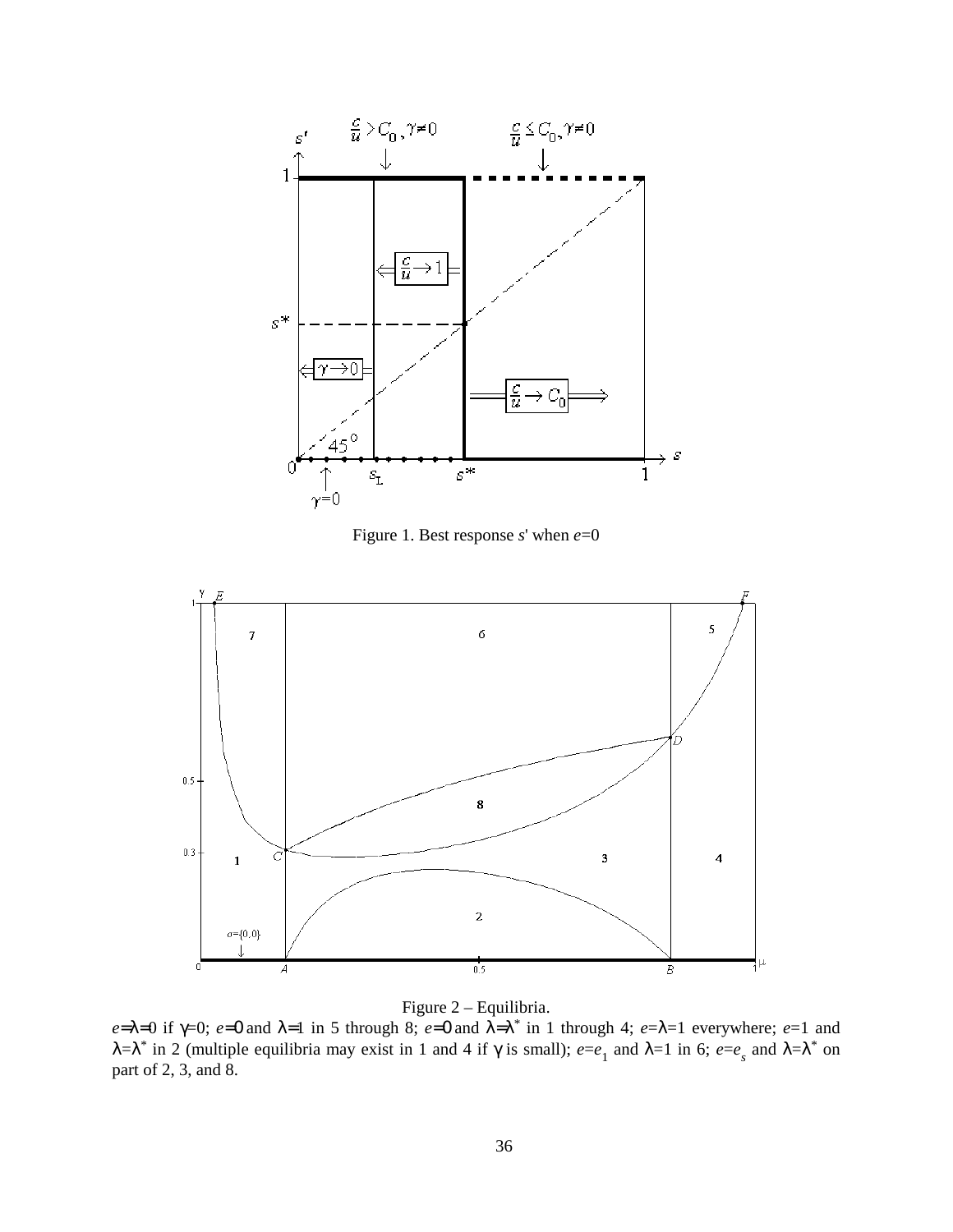

Figure 1. Best response *s*' when *e*=0



Figure 2 – Equilibria.

*e*=λ=0 if  $\gamma$ =0; *e*=0 and λ=1 in 5 through 8; *e*=0 and  $\lambda = \lambda^*$  in 1 through 4; *e*=λ=1 everywhere; *e*=1 and  $λ = λ^*$  in 2 (multiple equilibria may exist in 1 and 4 if  $γ$  is small);  $e=e_1$  and  $λ = 1$  in 6;  $e=e_s$  and  $λ = λ^*$  on part of 2, 3, and 8.